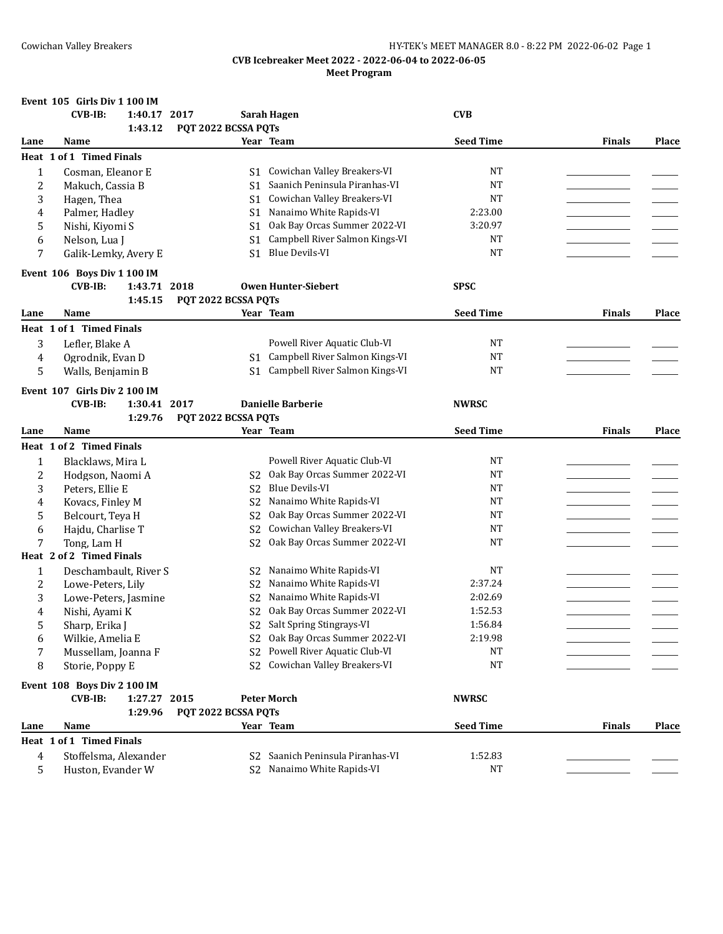|                | Event 105 Girls Div 1 100 IM   |                     |                                |                  |               |       |
|----------------|--------------------------------|---------------------|--------------------------------|------------------|---------------|-------|
|                | $CVB-IB:$<br>1:40.17 2017      |                     | Sarah Hagen                    | <b>CVB</b>       |               |       |
|                | 1:43.12                        | PQT 2022 BCSSA PQTs |                                |                  |               |       |
| Lane           | Name                           |                     | Year Team                      | <b>Seed Time</b> | <b>Finals</b> | Place |
|                | Heat 1 of 1 Timed Finals       |                     |                                |                  |               |       |
| 1              | Cosman, Eleanor E              | S1                  | Cowichan Valley Breakers-VI    | NT               |               |       |
| 2              | Makuch, Cassia B               | S1                  | Saanich Peninsula Piranhas-VI  | <b>NT</b>        |               |       |
| 3              | Hagen, Thea                    | S1                  | Cowichan Valley Breakers-VI    | <b>NT</b>        |               |       |
| 4              | Palmer, Hadley                 | S <sub>1</sub>      | Nanaimo White Rapids-VI        | 2:23.00          |               |       |
| 5              | Nishi, Kiyomi S                | S <sub>1</sub>      | Oak Bay Orcas Summer 2022-VI   | 3:20.97          |               |       |
| 6              | Nelson, Lua J                  | S <sub>1</sub>      | Campbell River Salmon Kings-VI | <b>NT</b>        |               |       |
| 7              | Galik-Lemky, Avery E           | S <sub>1</sub>      | <b>Blue Devils-VI</b>          | <b>NT</b>        |               |       |
|                | Event 106 Boys Div 1 100 IM    |                     |                                |                  |               |       |
|                | <b>CVB-IB:</b><br>1:43.71 2018 |                     | <b>Owen Hunter-Siebert</b>     | <b>SPSC</b>      |               |       |
|                | 1:45.15                        | PQT 2022 BCSSA PQTs |                                |                  |               |       |
| Lane           | Name                           |                     | Year Team                      | <b>Seed Time</b> | <b>Finals</b> | Place |
|                | Heat 1 of 1 Timed Finals       |                     |                                |                  |               |       |
| 3              | Lefler, Blake A                |                     | Powell River Aquatic Club-VI   | <b>NT</b>        |               |       |
| 4              | Ogrodnik, Evan D               | S1                  | Campbell River Salmon Kings-VI | <b>NT</b>        |               |       |
| 5              | Walls, Benjamin B              | S <sub>1</sub>      | Campbell River Salmon Kings-VI | <b>NT</b>        |               |       |
|                | Event 107 Girls Div 2 100 IM   |                     |                                |                  |               |       |
|                | 1:30.41 2017<br><b>CVB-IB:</b> |                     | <b>Danielle Barberie</b>       | <b>NWRSC</b>     |               |       |
|                | 1:29.76                        | PQT 2022 BCSSA PQTs |                                |                  |               |       |
| Lane           | Name                           |                     | Year Team                      | <b>Seed Time</b> | <b>Finals</b> | Place |
|                | Heat 1 of 2 Timed Finals       |                     |                                |                  |               |       |
| 1              | Blacklaws, Mira L              |                     | Powell River Aquatic Club-VI   | NT               |               |       |
| 2              | Hodgson, Naomi A               | S2                  | Oak Bay Orcas Summer 2022-VI   | <b>NT</b>        |               |       |
| 3              | Peters, Ellie E                | S <sub>2</sub>      | <b>Blue Devils-VI</b>          | <b>NT</b>        |               |       |
| 4              | Kovacs, Finley M               | S <sub>2</sub>      | Nanaimo White Rapids-VI        | <b>NT</b>        |               |       |
| 5              | Belcourt, Teya H               | S <sub>2</sub>      | Oak Bay Orcas Summer 2022-VI   | <b>NT</b>        |               |       |
| 6              | Hajdu, Charlise T              | S <sub>2</sub>      | Cowichan Valley Breakers-VI    | <b>NT</b>        |               |       |
| 7              | Tong, Lam H                    | S <sub>2</sub>      | Oak Bay Orcas Summer 2022-VI   | <b>NT</b>        |               |       |
|                | Heat 2 of 2 Timed Finals       |                     |                                |                  |               |       |
| $\mathbf{1}$   | Deschambault, River S          | S2                  | Nanaimo White Rapids-VI        | <b>NT</b>        |               |       |
| 2              | Lowe-Peters, Lily              | S <sub>2</sub>      | Nanaimo White Rapids-VI        | 2:37.24          |               |       |
| 3              | Lowe-Peters, Jasmine           | S <sub>2</sub>      | Nanaimo White Rapids-VI        | 2:02.69          |               |       |
| 4              | Nishi, Ayami K                 | S <sub>2</sub>      | Oak Bay Orcas Summer 2022-VI   | 1:52.53          |               |       |
| 5              | Sharp, Erika J                 |                     | S2 Salt Spring Stingrays-VI    | 1:56.84          |               |       |
| 6              | Wilkie, Amelia E               | S2                  | Oak Bay Orcas Summer 2022-VI   | 2:19.98          |               |       |
| 7              | Mussellam, Joanna F            | S <sub>2</sub>      | Powell River Aquatic Club-VI   | <b>NT</b>        |               |       |
| 8              | Storie, Poppy E                | S <sub>2</sub>      | Cowichan Valley Breakers-VI    | <b>NT</b>        |               |       |
|                | Event 108 Boys Div 2 100 IM    |                     |                                |                  |               |       |
|                | <b>CVB-IB:</b><br>1:27.27 2015 |                     | <b>Peter Morch</b>             | NWRSC            |               |       |
|                | 1:29.96                        | PQT 2022 BCSSA PQTs |                                |                  |               |       |
| Lane           | Name                           |                     | Year Team                      | <b>Seed Time</b> | <b>Finals</b> | Place |
|                | Heat 1 of 1 Timed Finals       |                     |                                |                  |               |       |
|                |                                |                     | Saanich Peninsula Piranhas-VI  | 1:52.83          |               |       |
| $\overline{4}$ | Stoffelsma, Alexander          | S2                  | S2 Nanaimo White Rapids-VI     | <b>NT</b>        |               |       |
| 5              | Huston, Evander W              |                     |                                |                  |               |       |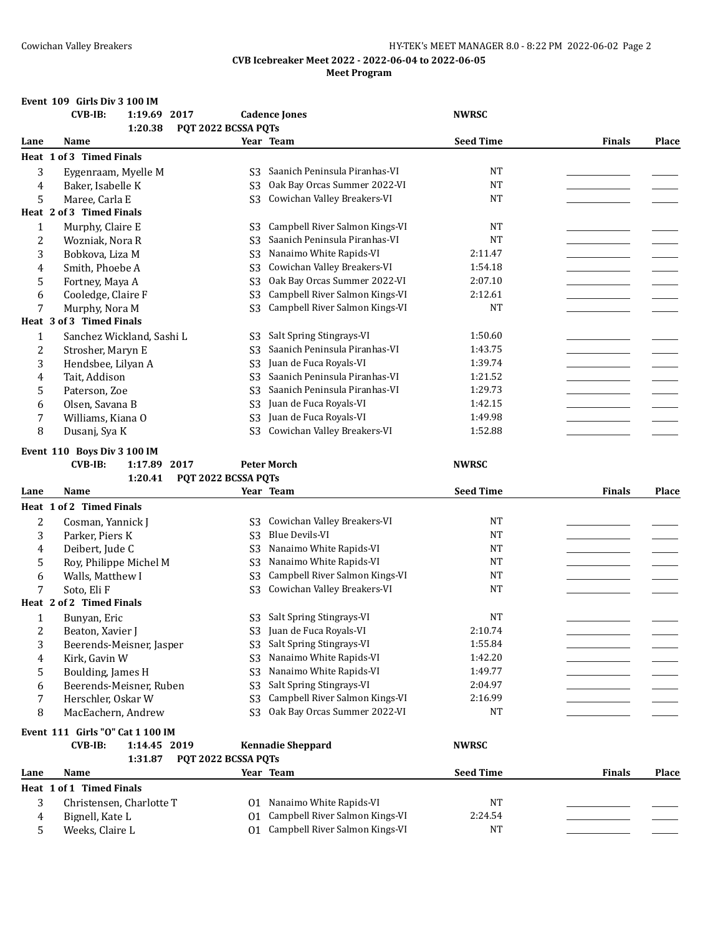## Cowichan Valley Breakers HY-TEK's MEET MANAGER 8.0 - 8:22 PM 2022-06-02 Page 2

## **CVB Icebreaker Meet 2022 - 2022-06-04 to 2022-06-05 Meet Program**

## **Event 109 Girls Div 3 100 IM**

|                | <b>CVB-IB:</b><br>1:19.69 2017<br>1:20.38 | PQT 2022 BCSSA PQTs | <b>Cadence Jones</b>                                                | <b>NWRSC</b>     |               |              |
|----------------|-------------------------------------------|---------------------|---------------------------------------------------------------------|------------------|---------------|--------------|
| Lane           | Name                                      |                     | Year Team                                                           | <b>Seed Time</b> | <b>Finals</b> | <b>Place</b> |
|                | Heat 1 of 3 Timed Finals                  |                     |                                                                     |                  |               |              |
| 3              | Eygenraam, Myelle M                       | S3                  | Saanich Peninsula Piranhas-VI                                       | <b>NT</b>        |               |              |
| 4              | Baker, Isabelle K                         | S <sub>3</sub>      | Oak Bay Orcas Summer 2022-VI                                        | <b>NT</b>        |               |              |
| 5              | Maree, Carla E                            | S <sub>3</sub>      | Cowichan Valley Breakers-VI                                         | <b>NT</b>        |               |              |
|                | Heat 2 of 3 Timed Finals                  |                     |                                                                     |                  |               |              |
| $\mathbf{1}$   | Murphy, Claire E                          | S <sub>3</sub>      | Campbell River Salmon Kings-VI                                      | <b>NT</b>        |               |              |
| $\overline{c}$ | Wozniak, Nora R                           | S <sub>3</sub>      | Saanich Peninsula Piranhas-VI                                       | <b>NT</b>        |               |              |
| 3              | Bobkova, Liza M                           | S <sub>3</sub>      | Nanaimo White Rapids-VI                                             | 2:11.47          |               |              |
| 4              | Smith, Phoebe A                           | S <sub>3</sub>      | Cowichan Valley Breakers-VI                                         | 1:54.18          |               |              |
| 5              | Fortney, Maya A                           | S <sub>3</sub>      | Oak Bay Orcas Summer 2022-VI                                        | 2:07.10          |               |              |
|                | Cooledge, Claire F                        | S <sub>3</sub>      | Campbell River Salmon Kings-VI                                      | 2:12.61          |               |              |
| 6<br>7         | Murphy, Nora M                            |                     | Campbell River Salmon Kings-VI                                      | <b>NT</b>        |               |              |
|                | Heat 3 of 3 Timed Finals                  | S <sub>3</sub>      |                                                                     |                  |               |              |
| 1              | Sanchez Wickland, Sashi L                 | S <sub>3</sub>      | Salt Spring Stingrays-VI                                            | 1:50.60          |               |              |
| $\overline{2}$ | Strosher, Maryn E                         | S <sub>3</sub>      | Saanich Peninsula Piranhas-VI                                       | 1:43.75          |               |              |
| 3              | Hendsbee, Lilyan A                        | S <sub>3</sub>      | Juan de Fuca Royals-VI                                              | 1:39.74          |               |              |
| 4              | Tait, Addison                             | S <sub>3</sub>      | Saanich Peninsula Piranhas-VI                                       | 1:21.52          |               |              |
| 5              | Paterson, Zoe                             | S <sub>3</sub>      | Saanich Peninsula Piranhas-VI                                       | 1:29.73          |               |              |
| 6              | Olsen, Savana B                           | S <sub>3</sub>      | Juan de Fuca Royals-VI                                              | 1:42.15          |               |              |
| 7              | Williams, Kiana O                         | S <sub>3</sub>      | Juan de Fuca Royals-VI                                              | 1:49.98          |               |              |
| 8              | Dusanj, Sya K                             | S <sub>3</sub>      | Cowichan Valley Breakers-VI                                         | 1:52.88          |               |              |
|                |                                           |                     |                                                                     |                  |               |              |
|                | Event 110 Boys Div 3 100 IM               |                     |                                                                     |                  |               |              |
|                | 1:17.89 2017<br><b>CVB-IB:</b>            |                     | <b>Peter Morch</b>                                                  | <b>NWRSC</b>     |               |              |
|                | 1:20.41                                   | PQT 2022 BCSSA PQTs |                                                                     |                  |               |              |
|                |                                           |                     |                                                                     |                  |               |              |
| Lane           | Name                                      |                     | Year Team                                                           | <b>Seed Time</b> | Finals        | <b>Place</b> |
|                | Heat 1 of 2 Timed Finals                  |                     |                                                                     |                  |               |              |
| 2              | Cosman, Yannick J                         | S3                  | Cowichan Valley Breakers-VI                                         | <b>NT</b>        |               |              |
| 3              | Parker, Piers K                           | S <sub>3</sub>      | <b>Blue Devils-VI</b>                                               | <b>NT</b>        |               |              |
| 4              | Deibert, Jude C                           | S <sub>3</sub>      | Nanaimo White Rapids-VI                                             | <b>NT</b>        |               |              |
| 5              | Roy, Philippe Michel M                    | S <sub>3</sub>      | Nanaimo White Rapids-VI                                             | <b>NT</b>        |               |              |
| 6              | Walls, Matthew I                          | S <sub>3</sub>      | Campbell River Salmon Kings-VI                                      | <b>NT</b>        |               |              |
| 7              | Soto, Eli F                               | S <sub>3</sub>      | Cowichan Valley Breakers-VI                                         | <b>NT</b>        |               |              |
|                | Heat 2 of 2 Timed Finals                  |                     |                                                                     |                  |               |              |
| 1              | Bunyan, Eric                              | S3                  | Salt Spring Stingrays-VI                                            | NT               |               |              |
| 2              | Beaton, Xavier J                          | S <sub>3</sub>      | Juan de Fuca Royals-VI                                              | 2:10.74          |               |              |
| 3              | Beerends-Meisner, Jasper                  | S3                  | Salt Spring Stingrays-VI                                            | 1:55.84          |               |              |
| 4              | Kirk, Gavin W                             | S <sub>3</sub>      | Nanaimo White Rapids-VI                                             | 1:42.20          |               |              |
| 5              | Boulding, James H                         | S <sub>3</sub>      | Nanaimo White Rapids-VI                                             | 1:49.77          |               |              |
| 6              | Beerends-Meisner, Ruben                   | S <sub>3</sub>      | Salt Spring Stingrays-VI                                            | 2:04.97          |               |              |
| 7              | Herschler, Oskar W                        | S <sub>3</sub>      | Campbell River Salmon Kings-VI                                      | 2:16.99          |               |              |
| 8              | MacEachern, Andrew                        | S <sub>3</sub>      | Oak Bay Orcas Summer 2022-VI                                        | NT               |               |              |
|                | Event 111 Girls "O" Cat 1 100 IM          |                     |                                                                     |                  |               |              |
|                | <b>CVB-IB:</b><br>1:14.45 2019            |                     | <b>Kennadie Sheppard</b>                                            | <b>NWRSC</b>     |               |              |
|                | 1:31.87                                   | PQT 2022 BCSSA PQTs |                                                                     |                  |               |              |
| Lane           | Name                                      |                     | Year Team                                                           | <b>Seed Time</b> | <b>Finals</b> | <b>Place</b> |
|                | Heat 1 of 1 Timed Finals                  |                     |                                                                     |                  |               |              |
| 3              | Christensen, Charlotte T                  |                     | 01 Nanaimo White Rapids-VI                                          | NT               |               |              |
| 4<br>5         | Bignell, Kate L<br>Weeks, Claire L        | 01                  | Campbell River Salmon Kings-VI<br>01 Campbell River Salmon Kings-VI | 2:24.54<br>NT    |               |              |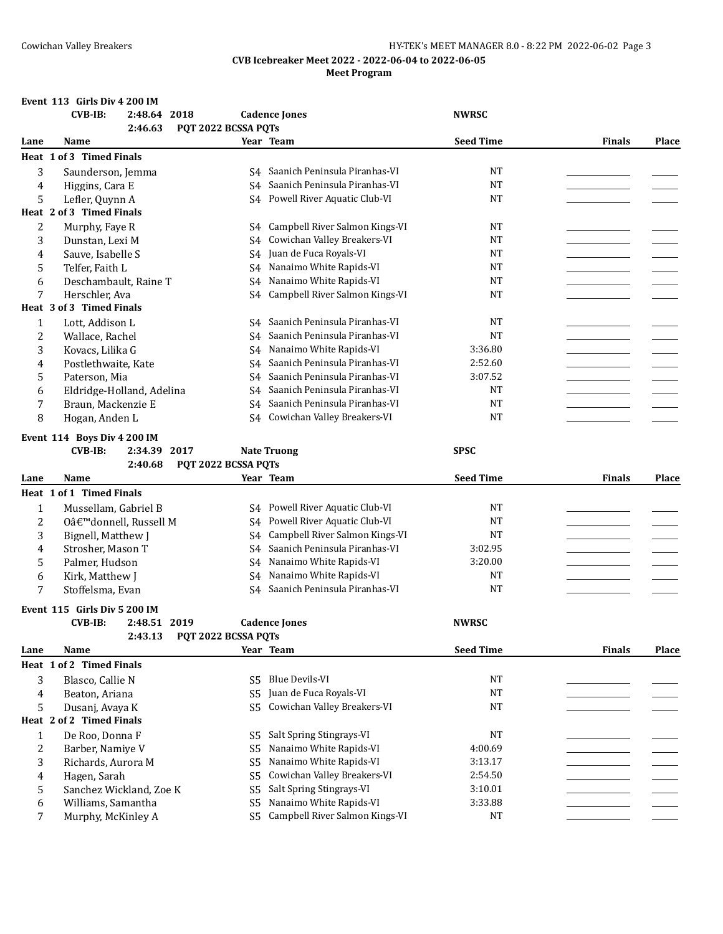## Cowichan Valley Breakers HY-TEK's MEET MANAGER 8.0 - 8:22 PM 2022-06-02 Page 3

## **CVB Icebreaker Meet 2022 - 2022-06-04 to 2022-06-05 Meet Program**

## **Event 113 Girls Div 4 200 IM**

|                | <b>CVB-IB:</b><br>2:48.64 2018<br>2:46.63     | PQT 2022 BCSSA PQTs              | <b>Cadence Jones</b>             | <b>NWRSC</b>           |               |              |
|----------------|-----------------------------------------------|----------------------------------|----------------------------------|------------------------|---------------|--------------|
| Lane           | Name                                          |                                  | Year Team                        | <b>Seed Time</b>       | <b>Finals</b> | Place        |
|                | Heat 1 of 3 Timed Finals                      |                                  |                                  |                        |               |              |
|                |                                               |                                  | S4 Saanich Peninsula Piranhas-VI | <b>NT</b>              |               |              |
| 3              | Saunderson, Jemma                             |                                  | Saanich Peninsula Piranhas-VI    | <b>NT</b>              |               |              |
| 4<br>5         | Higgins, Cara E                               | S4                               | S4 Powell River Aquatic Club-VI  | <b>NT</b>              |               |              |
|                | Lefler, Quynn A<br>Heat 2 of 3 Timed Finals   |                                  |                                  |                        |               |              |
|                |                                               |                                  |                                  |                        |               |              |
| 2              | Murphy, Faye R                                | S4                               | Campbell River Salmon Kings-VI   | <b>NT</b><br><b>NT</b> |               |              |
| 3              | Dunstan, Lexi M                               | S <sub>4</sub>                   | Cowichan Valley Breakers-VI      |                        |               |              |
| 4              | Sauve, Isabelle S                             | S <sub>4</sub>                   | Juan de Fuca Royals-VI           | <b>NT</b>              |               |              |
| 5              | Telfer, Faith L                               | S <sub>4</sub>                   | Nanaimo White Rapids-VI          | <b>NT</b>              |               |              |
| 6              | Deschambault, Raine T                         | S4                               | Nanaimo White Rapids-VI          | <b>NT</b>              |               |              |
| 7              | Herschler, Ava                                | S <sub>4</sub>                   | Campbell River Salmon Kings-VI   | <b>NT</b>              |               |              |
|                | Heat 3 of 3 Timed Finals                      |                                  |                                  |                        |               |              |
| $\mathbf{1}$   | Lott, Addison L                               | S <sub>4</sub>                   | Saanich Peninsula Piranhas-VI    | <b>NT</b>              |               |              |
| $\overline{c}$ | Wallace, Rachel                               | S <sub>4</sub>                   | Saanich Peninsula Piranhas-VI    | <b>NT</b>              |               |              |
| 3              | Kovacs, Lilika G                              | S4                               | Nanaimo White Rapids-VI          | 3:36.80                |               |              |
| 4              | Postlethwaite, Kate                           | S4                               | Saanich Peninsula Piranhas-VI    | 2:52.60                |               |              |
| 5              | Paterson, Mia                                 | S4                               | Saanich Peninsula Piranhas-VI    | 3:07.52                |               |              |
| 6              | Eldridge-Holland, Adelina                     | S <sub>4</sub>                   | Saanich Peninsula Piranhas-VI    | <b>NT</b>              |               |              |
| 7              | Braun, Mackenzie E                            | S <sub>4</sub>                   | Saanich Peninsula Piranhas-VI    | <b>NT</b>              |               |              |
| 8              | Hogan, Anden L                                | S <sub>4</sub>                   | Cowichan Valley Breakers-VI      | <b>NT</b>              |               |              |
|                | Event 114 Boys Div 4 200 IM                   |                                  |                                  |                        |               |              |
|                | <b>CVB-IB:</b><br>2:34.39 2017                |                                  | <b>Nate Truong</b>               | <b>SPSC</b>            |               |              |
|                | 2:40.68                                       | PQT 2022 BCSSA PQTs              |                                  |                        |               |              |
|                |                                               |                                  |                                  |                        |               |              |
| Lane           | Name                                          |                                  | Year Team                        | <b>Seed Time</b>       | <b>Finals</b> | <b>Place</b> |
|                |                                               |                                  |                                  |                        |               |              |
|                | Heat 1 of 1 Timed Finals                      |                                  |                                  |                        |               |              |
| 1              | Mussellam, Gabriel B                          | S4                               | Powell River Aquatic Club-VI     | <b>NT</b>              |               |              |
| 2              | O'donnell, Russell M                          | S4                               | Powell River Aquatic Club-VI     | <b>NT</b>              |               |              |
| 3              | Bignell, Matthew J                            | S <sub>4</sub>                   | Campbell River Salmon Kings-VI   | <b>NT</b>              |               |              |
| 4              | Strosher, Mason T                             | S4                               | Saanich Peninsula Piranhas-VI    | 3:02.95                |               |              |
| 5              | Palmer, Hudson                                | S <sub>4</sub>                   | Nanaimo White Rapids-VI          | 3:20.00                |               |              |
| 6              | Kirk, Matthew J                               | S4                               | Nanaimo White Rapids-VI          | <b>NT</b>              |               |              |
| 7              | Stoffelsma, Evan                              | S4                               | Saanich Peninsula Piranhas-VI    | <b>NT</b>              |               |              |
|                | Event 115 Girls Div 5 200 IM                  |                                  |                                  |                        |               |              |
|                | <b>CVB-IB:</b><br>2:48.51 2019                |                                  | <b>Cadence Jones</b>             | <b>NWRSC</b>           |               |              |
|                | 2:43.13 PQT 2022 BCSSA PQTs                   |                                  |                                  |                        |               |              |
| Lane           | Name                                          |                                  | Year Team                        | <b>Seed Time</b>       | <b>Finals</b> | Place        |
|                | Heat 1 of 2 Timed Finals                      |                                  |                                  |                        |               |              |
| 3              | Blasco, Callie N                              | S <sub>5</sub>                   | <b>Blue Devils-VI</b>            | <b>NT</b>              |               |              |
| 4              | Beaton, Ariana                                | S <sub>5</sub>                   | Juan de Fuca Royals-VI           | <b>NT</b>              |               |              |
| 5              | Dusanj, Avaya K                               | S <sub>5</sub>                   | Cowichan Valley Breakers-VI      | <b>NT</b>              |               |              |
|                | Heat 2 of 2 Timed Finals                      |                                  |                                  |                        |               |              |
| $\mathbf{1}$   | De Roo, Donna F                               | S5                               | Salt Spring Stingrays-VI         | <b>NT</b>              |               |              |
| $\overline{c}$ | Barber, Namiye V                              | S <sub>5</sub>                   | Nanaimo White Rapids-VI          | 4:00.69                |               |              |
| 3              |                                               | S <sub>5</sub>                   | Nanaimo White Rapids-VI          | 3:13.17                |               |              |
| 4              | Richards, Aurora M                            | S <sub>5</sub>                   | Cowichan Valley Breakers-VI      | 2:54.50                |               |              |
|                | Hagen, Sarah                                  |                                  | Salt Spring Stingrays-VI         | 3:10.01                |               |              |
| 5<br>6         | Sanchez Wickland, Zoe K<br>Williams, Samantha | S <sub>5</sub><br>S <sub>5</sub> | Nanaimo White Rapids-VI          | 3:33.88                |               |              |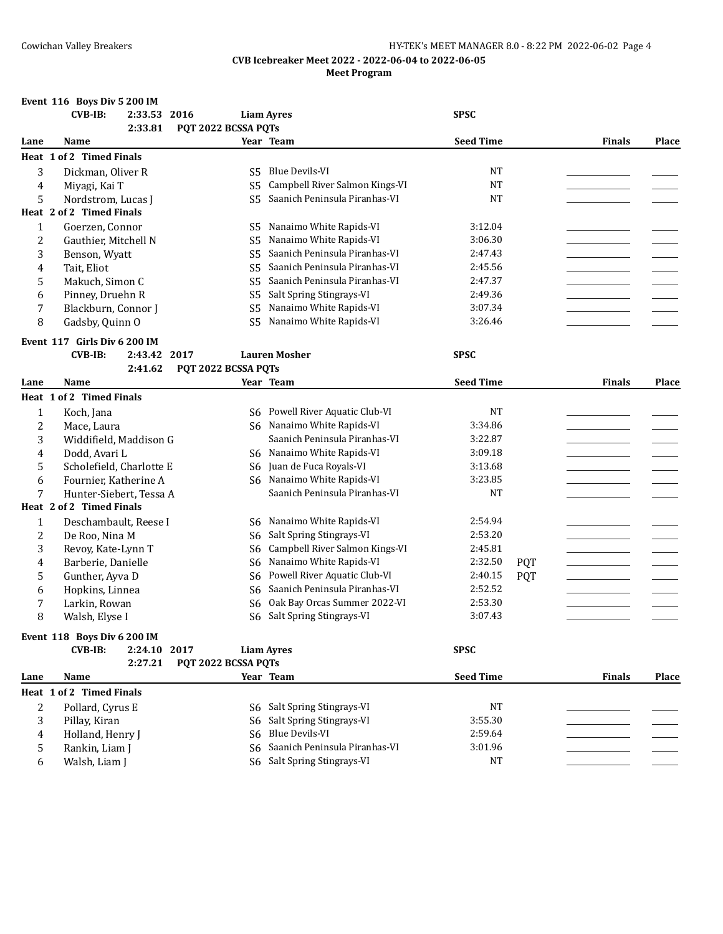|                | Event 116 Boys Div 5 200 IM    |                     |                                 |                  |            |               |       |
|----------------|--------------------------------|---------------------|---------------------------------|------------------|------------|---------------|-------|
|                | $CVB-IB:$<br>2:33.53 2016      |                     | <b>Liam Ayres</b>               | <b>SPSC</b>      |            |               |       |
|                | 2:33.81                        | PQT 2022 BCSSA PQTs |                                 |                  |            |               |       |
| Lane           | Name                           |                     | Year Team                       | <b>Seed Time</b> |            | <b>Finals</b> | Place |
|                | Heat 1 of 2 Timed Finals       |                     |                                 |                  |            |               |       |
| 3              | Dickman, Oliver R              | S5                  | <b>Blue Devils-VI</b>           | <b>NT</b>        |            |               |       |
| 4              | Miyagi, Kai T                  | S <sub>5</sub>      | Campbell River Salmon Kings-VI  | <b>NT</b>        |            |               |       |
| 5              | Nordstrom, Lucas J             | S5                  | Saanich Peninsula Piranhas-VI   | <b>NT</b>        |            |               |       |
|                | Heat 2 of 2 Timed Finals       |                     |                                 |                  |            |               |       |
| $\mathbf{1}$   | Goerzen, Connor                | S5                  | Nanaimo White Rapids-VI         | 3:12.04          |            |               |       |
| 2              | Gauthier, Mitchell N           | S <sub>5</sub>      | Nanaimo White Rapids-VI         | 3:06.30          |            |               |       |
| 3              | Benson, Wyatt                  | S <sub>5</sub>      | Saanich Peninsula Piranhas-VI   | 2:47.43          |            |               |       |
| 4              | Tait, Eliot                    | S <sub>5</sub>      | Saanich Peninsula Piranhas-VI   | 2:45.56          |            |               |       |
| 5              | Makuch, Simon C                | S <sub>5</sub>      | Saanich Peninsula Piranhas-VI   | 2:47.37          |            |               |       |
| 6              | Pinney, Druehn R               | S5                  | Salt Spring Stingrays-VI        | 2:49.36          |            |               |       |
| 7              | Blackburn, Connor J            | S5                  | Nanaimo White Rapids-VI         | 3:07.34          |            |               |       |
| 8              | Gadsby, Quinn O                | S <sub>5</sub>      | Nanaimo White Rapids-VI         | 3:26.46          |            |               |       |
|                |                                |                     |                                 |                  |            |               |       |
|                | Event 117 Girls Div 6 200 IM   |                     |                                 |                  |            |               |       |
|                | $CVB-IB:$<br>2:43.42 2017      |                     | <b>Lauren Mosher</b>            | <b>SPSC</b>      |            |               |       |
|                | 2:41.62                        | PQT 2022 BCSSA PQTs |                                 |                  |            |               |       |
| Lane           | Name                           |                     | Year Team                       | <b>Seed Time</b> |            | <b>Finals</b> | Place |
|                | Heat 1 of 2 Timed Finals       |                     |                                 |                  |            |               |       |
| $\mathbf{1}$   | Koch, Jana                     |                     | S6 Powell River Aquatic Club-VI | <b>NT</b>        |            |               |       |
| 2              | Mace, Laura                    |                     | S6 Nanaimo White Rapids-VI      | 3:34.86          |            |               |       |
| 3              | Widdifield, Maddison G         |                     | Saanich Peninsula Piranhas-VI   | 3:22.87          |            |               |       |
| 4              | Dodd, Avari L                  |                     | S6 Nanaimo White Rapids-VI      | 3:09.18          |            |               |       |
| 5              | Scholefield, Charlotte E       | S6                  | Juan de Fuca Royals-VI          | 3:13.68          |            |               |       |
| 6              | Fournier, Katherine A          | S6                  | Nanaimo White Rapids-VI         | 3:23.85          |            |               |       |
| 7              | Hunter-Siebert, Tessa A        |                     | Saanich Peninsula Piranhas-VI   | <b>NT</b>        |            |               |       |
|                | Heat 2 of 2 Timed Finals       |                     |                                 |                  |            |               |       |
| $\mathbf{1}$   | Deschambault, Reese I          | S6                  | Nanaimo White Rapids-VI         | 2:54.94          |            |               |       |
| $\overline{c}$ | De Roo, Nina M                 | S6                  | Salt Spring Stingrays-VI        | 2:53.20          |            |               |       |
| 3              | Revoy, Kate-Lynn T             | S6                  | Campbell River Salmon Kings-VI  | 2:45.81          |            |               |       |
| 4              | Barberie, Danielle             | S6                  | Nanaimo White Rapids-VI         | 2:32.50          | <b>PQT</b> |               |       |
| 5              | Gunther, Ayva D                | S6                  | Powell River Aquatic Club-VI    | 2:40.15          | <b>PQT</b> |               |       |
| 6              | Hopkins, Linnea                | S6                  | Saanich Peninsula Piranhas-VI   | 2:52.52          |            |               |       |
| 7              | Larkin, Rowan                  | S6                  | Oak Bay Orcas Summer 2022-VI    | 2:53.30          |            |               |       |
| 8              | Walsh, Elyse I                 | S6                  | Salt Spring Stingrays-VI        | 3:07.43          |            |               |       |
|                |                                |                     |                                 |                  |            |               |       |
|                | Event 118 Boys Div 6 200 IM    |                     |                                 |                  |            |               |       |
|                | <b>CVB-IB:</b><br>2:24.10 2017 |                     | <b>Liam Ayres</b>               | <b>SPSC</b>      |            |               |       |
|                | 2:27.21                        | PQT 2022 BCSSA PQTs |                                 |                  |            |               |       |
| Lane           | Name                           |                     | Year Team                       | <b>Seed Time</b> |            | <b>Finals</b> | Place |
|                | Heat 1 of 2 Timed Finals       |                     |                                 |                  |            |               |       |
| 2              | Pollard, Cyrus E               |                     | S6 Salt Spring Stingrays-VI     | <b>NT</b>        |            |               |       |
| 3              | Pillay, Kiran                  | S6                  | Salt Spring Stingrays-VI        | 3:55.30          |            |               |       |
| 4              | Holland, Henry J               | S6                  | <b>Blue Devils-VI</b>           | 2:59.64          |            |               |       |
| 5              | Rankin, Liam J                 | S6                  | Saanich Peninsula Piranhas-VI   | 3:01.96          |            |               |       |
| 6              | Walsh, Liam J                  |                     | S6 Salt Spring Stingrays-VI     | <b>NT</b>        |            |               |       |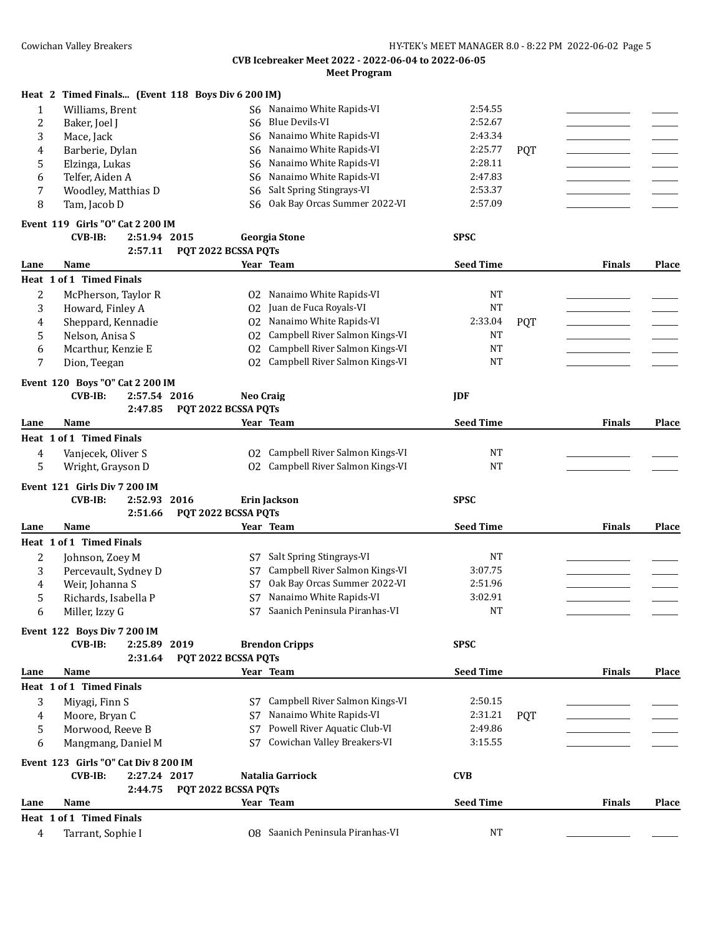|              | Heat 2 Timed Finals (Event 118 Boys Div 6 200 IM) |                     |                                |                  |            |               |              |
|--------------|---------------------------------------------------|---------------------|--------------------------------|------------------|------------|---------------|--------------|
| $\mathbf{1}$ | Williams, Brent                                   | S6                  | Nanaimo White Rapids-VI        | 2:54.55          |            |               |              |
| 2            | Baker, Joel J                                     | S6                  | <b>Blue Devils-VI</b>          | 2:52.67          |            |               |              |
| 3            | Mace, Jack                                        | S6                  | Nanaimo White Rapids-VI        | 2:43.34          |            |               |              |
| 4            | Barberie, Dylan                                   | S <sub>6</sub>      | Nanaimo White Rapids-VI        | 2:25.77          | <b>PQT</b> |               |              |
| 5            | Elzinga, Lukas                                    | S6                  | Nanaimo White Rapids-VI        | 2:28.11          |            |               |              |
| 6            | Telfer, Aiden A                                   | S <sub>6</sub>      | Nanaimo White Rapids-VI        | 2:47.83          |            |               |              |
| 7            | Woodley, Matthias D                               | S6                  | Salt Spring Stingrays-VI       | 2:53.37          |            |               |              |
| 8            | Tam, Jacob D                                      | S6                  | Oak Bay Orcas Summer 2022-VI   | 2:57.09          |            |               |              |
|              | Event 119 Girls "O" Cat 2 200 IM                  |                     |                                |                  |            |               |              |
|              | <b>CVB-IB:</b><br>2:51.94 2015                    |                     | <b>Georgia Stone</b>           | <b>SPSC</b>      |            |               |              |
|              | 2:57.11                                           | PQT 2022 BCSSA PQTs |                                |                  |            |               |              |
| Lane         | Name                                              |                     | Year Team                      | <b>Seed Time</b> |            | <b>Finals</b> | <b>Place</b> |
|              | Heat 1 of 1 Timed Finals                          |                     |                                |                  |            |               |              |
|              |                                                   |                     |                                |                  |            |               |              |
| 2            | McPherson, Taylor R                               | 02                  | Nanaimo White Rapids-VI        | <b>NT</b>        |            |               |              |
| 3            | Howard, Finley A                                  | 02                  | Juan de Fuca Royals-VI         | <b>NT</b>        |            |               |              |
| 4            | Sheppard, Kennadie                                | 02                  | Nanaimo White Rapids-VI        | 2:33.04          | <b>PQT</b> |               |              |
| 5            | Nelson, Anisa S                                   | 02                  | Campbell River Salmon Kings-VI | <b>NT</b>        |            |               |              |
| 6            | Mcarthur, Kenzie E                                | 02                  | Campbell River Salmon Kings-VI | <b>NT</b>        |            |               |              |
| 7            | Dion, Teegan                                      | 02                  | Campbell River Salmon Kings-VI | <b>NT</b>        |            |               |              |
|              | Event 120 Boys "O" Cat 2 200 IM                   |                     |                                |                  |            |               |              |
|              | $CVB-IB:$<br>2:57.54 2016                         | <b>Neo Craig</b>    |                                | <b>IDF</b>       |            |               |              |
|              | 2:47.85                                           | PQT 2022 BCSSA PQTs |                                |                  |            |               |              |
| Lane         | Name                                              |                     | Year Team                      | <b>Seed Time</b> |            | <b>Finals</b> | <b>Place</b> |
|              | Heat 1 of 1 Timed Finals                          |                     |                                |                  |            |               |              |
| 4            | Vanjecek, Oliver S                                | 02                  | Campbell River Salmon Kings-VI | NT               |            |               |              |
| 5            | Wright, Grayson D                                 | 02                  | Campbell River Salmon Kings-VI | <b>NT</b>        |            |               |              |
|              |                                                   |                     |                                |                  |            |               |              |
|              |                                                   |                     |                                |                  |            |               |              |
|              | Event 121 Girls Div 7 200 IM                      |                     |                                |                  |            |               |              |
|              | <b>CVB-IB:</b><br>2:52.93 2016                    |                     | Erin Jackson                   | <b>SPSC</b>      |            |               |              |
|              | 2:51.66                                           | PQT 2022 BCSSA PQTs |                                |                  |            |               |              |
| Lane         | Name                                              |                     | Year Team                      | <b>Seed Time</b> |            | <b>Finals</b> | <b>Place</b> |
|              | Heat 1 of 1 Timed Finals                          |                     |                                |                  |            |               |              |
| 2            | Johnson, Zoey M                                   | S7                  | Salt Spring Stingrays-VI       | <b>NT</b>        |            |               |              |
| 3            | Percevault, Sydney D                              | S7                  | Campbell River Salmon Kings-VI | 3:07.75          |            |               |              |
| 4            | Weir, Johanna S                                   | S7                  | Oak Bay Orcas Summer 2022-VI   | 2:51.96          |            |               |              |
| 5            | Richards, Isabella P                              | S7                  | Nanaimo White Rapids-VI        | 3:02.91          |            |               |              |
| 6            | Miller, Izzy G                                    | S7                  | Saanich Peninsula Piranhas-VI  | <b>NT</b>        |            |               |              |
|              |                                                   |                     |                                |                  |            |               |              |
|              | Event 122 Boys Div 7 200 IM                       |                     |                                |                  |            |               |              |
|              | 2:25.89 2019<br><b>CVB-IB:</b>                    |                     | <b>Brendon Cripps</b>          | <b>SPSC</b>      |            |               |              |
|              | 2:31.64<br>Name                                   | PQT 2022 BCSSA PQTs | Year Team                      | <b>Seed Time</b> |            | <b>Finals</b> |              |
| Lane         |                                                   |                     |                                |                  |            |               | Place        |
|              | Heat 1 of 1 Timed Finals                          |                     |                                |                  |            |               |              |
| 3            | Miyagi, Finn S                                    | S7                  | Campbell River Salmon Kings-VI | 2:50.15          |            |               |              |
| 4            | Moore, Bryan C                                    | S7                  | Nanaimo White Rapids-VI        | 2:31.21          | <b>POT</b> |               |              |
| 5            | Morwood, Reeve B                                  | S7                  | Powell River Aquatic Club-VI   | 2:49.86          |            |               |              |
| 6            | Mangmang, Daniel M                                | S7                  | Cowichan Valley Breakers-VI    | 3:15.55          |            |               |              |
|              | Event 123 Girls "O" Cat Div 8 200 IM              |                     |                                |                  |            |               |              |
|              | 2:27.24 2017<br>$CVB-IB:$                         |                     | Natalia Garriock               | <b>CVB</b>       |            |               |              |
|              | 2:44.75                                           | PQT 2022 BCSSA PQTs |                                |                  |            |               |              |
| Lane         | Name                                              |                     | Year Team                      | <b>Seed Time</b> |            | <b>Finals</b> | <b>Place</b> |
|              | Heat 1 of 1 Timed Finals                          |                     |                                | <b>NT</b>        |            |               |              |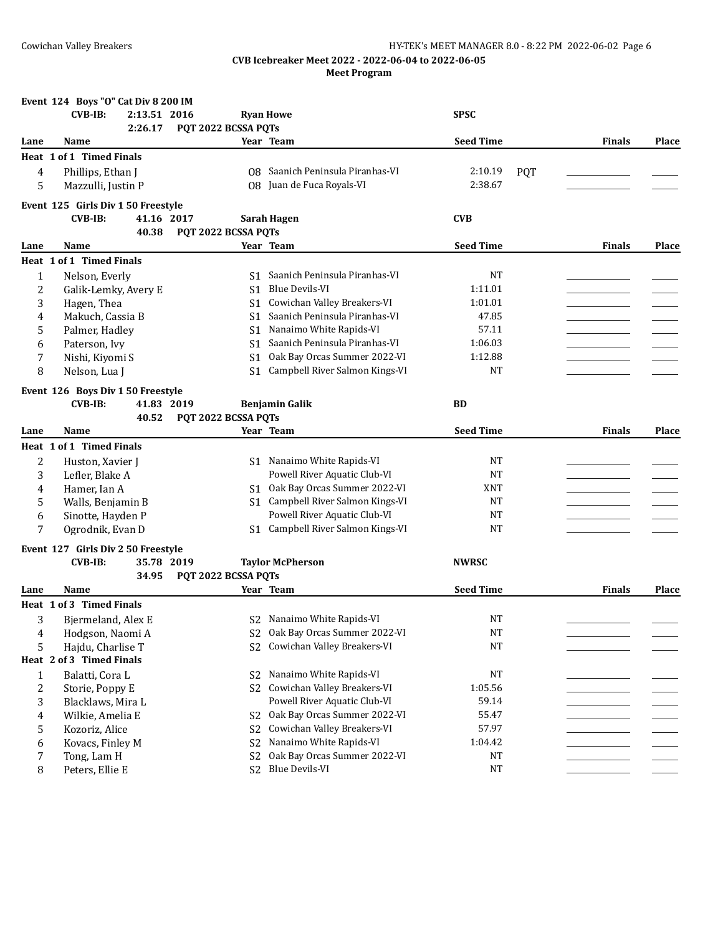|                  | Event 124 Boys "O" Cat Div 8 200 IM                                |                      |                                   |                  |            |               |       |
|------------------|--------------------------------------------------------------------|----------------------|-----------------------------------|------------------|------------|---------------|-------|
|                  | $CVB-IB:$<br>2:13.51 2016                                          |                      | <b>Ryan Howe</b>                  | <b>SPSC</b>      |            |               |       |
|                  | 2:26.17                                                            | PQT 2022 BCSSA PQTs  |                                   |                  |            |               |       |
| Lane             | Name                                                               |                      | Year Team                         | <b>Seed Time</b> |            | <b>Finals</b> | Place |
|                  | Heat 1 of 1 Timed Finals                                           |                      |                                   |                  |            |               |       |
| 4                | Phillips, Ethan J                                                  |                      | 08 Saanich Peninsula Piranhas-VI  | 2:10.19          | <b>PQT</b> |               |       |
| 5                | Mazzulli, Justin P                                                 |                      | 08 Juan de Fuca Royals-VI         | 2:38.67          |            |               |       |
|                  | Event 125 Girls Div 1 50 Freestyle                                 |                      |                                   |                  |            |               |       |
|                  | <b>CVB-IB:</b><br>41.16 2017                                       |                      | Sarah Hagen                       | <b>CVB</b>       |            |               |       |
|                  | 40.38                                                              | PQT 2022 BCSSA PQTs  |                                   |                  |            |               |       |
| Lane             | Name                                                               |                      | Year Team                         | <b>Seed Time</b> |            | <b>Finals</b> | Place |
|                  | Heat 1 of 1 Timed Finals                                           |                      |                                   |                  |            |               |       |
| $\mathbf{1}$     | Nelson, Everly                                                     | S1.                  | Saanich Peninsula Piranhas-VI     | NT               |            |               |       |
| $\boldsymbol{2}$ | Galik-Lemky, Avery E                                               | S <sub>1</sub>       | <b>Blue Devils-VI</b>             | 1:11.01          |            |               |       |
| 3                | Hagen, Thea                                                        |                      | S1 Cowichan Valley Breakers-VI    | 1:01.01          |            |               |       |
| 4                | Makuch, Cassia B                                                   | S1.                  | Saanich Peninsula Piranhas-VI     | 47.85            |            |               |       |
| 5                | Palmer, Hadley                                                     | S1                   | Nanaimo White Rapids-VI           | 57.11            |            |               |       |
| 6                | Paterson, Ivy                                                      | S1 -                 | Saanich Peninsula Piranhas-VI     | 1:06.03          |            |               |       |
| 7                | Nishi, Kiyomi S                                                    | S1                   | Oak Bay Orcas Summer 2022-VI      | 1:12.88          |            |               |       |
| 8                | Nelson, Lua J                                                      | S <sub>1</sub>       | Campbell River Salmon Kings-VI    | <b>NT</b>        |            |               |       |
|                  | Event 126 Boys Div 1 50 Freestyle                                  |                      |                                   |                  |            |               |       |
|                  | $CVB-IB:$<br>41.83 2019                                            |                      | <b>Benjamin Galik</b>             | <b>BD</b>        |            |               |       |
|                  | 40.52                                                              | PQT 2022 BCSSA PQTs  |                                   |                  |            |               |       |
| Lane             | Name                                                               |                      | Year Team                         | <b>Seed Time</b> |            | <b>Finals</b> | Place |
|                  | Heat 1 of 1 Timed Finals                                           |                      |                                   |                  |            |               |       |
| 2                | Huston, Xavier J                                                   |                      | S1 Nanaimo White Rapids-VI        | NT               |            |               |       |
| 3                | Lefler, Blake A                                                    |                      | Powell River Aquatic Club-VI      | <b>NT</b>        |            |               |       |
| 4                | Hamer, Ian A                                                       | S1.                  | Oak Bay Orcas Summer 2022-VI      | XNT              |            |               |       |
| 5                | Walls, Benjamin B                                                  |                      | S1 Campbell River Salmon Kings-VI | <b>NT</b>        |            |               |       |
| 6                | Sinotte, Hayden P                                                  |                      | Powell River Aquatic Club-VI      | <b>NT</b>        |            |               |       |
| 7                | Ogrodnik, Evan D                                                   | S1.                  | Campbell River Salmon Kings-VI    | NT               |            |               |       |
|                  |                                                                    |                      |                                   |                  |            |               |       |
|                  | Event 127 Girls Div 2 50 Freestyle<br><b>CVB-IB:</b><br>35.78 2019 |                      |                                   | <b>NWRSC</b>     |            |               |       |
|                  | 34.95                                                              | PQT 2022 BCSSA PQTs  | <b>Taylor McPherson</b>           |                  |            |               |       |
| Lane             | Name                                                               |                      | Year Team                         | <b>Seed Time</b> |            | <b>Finals</b> | Place |
|                  | Heat 1 of 3 Timed Finals                                           |                      |                                   |                  |            |               |       |
| 3                | Bjermeland, Alex E                                                 |                      | S2 Nanaimo White Rapids-VI        | <b>NT</b>        |            |               |       |
|                  | Hodgson, Naomi A                                                   |                      | Oak Bay Orcas Summer 2022-VI      | <b>NT</b>        |            |               |       |
| 4<br>5           | Hajdu, Charlise T                                                  | S2<br>S <sub>2</sub> | Cowichan Valley Breakers-VI       | NT               |            |               |       |
|                  | Heat 2 of 3 Timed Finals                                           |                      |                                   |                  |            |               |       |
| 1                | Balatti, Cora L                                                    | S2                   | Nanaimo White Rapids-VI           | <b>NT</b>        |            |               |       |
| $\overline{c}$   | Storie, Poppy E                                                    | S <sub>2</sub>       | Cowichan Valley Breakers-VI       | 1:05.56          |            |               |       |
| 3                | Blacklaws, Mira L                                                  |                      | Powell River Aquatic Club-VI      | 59.14            |            |               |       |
| 4                | Wilkie, Amelia E                                                   | S2                   | Oak Bay Orcas Summer 2022-VI      | 55.47            |            |               |       |
| 5                | Kozoriz, Alice                                                     | S <sub>2</sub>       | Cowichan Valley Breakers-VI       | 57.97            |            |               |       |
| 6                | Kovacs, Finley M                                                   | S <sub>2</sub>       | Nanaimo White Rapids-VI           | 1:04.42          |            |               |       |
| 7                | Tong, Lam H                                                        | S <sub>2</sub>       | Oak Bay Orcas Summer 2022-VI      | $\rm{NT}$        |            |               |       |
| 8                | Peters, Ellie E                                                    | S <sub>2</sub>       | <b>Blue Devils-VI</b>             | $_{\rm NT}$      |            |               |       |
|                  |                                                                    |                      |                                   |                  |            |               |       |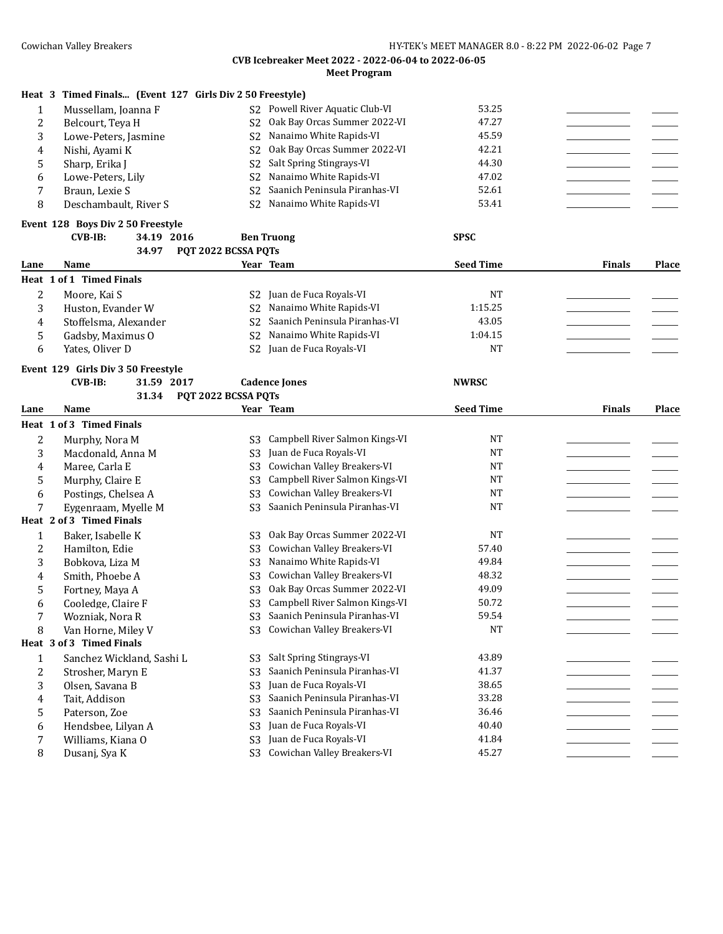## **CVB Icebreaker Meet 2022 - 2022-06-04 to 2022-06-05**

|                  |                                                          |                     | canci McCl2022 - 2022 00 07 to 2022 00<br><b>Meet Program</b> |                  |               |              |
|------------------|----------------------------------------------------------|---------------------|---------------------------------------------------------------|------------------|---------------|--------------|
|                  | Heat 3 Timed Finals (Event 127 Girls Div 2 50 Freestyle) |                     |                                                               |                  |               |              |
| 1                | Mussellam, Joanna F                                      | S2                  | Powell River Aquatic Club-VI                                  | 53.25            |               |              |
| 2                | Belcourt, Teya H                                         | S <sub>2</sub>      | Oak Bay Orcas Summer 2022-VI                                  | 47.27            |               |              |
| 3                | Lowe-Peters, Jasmine                                     | S <sub>2</sub>      | Nanaimo White Rapids-VI                                       | 45.59            |               |              |
| 4                | Nishi, Ayami K                                           | S <sub>2</sub>      | Oak Bay Orcas Summer 2022-VI                                  | 42.21            |               |              |
|                  |                                                          | S <sub>2</sub>      | Salt Spring Stingrays-VI                                      | 44.30            |               |              |
| 5                | Sharp, Erika J                                           |                     | Nanaimo White Rapids-VI                                       | 47.02            |               |              |
| 6                | Lowe-Peters, Lily                                        | S <sub>2</sub>      | Saanich Peninsula Piranhas-VI                                 | 52.61            |               |              |
| 7                | Braun, Lexie S                                           | S <sub>2</sub>      |                                                               | 53.41            |               |              |
| 8                | Deschambault, River S                                    | S <sub>2</sub>      | Nanaimo White Rapids-VI                                       |                  |               |              |
|                  | Event 128 Boys Div 2 50 Freestyle                        |                     |                                                               |                  |               |              |
|                  | $CVB-IB:$<br>34.19 2016                                  |                     | <b>Ben Truong</b>                                             | <b>SPSC</b>      |               |              |
|                  | 34.97                                                    | PQT 2022 BCSSA PQTs |                                                               |                  |               |              |
| Lane             | Name                                                     |                     | Year Team                                                     | <b>Seed Time</b> | <b>Finals</b> | Place        |
|                  | Heat 1 of 1 Timed Finals                                 |                     |                                                               |                  |               |              |
| $\boldsymbol{2}$ | Moore, Kai S                                             | S2                  | Juan de Fuca Royals-VI                                        | <b>NT</b>        |               |              |
| 3                | Huston, Evander W                                        | S2                  | Nanaimo White Rapids-VI                                       | 1:15.25          |               |              |
| 4                | Stoffelsma, Alexander                                    | S <sub>2</sub>      | Saanich Peninsula Piranhas-VI                                 | 43.05            |               |              |
| 5                | Gadsby, Maximus O                                        | S <sub>2</sub>      | Nanaimo White Rapids-VI                                       | 1:04.15          |               |              |
| 6                | Yates, Oliver D                                          | S <sub>2</sub>      | Juan de Fuca Royals-VI                                        | <b>NT</b>        |               |              |
|                  | Event 129 Girls Div 3 50 Freestyle                       |                     |                                                               |                  |               |              |
|                  | <b>CVB-IB:</b><br>31.59 2017                             |                     | <b>Cadence Jones</b>                                          | <b>NWRSC</b>     |               |              |
|                  | 31.34                                                    | PQT 2022 BCSSA PQTs |                                                               |                  |               |              |
| Lane             | Name                                                     |                     | Year Team                                                     | <b>Seed Time</b> | <b>Finals</b> | <b>Place</b> |
|                  | Heat 1 of 3 Timed Finals                                 |                     |                                                               |                  |               |              |
| 2                | Murphy, Nora M                                           | S3                  | Campbell River Salmon Kings-VI                                | <b>NT</b>        |               |              |
| 3                | Macdonald, Anna M                                        | S <sub>3</sub>      | Juan de Fuca Royals-VI                                        | <b>NT</b>        |               |              |
| 4                | Maree, Carla E                                           | S <sub>3</sub>      | Cowichan Valley Breakers-VI                                   | <b>NT</b>        |               |              |
| 5                | Murphy, Claire E                                         | S <sub>3</sub>      | Campbell River Salmon Kings-VI                                | NT               |               |              |
|                  | Postings, Chelsea A                                      | S <sub>3</sub>      | Cowichan Valley Breakers-VI                                   | <b>NT</b>        |               |              |
| 6<br>7           |                                                          | S <sub>3</sub>      | Saanich Peninsula Piranhas-VI                                 | <b>NT</b>        |               |              |
|                  | Eygenraam, Myelle M<br>Heat 2 of 3 Timed Finals          |                     |                                                               |                  |               |              |
|                  |                                                          |                     |                                                               |                  |               |              |
| $\mathbf{1}$     | Baker, Isabelle K                                        | S <sub>3</sub>      | Oak Bay Orcas Summer 2022-VI                                  | <b>NT</b>        |               |              |
| 2                | Hamilton, Edie                                           | S <sub>3</sub>      | Cowichan Valley Breakers-VI                                   | 57.40            |               |              |
| 3                | Bobkova, Liza M                                          | S <sub>3</sub>      | Nanaimo White Rapids-VI                                       | 49.84            |               |              |
| 4                | Smith, Phoebe A                                          | S <sub>3</sub>      | Cowichan Valley Breakers-VI                                   | 48.32            |               |              |
| 5                | Fortney, Maya A                                          |                     | S3 Oak Bay Orcas Summer 2022-VI                               | 49.09            |               |              |
| 6                | Cooledge, Claire F                                       | S3                  | Campbell River Salmon Kings-VI                                | 50.72            |               |              |
| 7                | Wozniak, Nora R                                          | S <sub>3</sub>      | Saanich Peninsula Piranhas-VI                                 | 59.54            |               |              |
| 8                | Van Horne, Miley V                                       | S <sub>3</sub>      | Cowichan Valley Breakers-VI                                   | <b>NT</b>        |               |              |
|                  | Heat 3 of 3 Timed Finals                                 |                     |                                                               |                  |               |              |
| 1                | Sanchez Wickland, Sashi L                                | S <sub>3</sub>      | Salt Spring Stingrays-VI                                      | 43.89            |               |              |
| 2                | Strosher, Maryn E                                        | S <sub>3</sub>      | Saanich Peninsula Piranhas-VI                                 | 41.37            |               |              |
| 3                | Olsen, Savana B                                          | S <sub>3</sub>      | Juan de Fuca Royals-VI                                        | 38.65            |               |              |
| 4                | Tait, Addison                                            | S <sub>3</sub>      | Saanich Peninsula Piranhas-VI                                 | 33.28            |               |              |
| 5                | Paterson, Zoe                                            | S <sub>3</sub>      | Saanich Peninsula Piranhas-VI                                 | 36.46            |               |              |
| 6                | Hendsbee, Lilyan A                                       | S <sub>3</sub>      | Juan de Fuca Royals-VI                                        | 40.40            |               |              |
| 7                | Williams, Kiana O                                        | S <sub>3</sub>      | Juan de Fuca Royals-VI                                        | 41.84            |               |              |
| 8                | Dusanj, Sya K                                            | S <sub>3</sub>      | Cowichan Valley Breakers-VI                                   | 45.27            |               |              |
|                  |                                                          |                     |                                                               |                  |               |              |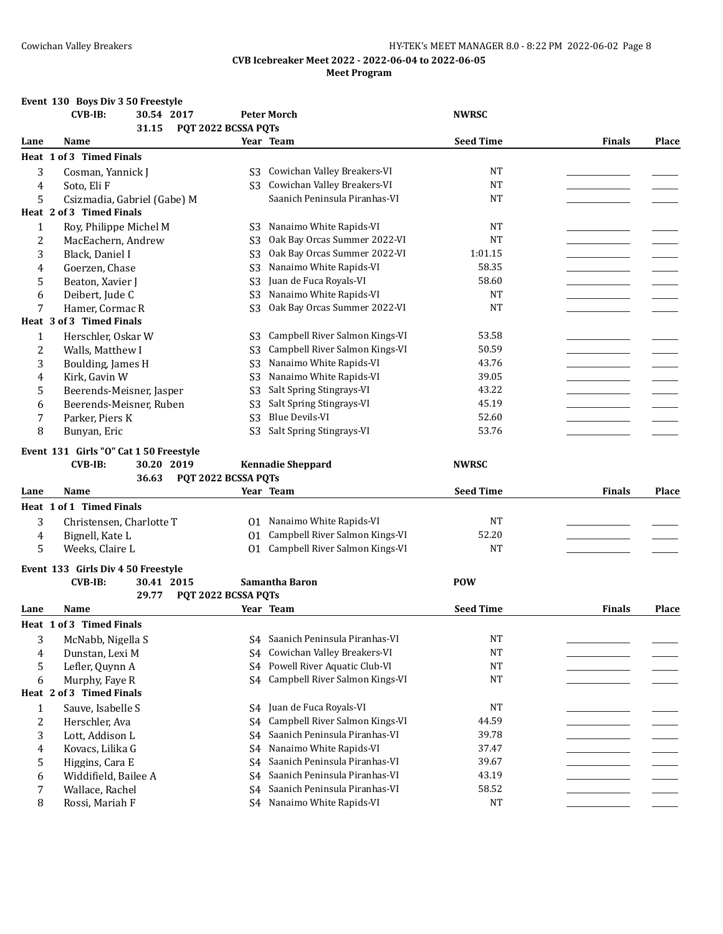## **Event 130 Boys Div 3 50 Freestyle**

|                  | <b>CVB-IB:</b><br>30.54 2017            |                                  | <b>Peter Morch</b>                                             | <b>NWRSC</b>     |               |       |
|------------------|-----------------------------------------|----------------------------------|----------------------------------------------------------------|------------------|---------------|-------|
|                  | 31.15                                   | PQT 2022 BCSSA PQTs              |                                                                |                  |               |       |
| Lane             | Name                                    |                                  | Year Team                                                      | <b>Seed Time</b> | <b>Finals</b> | Place |
|                  | Heat 1 of 3 Timed Finals                |                                  |                                                                |                  |               |       |
| 3                | Cosman, Yannick J                       | S3                               | Cowichan Valley Breakers-VI                                    | NT               |               |       |
| 4                | Soto, Eli F                             | S <sub>3</sub>                   | Cowichan Valley Breakers-VI                                    | <b>NT</b>        |               |       |
| 5                | Csizmadia, Gabriel (Gabe) M             |                                  | Saanich Peninsula Piranhas-VI                                  | <b>NT</b>        |               |       |
|                  | Heat 2 of 3 Timed Finals                |                                  |                                                                |                  |               |       |
| 1                | Roy, Philippe Michel M                  | S3                               | Nanaimo White Rapids-VI                                        | <b>NT</b>        |               |       |
| $\overline{2}$   | MacEachern, Andrew                      | S <sub>3</sub>                   | Oak Bay Orcas Summer 2022-VI                                   | <b>NT</b>        |               |       |
| 3                | Black, Daniel I                         | S <sub>3</sub>                   | Oak Bay Orcas Summer 2022-VI                                   | 1:01.15          |               |       |
| 4                | Goerzen, Chase                          | S <sub>3</sub>                   | Nanaimo White Rapids-VI                                        | 58.35            |               |       |
| 5                | Beaton, Xavier J                        | S <sub>3</sub>                   | Juan de Fuca Royals-VI                                         | 58.60            |               |       |
| 6                | Deibert, Jude C                         | S <sub>3</sub>                   | Nanaimo White Rapids-VI                                        | <b>NT</b>        |               |       |
| 7                | Hamer, Cormac R                         | S <sub>3</sub>                   | Oak Bay Orcas Summer 2022-VI                                   | <b>NT</b>        |               |       |
|                  | Heat 3 of 3 Timed Finals                |                                  |                                                                |                  |               |       |
| $\mathbf{1}$     | Herschler, Oskar W                      | S3                               | Campbell River Salmon Kings-VI                                 | 53.58            |               |       |
| $\boldsymbol{2}$ | Walls, Matthew I                        | S <sub>3</sub>                   | Campbell River Salmon Kings-VI                                 | 50.59            |               |       |
| 3                | Boulding, James H                       | S <sub>3</sub>                   | Nanaimo White Rapids-VI                                        | 43.76            |               |       |
| 4                | Kirk, Gavin W                           | S <sub>3</sub>                   | Nanaimo White Rapids-VI                                        | 39.05            |               |       |
| 5                | Beerends-Meisner, Jasper                | S <sub>3</sub>                   | Salt Spring Stingrays-VI                                       | 43.22            |               |       |
| 6                | Beerends-Meisner, Ruben                 | S <sub>3</sub>                   | Salt Spring Stingrays-VI                                       | 45.19            |               |       |
| 7                | Parker, Piers K                         | S <sub>3</sub>                   | Blue Devils-VI                                                 | 52.60            |               |       |
| 8                | Bunyan, Eric                            | S <sub>3</sub>                   | Salt Spring Stingrays-VI                                       | 53.76            |               |       |
|                  | Event 131 Girls "O" Cat 1 50 Freestyle  |                                  |                                                                |                  |               |       |
|                  |                                         |                                  |                                                                |                  |               |       |
|                  |                                         |                                  |                                                                |                  |               |       |
|                  | <b>CVB-IB:</b><br>30.20 2019            |                                  | <b>Kennadie Sheppard</b>                                       | <b>NWRSC</b>     |               |       |
|                  | 36.63                                   | PQT 2022 BCSSA PQTs              |                                                                |                  |               |       |
| Lane             | Name                                    |                                  | Year Team                                                      | <b>Seed Time</b> | <b>Finals</b> | Place |
|                  | Heat 1 of 1 Timed Finals                |                                  |                                                                |                  |               |       |
| 3                | Christensen, Charlotte T                | 01                               | Nanaimo White Rapids-VI                                        | NT               |               |       |
| 4                | Bignell, Kate L                         | 01                               | Campbell River Salmon Kings-VI                                 | 52.20            |               |       |
| 5                | Weeks, Claire L                         |                                  | 01 Campbell River Salmon Kings-VI                              | <b>NT</b>        |               |       |
|                  | Event 133 Girls Div 4 50 Freestyle      |                                  |                                                                |                  |               |       |
|                  | <b>CVB-IB:</b><br>30.41 2015            |                                  | Samantha Baron                                                 | <b>POW</b>       |               |       |
|                  | 29.77                                   | PQT 2022 BCSSA PQTs              |                                                                |                  |               |       |
| Lane             | Name                                    |                                  | Year Team                                                      | <b>Seed Time</b> | <b>Finals</b> | Place |
|                  | Heat 1 of 3 Timed Finals                |                                  |                                                                |                  |               |       |
| 3                | McNabb, Nigella S                       |                                  | S4 Saanich Peninsula Piranhas-VI                               | <b>NT</b>        |               |       |
| 4                | Dunstan, Lexi M                         | S4                               | Cowichan Valley Breakers-VI                                    | <b>NT</b>        |               |       |
| 5                | Lefler, Quynn A                         | S4                               | Powell River Aquatic Club-VI                                   | <b>NT</b>        |               |       |
| 6                | Murphy, Faye R                          | S4                               | Campbell River Salmon Kings-VI                                 | NT               |               |       |
|                  | Heat 2 of 3 Timed Finals                |                                  |                                                                |                  |               |       |
| 1                |                                         | S4                               | Juan de Fuca Royals-VI                                         | <b>NT</b>        |               |       |
|                  | Sauve, Isabelle S                       | S4                               | Campbell River Salmon Kings-VI                                 | 44.59            |               |       |
| $\overline{c}$   | Herschler, Ava                          | S4                               | Saanich Peninsula Piranhas-VI                                  |                  |               |       |
| 3                | Lott, Addison L                         | S4                               | Nanaimo White Rapids-VI                                        | 39.78<br>37.47   |               |       |
| 4                | Kovacs, Lilika G                        |                                  |                                                                |                  |               |       |
| 5                | Higgins, Cara E                         | S4                               | Saanich Peninsula Piranhas-VI                                  | 39.67            |               |       |
| 6<br>7           | Widdifield, Bailee A<br>Wallace, Rachel | S <sub>4</sub><br>S <sub>4</sub> | Saanich Peninsula Piranhas-VI<br>Saanich Peninsula Piranhas-VI | 43.19<br>58.52   |               |       |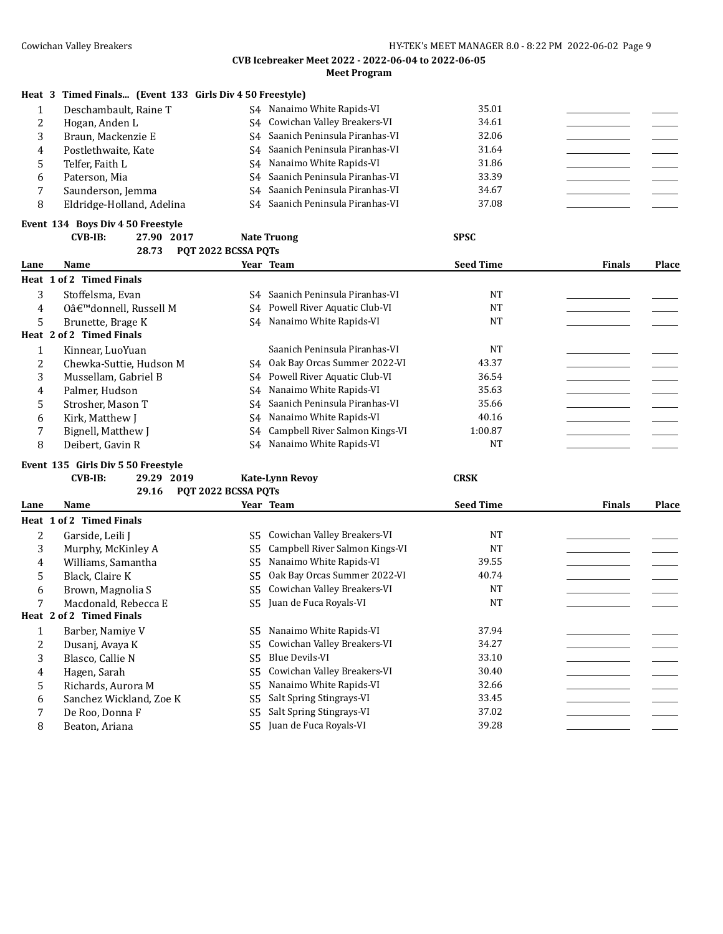## **Heat 3 Timed Finals... (Event 133 Girls Div 4 50 Freestyle)**

|   | Deschambault, Raine T     | Nanaimo White Rapids-VI<br>S4    | 35.01 |  |
|---|---------------------------|----------------------------------|-------|--|
|   | Hogan, Anden L            | S4 Cowichan Valley Breakers-VI   | 34.61 |  |
|   | Braun, Mackenzie E        | S4 Saanich Peninsula Piranhas-VI | 32.06 |  |
| 4 | Postlethwaite, Kate       | S4 Saanich Peninsula Piranhas-VI | 31.64 |  |
|   | Telfer, Faith L           | S4 Nanaimo White Rapids-VI       | 31.86 |  |
|   | Paterson, Mia             | S4 Saanich Peninsula Piranhas-VI | 33.39 |  |
|   | Saunderson, Jemma         | S4 Saanich Peninsula Piranhas-VI | 34.67 |  |
|   | Eldridge-Holland, Adelina | S4 Saanich Peninsula Piranhas-VI | 37.08 |  |

## **Event 134 Boys Div 4 50 Freestyle**

| $CVB-IB:$ | 27.90 2017 |                           | Nate Truong | SPSC |
|-----------|------------|---------------------------|-------------|------|
|           |            | 28.73 POT 2022 BCSSA POTS |             |      |

| Lane | <b>Name</b>              |    | Year Team                         | <b>Seed Time</b> | <b>Finals</b> | Place |
|------|--------------------------|----|-----------------------------------|------------------|---------------|-------|
|      | Heat 1 of 2 Timed Finals |    |                                   |                  |               |       |
| 3    | Stoffelsma, Evan         | S4 | Saanich Peninsula Piranhas-VI     | NT               |               |       |
| 4    | 0'donnell, Russell M     |    | S4 Powell River Aquatic Club-VI   | <b>NT</b>        |               |       |
| 5    | Brunette, Brage K        |    | S4 Nanaimo White Rapids-VI        | NT               |               |       |
|      | Heat 2 of 2 Timed Finals |    |                                   |                  |               |       |
| 1    | Kinnear, LuoYuan         |    | Saanich Peninsula Piranhas-VI     | <b>NT</b>        |               |       |
| 2    | Chewka-Suttie, Hudson M  |    | S4 Oak Bay Orcas Summer 2022-VI   | 43.37            |               |       |
| 3    | Mussellam, Gabriel B     |    | S4 Powell River Aquatic Club-VI   | 36.54            |               |       |
| 4    | Palmer, Hudson           |    | S4 Nanaimo White Rapids-VI        | 35.63            |               |       |
| 5.   | Strosher, Mason T        |    | S4 Saanich Peninsula Piranhas-VI  | 35.66            |               |       |
| 6    | Kirk, Matthew J          |    | S4 Nanaimo White Rapids-VI        | 40.16            |               |       |
| 7    | Bignell, Matthew J       |    | S4 Campbell River Salmon Kings-VI | 1:00.87          |               |       |
| 8    | Deibert, Gavin R         |    | S4 Nanaimo White Rapids-VI        | <b>NT</b>        |               |       |

## **Event 135 Girls Div 5 50 Freestyle**

## **CVB-IB: 29.29 2019 Kate-Lynn Revoy CRSK**

|      | 29.16                           | POT 2022 BCSSA POTS |                                |                  |               |              |
|------|---------------------------------|---------------------|--------------------------------|------------------|---------------|--------------|
| Lane | <b>Name</b>                     |                     | Year Team                      | <b>Seed Time</b> | <b>Finals</b> | <b>Place</b> |
|      | <b>Heat 1 of 2 Timed Finals</b> |                     |                                |                  |               |              |
| 2    | Garside, Leili J                | S5.                 | Cowichan Valley Breakers-VI    | <b>NT</b>        |               |              |
| 3    | Murphy, McKinley A              | S5                  | Campbell River Salmon Kings-VI | <b>NT</b>        |               |              |
| 4    | Williams. Samantha              | S5                  | Nanaimo White Rapids-VI        | 39.55            |               |              |
| 5    | Black, Claire K                 | S5                  | Oak Bay Orcas Summer 2022-VI   | 40.74            |               |              |
| 6    | Brown, Magnolia S               | S5                  | Cowichan Valley Breakers-VI    | <b>NT</b>        |               |              |
| 7    | Macdonald, Rebecca E            | S5                  | Juan de Fuca Royals-VI         | <b>NT</b>        |               |              |
|      | Heat 2 of 2 Timed Finals        |                     |                                |                  |               |              |
|      | Barber, Namiye V                | S5                  | Nanaimo White Rapids-VI        | 37.94            |               |              |
| 2    | Dusanj, Avaya K                 | S5                  | Cowichan Valley Breakers-VI    | 34.27            |               |              |
| 3    | Blasco, Callie N                | S5                  | Blue Devils-VI                 | 33.10            |               |              |
| 4    | Hagen, Sarah                    | S5                  | Cowichan Valley Breakers-VI    | 30.40            |               |              |
| 5    | Richards, Aurora M              | S5                  | Nanaimo White Rapids-VI        | 32.66            |               |              |
| 6    | Sanchez Wickland, Zoe K         | S5                  | Salt Spring Stingrays-VI       | 33.45            |               |              |
| 7    | De Roo, Donna F                 | S5                  | Salt Spring Stingrays-VI       | 37.02            |               |              |
| 8    | Beaton, Ariana                  | S5                  | Juan de Fuca Royals-VI         | 39.28            |               |              |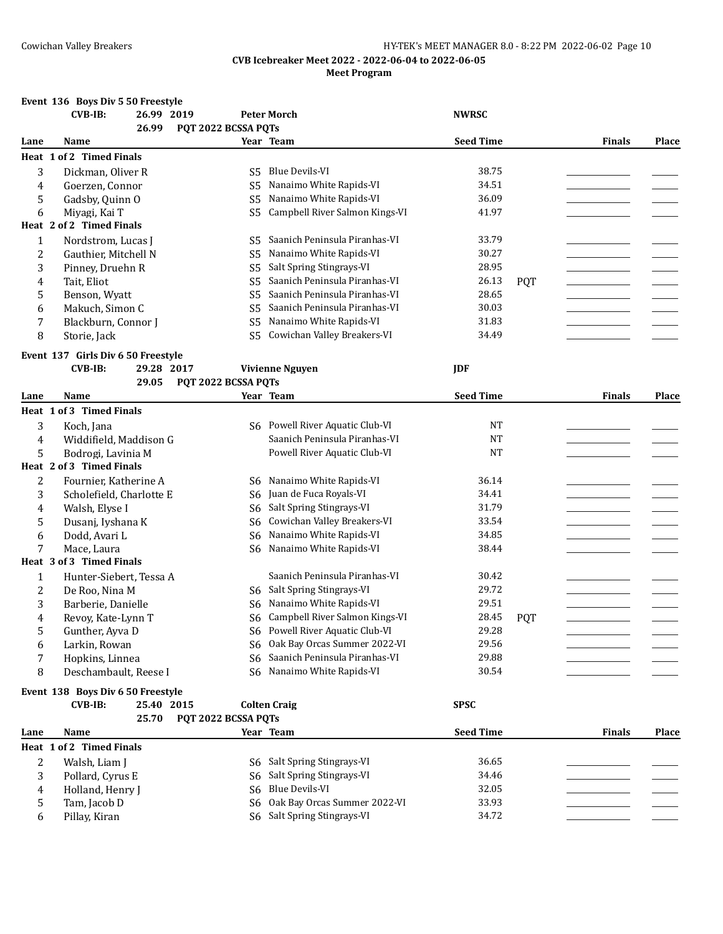#### Cowichan Valley Breakers **HY-TEK's MEET MANAGER 8.0 - 8:22 PM 2022-06-02** Page 10

#### **CVB Icebreaker Meet 2022 - 2022-06-04 to 2022-06-05 Meet Program**

## **Event 136 Boys Div 5 50 Freestyle CVB-IB: 26.99 2019 Peter Morch NWRSC 26.99 PQT 2022 BCSSA PQTs Lane Name Year Team Seed Time Finals Place Heat 1 of 2 Timed Finals** 3 Dickman, Oliver R S5 Blue Devils-VI 38.75 4 Goerzen, Connor S5 Nanaimo White Rapids-VI 34.51 5 Gadsby, Quinn O S5 Nanaimo White Rapids-VI 36.09 6 Miyagi, Kai T S5 Campbell River Salmon Kings-VI 41.97 **Heat 2 of 2 Timed Finals** 1 Nordstrom, Lucas I S5 Saanich Peninsula Piranhas-VI 33.79 2 Cauthier, Mitchell N S5 Nanaimo White Rapids-VI 30.27 3 Pinney, Druehn R S5 Salt Spring Stingrays-VI 28.95 4 Tait, Eliot S5 Saanich Peninsula Piranhas-VI 26.13 POT 5 Benson, Wyatt S5 Saanich Peninsula Piranhas-VI 28.65 6 Makuch, Simon C S5 Saanich Peninsula Piranhas-VI 30.03 7 Blackburn, Connor J S5 Nanaimo White Rapids-VI 31.83 8 Storie, Jack S5 Cowichan Valley Breakers-VI 34.49 **Event 137 Girls Div 6 50 Freestyle CVB-IB: 29.28 2017 Vivienne Nguyen JDF 29.05 PQT 2022 BCSSA PQTs Lane Name Year Team Seed Time Finals Place Heat 1 of 3 Timed Finals** 3 Koch, Jana S6 Powell River Aquatic Club-VI NT 4 Widdifield, Maddison G Saanich Peninsula Piranhas-VI NT 5 Bodrogi, Lavinia M Powell River Aquatic Club-VI NT \_\_\_\_\_\_\_\_\_\_\_\_\_\_\_\_\_ \_\_\_\_\_\_\_ **Heat 2 of 3 Timed Finals** 2 Fournier, Katherine A S6 Nanaimo White Rapids-VI 36.14 3 Scholefield, Charlotte E 56 Juan de Fuca Royals-VI 34.41 4 Walsh, Elyse I S6 Salt Spring Stingrays-VI 31.79 5 Dusanj, Ivshana K  $\sim$  S6 Cowichan Valley Breakers-VI 33.54 6 Dodd, Avari L S6 Nanaimo White Rapids-VI 34.85 \_\_\_\_\_\_\_\_\_\_\_\_\_\_\_\_\_ \_\_\_\_\_\_\_ 7 Mace, Laura S6 Nanaimo White Rapids-VI 38.44 \_\_\_\_\_\_\_\_\_\_\_\_\_\_\_\_\_ \_\_\_\_\_\_\_ **Heat 3 of 3 Timed Finals** 1 Hunter-Siebert, Tessa A Saanich Peninsula Piranhas-VI 30.42<br>2 De Roo Nina M S6 Salt Spring Stingrays-VI 29.72 2 De Roo, Nina M S6 Salt Spring Stingrays-VI 29.72 \_\_\_\_\_\_\_\_\_\_\_\_\_\_\_\_\_ \_\_\_\_\_\_\_ 3 Barberie, Danielle S6 Nanaimo White Rapids-VI 4 Revoy, Kate-Lynn T S6 Campbell River Salmon Kings-VI 28.45 PQT \_\_\_\_\_\_\_\_\_\_\_\_\_\_\_\_\_ \_\_\_\_\_\_\_ 5 Gunther, Ayva D S6 Powell River Aquatic Club-VI 6 Larkin, Rowan S6 Oak Bay Orcas Summer 2022-VI 29.56 7 Hopkins, Linnea S6 Saanich Peninsula Piranhas-VI 29.88 8 Deschambault, Reese I S6 Nanaimo White Rapids-VI 30.54 **Event 138 Boys Div 6 50 Freestyle CVB-IB: 25.40 2015 Colten Craig SPSC 25.70 PQT 2022 BCSSA PQTs Lane Name Year Team Seed Time Finals Place Heat 1 of 2 Timed Finals** 2 Walsh, Liam J S6 Salt Spring Stingrays-VI 36.65 3 Pollard, Cyrus E S6 Salt Spring Stingrays-VI 34.46 4 Holland, Henry J S6 Blue Devils-VI 32.05 5 Tam, Jacob D S6 Oak Bay Orcas Summer 2022-VI 33.93

6 Pillay, Kiran S6 Salt Spring Stingrays-VI 34.72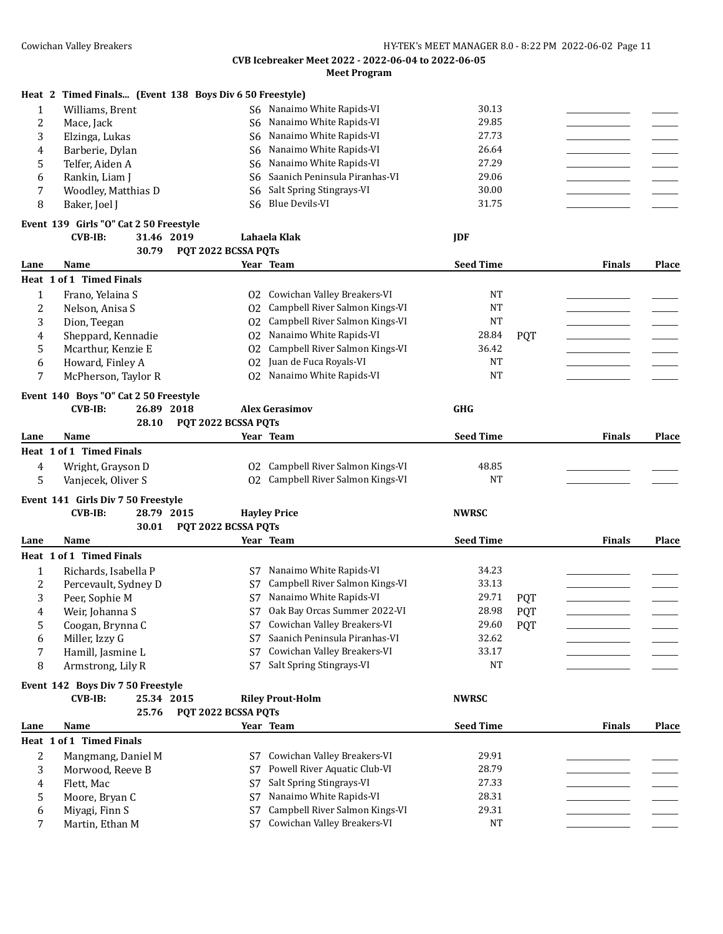|  |  |  |  | Heat 2 Timed Finals (Event 138 Boys Div 6 50 Freestyle) |
|--|--|--|--|---------------------------------------------------------|
|--|--|--|--|---------------------------------------------------------|

|   | Williams, Brent     | S6 Nanaimo White Rapids-VI       | 30.13 |  |
|---|---------------------|----------------------------------|-------|--|
|   | Mace, Jack          | S6 Nanaimo White Rapids-VI       | 29.85 |  |
|   | Elzinga, Lukas      | S6 Nanaimo White Rapids-VI       | 27.73 |  |
| 4 | Barberie, Dylan     | S6 Nanaimo White Rapids-VI       | 26.64 |  |
|   | Telfer, Aiden A     | S6 Nanaimo White Rapids-VI       | 27.29 |  |
| 6 | Rankin. Liam I      | S6 Saanich Peninsula Piranhas-VI | 29.06 |  |
|   | Woodley, Matthias D | S6 Salt Spring Stingrays-VI      | 30.00 |  |
|   | Baker. Joel J       | S6 Blue Devils-VI                | 31.75 |  |

## **Event 139 Girls "O" Cat 2 50 Freestyle**

| CVB-IB: | 31.46 2019 |                           | Lahaela Klak | IDF |
|---------|------------|---------------------------|--------------|-----|
|         |            | 30.79 POT 2022 BCSSA POTS |              |     |

| Lane         | <b>Name</b>                           |                     |                 | Year Team                      | <b>Seed Time</b> |            | <b>Finals</b> | Place |
|--------------|---------------------------------------|---------------------|-----------------|--------------------------------|------------------|------------|---------------|-------|
|              | Heat 1 of 1 Timed Finals              |                     |                 |                                |                  |            |               |       |
| $\mathbf{1}$ | Frano, Yelaina S                      |                     | 02 <sub>z</sub> | Cowichan Valley Breakers-VI    | <b>NT</b>        |            |               |       |
| 2            | Nelson, Anisa S                       |                     | 02              | Campbell River Salmon Kings-VI | <b>NT</b>        |            |               |       |
| 3            | Dion, Teegan                          |                     | 02              | Campbell River Salmon Kings-VI | <b>NT</b>        |            |               |       |
| 4            | Sheppard, Kennadie                    |                     | 0 <sub>2</sub>  | Nanaimo White Rapids-VI        | 28.84            | <b>POT</b> |               |       |
| 5            | Mcarthur, Kenzie E                    |                     | 02              | Campbell River Salmon Kings-VI | 36.42            |            |               |       |
| 6            | Howard, Finley A                      |                     | 02              | Juan de Fuca Royals-VI         | <b>NT</b>        |            |               |       |
| 7            | McPherson, Taylor R                   |                     | 02 <sub>2</sub> | Nanaimo White Rapids-VI        | <b>NT</b>        |            |               |       |
|              | Event 140 Boys "O" Cat 2 50 Freestyle |                     |                 |                                |                  |            |               |       |
|              | <b>CVB-IB:</b>                        | 26.89 2018          |                 | <b>Alex Gerasimov</b>          | <b>GHG</b>       |            |               |       |
|              | 28.10                                 | PQT 2022 BCSSA PQTs |                 |                                |                  |            |               |       |
| Lane         | <b>Name</b>                           |                     |                 | Year Team                      | <b>Seed Time</b> |            | <b>Finals</b> | Place |
|              | Heat 1 of 1 Timed Finals              |                     |                 |                                |                  |            |               |       |
| 4            | Wright, Grayson D                     |                     | 02 <sub>2</sub> | Campbell River Salmon Kings-VI | 48.85            |            |               |       |
| 5            | Vanjecek, Oliver S                    |                     | 02              | Campbell River Salmon Kings-VI | <b>NT</b>        |            |               |       |
|              | Event 141 Girls Div 7 50 Freestyle    |                     |                 |                                |                  |            |               |       |
|              | <b>CVB-IB:</b>                        | 28.79 2015          |                 | <b>Havley Price</b>            | <b>NWRSC</b>     |            |               |       |
|              | 30.01                                 | PQT 2022 BCSSA PQTs |                 |                                |                  |            |               |       |
| Lane         | Name                                  |                     |                 | Year Team                      | <b>Seed Time</b> |            | <b>Finals</b> | Place |
|              | Heat 1 of 1 Timed Finals              |                     |                 |                                |                  |            |               |       |
| $\mathbf{1}$ | Richards, Isabella P                  |                     | S7              | Nanaimo White Rapids-VI        | 34.23            |            |               |       |
| 2            | Percevault, Sydney D                  |                     | S7              | Campbell River Salmon Kings-VI | 33.13            |            |               |       |
| 3            | Peer, Sophie M                        |                     | S7              | Nanaimo White Rapids-VI        | 29.71            | <b>POT</b> |               |       |
| 4            | Weir, Johanna S                       |                     | S7              | Oak Bay Orcas Summer 2022-VI   | 28.98            | PQT        |               |       |
| 5            | Coogan, Brynna C                      |                     | S7              | Cowichan Valley Breakers-VI    | 29.60            | PQT        |               |       |
| 6            | Miller, Izzy G                        |                     | S7              | Saanich Peninsula Piranhas-VI  | 32.62            |            |               |       |
| 7            | Hamill, Jasmine L                     |                     | S7              | Cowichan Valley Breakers-VI    | 33.17            |            |               |       |
| 8            | Armstrong, Lily R                     |                     | S7              | Salt Spring Stingrays-VI       | NT               |            |               |       |
|              | Event 142 Boys Div 7 50 Freestyle     |                     |                 |                                |                  |            |               |       |
|              | <b>CVB-IB:</b>                        | 25.34 2015          |                 | <b>Riley Prout-Holm</b>        | <b>NWRSC</b>     |            |               |       |
|              | 25.76                                 | PQT 2022 BCSSA PQTs |                 |                                |                  |            |               |       |

|      |                          | $20.70 - 101$ 2022 DC0011 013 |                                |                  |               |              |
|------|--------------------------|-------------------------------|--------------------------------|------------------|---------------|--------------|
| Lane | <b>Name</b>              |                               | Year Team                      | <b>Seed Time</b> | <b>Finals</b> | <b>Place</b> |
|      | Heat 1 of 1 Timed Finals |                               |                                |                  |               |              |
| ∼    | Mangmang, Daniel M       | S7                            | Cowichan Valley Breakers-VI    | 29.91            |               |              |
|      | Morwood, Reeve B         | S7                            | Powell River Aquatic Club-VI   | 28.79            |               |              |
| 4    | Flett. Mac               | S7                            | Salt Spring Stingrays-VI       | 27.33            |               |              |
|      | Moore, Bryan C           | S7                            | Nanaimo White Rapids-VI        | 28.31            |               |              |
| b    | Miyagi, Finn S           | S7                            | Campbell River Salmon Kings-VI | 29.31            |               |              |
|      | Martin, Ethan M          | S7                            | Cowichan Valley Breakers-VI    | NT               |               |              |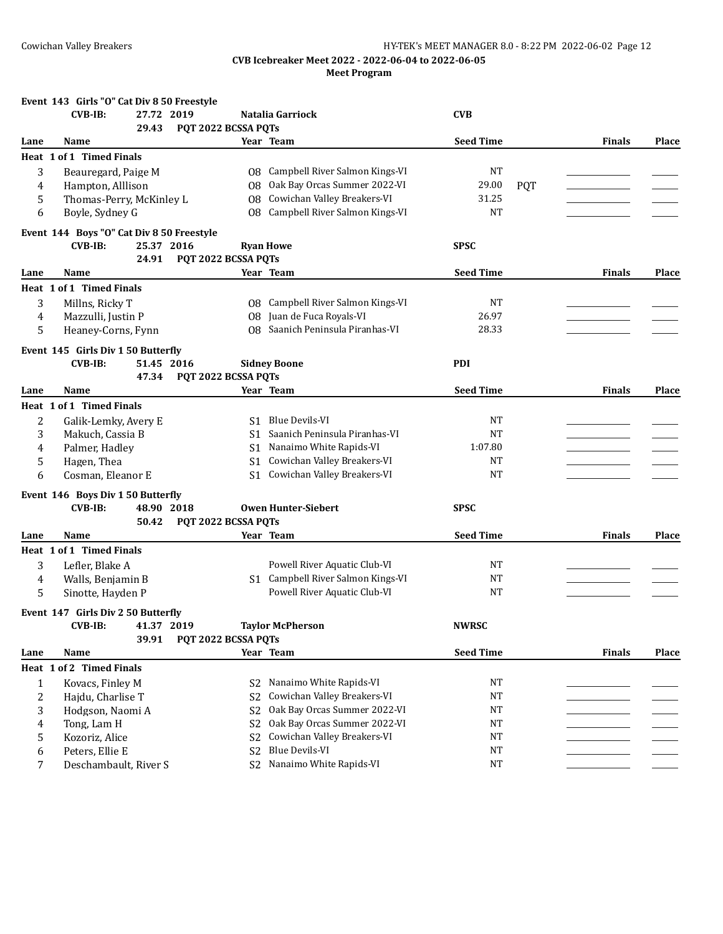|      | Event 143 Girls "O" Cat Div 8 50 Freestyle |                     |                                          |                  |            |               |              |
|------|--------------------------------------------|---------------------|------------------------------------------|------------------|------------|---------------|--------------|
|      | $CVB-IB:$<br>27.72 2019                    |                     | Natalia Garriock                         | <b>CVB</b>       |            |               |              |
|      | 29.43                                      | PQT 2022 BCSSA PQTs |                                          |                  |            |               |              |
| Lane | Name                                       |                     | Year Team                                | <b>Seed Time</b> |            | <b>Finals</b> | Place        |
|      | Heat 1 of 1 Timed Finals                   |                     |                                          |                  |            |               |              |
| 3    | Beauregard, Paige M                        |                     | <b>08</b> Campbell River Salmon Kings-VI | NT               |            |               |              |
| 4    | Hampton, Alllison                          | 08                  | Oak Bay Orcas Summer 2022-VI             | 29.00            | <b>PQT</b> |               |              |
| 5    | Thomas-Perry, McKinley L                   | 08                  | Cowichan Valley Breakers-VI              | 31.25            |            |               |              |
| 6    | Boyle, Sydney G                            | 08                  | Campbell River Salmon Kings-VI           | <b>NT</b>        |            |               |              |
|      | Event 144 Boys "O" Cat Div 8 50 Freestyle  |                     |                                          |                  |            |               |              |
|      | $CVB-IB$ :<br>25.37 2016                   |                     | <b>Ryan Howe</b>                         | <b>SPSC</b>      |            |               |              |
|      | 24.91                                      | PQT 2022 BCSSA PQTs |                                          |                  |            |               |              |
| Lane | Name                                       |                     | Year Team                                | <b>Seed Time</b> |            | <b>Finals</b> | Place        |
|      | <b>Heat 1 of 1 Timed Finals</b>            |                     |                                          |                  |            |               |              |
| 3    | Millns, Ricky T                            |                     | 08 Campbell River Salmon Kings-VI        | <b>NT</b>        |            |               |              |
| 4    | Mazzulli, Justin P                         |                     | 08 Juan de Fuca Royals-VI                | 26.97            |            |               |              |
|      | Heaney-Corns, Fynn                         | 08                  | Saanich Peninsula Piranhas-VI            | 28.33            |            |               |              |
| 5    |                                            |                     |                                          |                  |            |               |              |
|      | Event 145 Girls Div 1 50 Butterfly         |                     |                                          |                  |            |               |              |
|      | <b>CVB-IB:</b><br>51.45 2016               |                     | <b>Sidney Boone</b>                      | <b>PDI</b>       |            |               |              |
|      | 47.34                                      | PQT 2022 BCSSA PQTs |                                          |                  |            |               |              |
| Lane | Name                                       |                     | Year Team                                | <b>Seed Time</b> |            | <b>Finals</b> | Place        |
|      | Heat 1 of 1 Timed Finals                   |                     |                                          |                  |            |               |              |
| 2    | Galik-Lemky, Avery E                       | S1                  | Blue Devils-VI                           | NT               |            |               |              |
| 3    | Makuch, Cassia B                           | S1.                 | Saanich Peninsula Piranhas-VI            | <b>NT</b>        |            |               |              |
| 4    | Palmer, Hadley                             | S <sub>1</sub>      | Nanaimo White Rapids-VI                  | 1:07.80          |            |               |              |
| 5    | Hagen, Thea                                | S1                  | Cowichan Valley Breakers-VI              | NT               |            |               |              |
| 6    | Cosman, Eleanor E                          |                     | S1 Cowichan Valley Breakers-VI           | <b>NT</b>        |            |               |              |
|      | Event 146 Boys Div 1 50 Butterfly          |                     |                                          |                  |            |               |              |
|      | <b>CVB-IB:</b><br>48.90 2018               |                     | <b>Owen Hunter-Siebert</b>               | <b>SPSC</b>      |            |               |              |
|      | 50.42                                      | PQT 2022 BCSSA PQTs |                                          |                  |            |               |              |
| Lane | Name                                       |                     | Year Team                                | <b>Seed Time</b> |            | <b>Finals</b> | <b>Place</b> |
|      | Heat 1 of 1 Timed Finals                   |                     |                                          |                  |            |               |              |
|      |                                            |                     |                                          |                  |            |               |              |
| 3    | Lefler, Blake A                            |                     | Powell River Aquatic Club-VI             | NT<br><b>NT</b>  |            |               |              |
| 4    | Walls, Benjamin B                          |                     | S1 Campbell River Salmon Kings-VI        | <b>NT</b>        |            |               |              |
| 5    | Sinotte, Hayden P                          |                     | Powell River Aquatic Club-VI             |                  |            |               |              |
|      | Event 147 Girls Div 2 50 Butterfly         |                     |                                          |                  |            |               |              |
|      | <b>CVB-IB:</b><br>41.37 2019               |                     | <b>Taylor McPherson</b>                  | <b>NWRSC</b>     |            |               |              |
|      | 39.91                                      | PQT 2022 BCSSA PQTs |                                          |                  |            |               |              |
| Lane | Name                                       |                     | Year Team                                | <b>Seed Time</b> |            | <b>Finals</b> | Place        |
|      | Heat 1 of 2 Timed Finals                   |                     |                                          |                  |            |               |              |
| 1    | Kovacs, Finley M                           | S2                  | Nanaimo White Rapids-VI                  | NT               |            |               |              |
| 2    | Hajdu, Charlise T                          | S <sub>2</sub>      | Cowichan Valley Breakers-VI              | NT               |            |               |              |
| 3    | Hodgson, Naomi A                           | S <sub>2</sub>      | Oak Bay Orcas Summer 2022-VI             | $_{\rm NT}$      |            |               |              |
| 4    | Tong, Lam H                                | S <sub>2</sub>      | Oak Bay Orcas Summer 2022-VI             | $_{\rm NT}$      |            |               |              |
| 5    | Kozoriz, Alice                             | S <sub>2</sub>      | Cowichan Valley Breakers-VI              | $_{\rm NT}$      |            |               |              |
| 6    | Peters, Ellie E                            | S <sub>2</sub>      | <b>Blue Devils-VI</b>                    | NT               |            |               |              |
| 7    | Deschambault, River S                      | S <sub>2</sub>      | Nanaimo White Rapids-VI                  | $_{\rm NT}$      |            |               |              |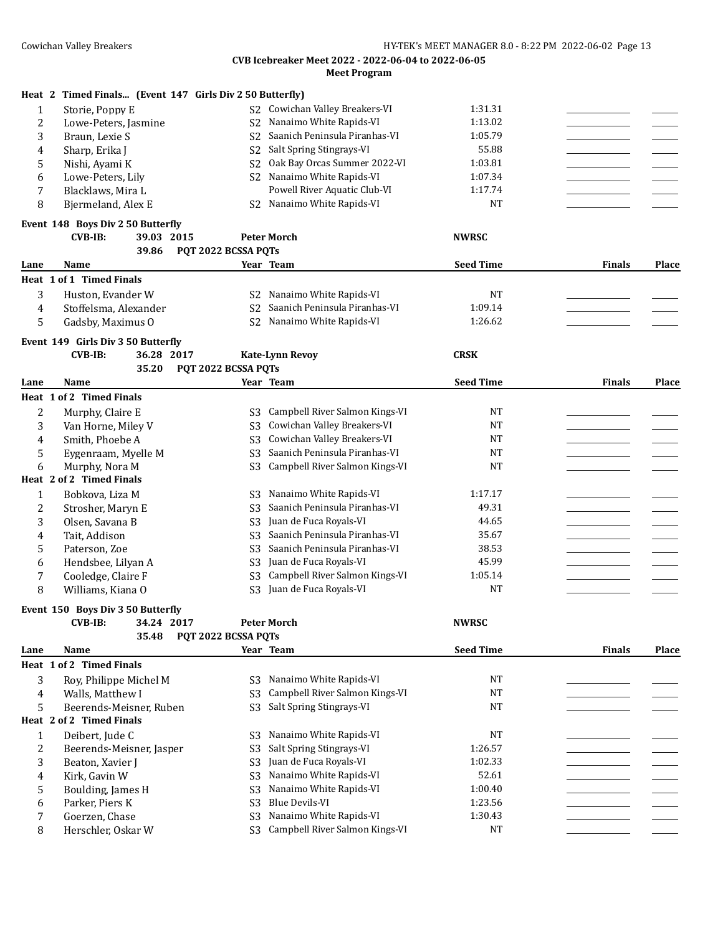|      | Heat 2 Timed Finals (Event 147 Girls Div 2 50 Butterfly) |                     |                                |                  |               |       |
|------|----------------------------------------------------------|---------------------|--------------------------------|------------------|---------------|-------|
| 1    | Storie, Poppy E                                          | S <sub>2</sub>      | Cowichan Valley Breakers-VI    | 1:31.31          |               |       |
| 2    | Lowe-Peters, Jasmine                                     | S <sub>2</sub>      | Nanaimo White Rapids-VI        | 1:13.02          |               |       |
| 3    | Braun, Lexie S                                           | S <sub>2</sub>      | Saanich Peninsula Piranhas-VI  | 1:05.79          |               |       |
| 4    | Sharp, Erika J                                           | S <sub>2</sub>      | Salt Spring Stingrays-VI       | 55.88            |               |       |
| 5    | Nishi, Ayami K                                           | S <sub>2</sub>      | Oak Bay Orcas Summer 2022-VI   | 1:03.81          |               |       |
| 6    | Lowe-Peters, Lily                                        | S <sub>2</sub>      | Nanaimo White Rapids-VI        | 1:07.34          |               |       |
| 7    | Blacklaws, Mira L                                        |                     | Powell River Aquatic Club-VI   | 1:17.74          |               |       |
| 8    | Bjermeland, Alex E                                       | S2                  | Nanaimo White Rapids-VI        | <b>NT</b>        |               |       |
|      | Event 148 Boys Div 2 50 Butterfly                        |                     |                                |                  |               |       |
|      | <b>CVB-IB:</b><br>39.03 2015                             |                     | <b>Peter Morch</b>             | <b>NWRSC</b>     |               |       |
|      | 39.86                                                    | PQT 2022 BCSSA PQTs |                                |                  |               |       |
| Lane | Name                                                     |                     | Year Team                      | <b>Seed Time</b> | <b>Finals</b> | Place |
|      | Heat 1 of 1 Timed Finals                                 |                     |                                |                  |               |       |
| 3    | Huston, Evander W                                        | S2                  | Nanaimo White Rapids-VI        | NT               |               |       |
| 4    | Stoffelsma, Alexander                                    | S <sub>2</sub>      | Saanich Peninsula Piranhas-VI  | 1:09.14          |               |       |
| 5    | Gadsby, Maximus O                                        | S <sub>2</sub>      | Nanaimo White Rapids-VI        | 1:26.62          |               |       |
|      | Event 149 Girls Div 3 50 Butterfly                       |                     |                                |                  |               |       |
|      | <b>CVB-IB:</b><br>36.28 2017                             |                     | <b>Kate-Lynn Revoy</b>         | <b>CRSK</b>      |               |       |
|      | 35.20                                                    | PQT 2022 BCSSA PQTs |                                |                  |               |       |
| Lane | Name                                                     |                     | Year Team                      | <b>Seed Time</b> | <b>Finals</b> | Place |
|      | Heat 1 of 2 Timed Finals                                 |                     |                                |                  |               |       |
| 2    | Murphy, Claire E                                         | S3                  | Campbell River Salmon Kings-VI | <b>NT</b>        |               |       |
| 3    | Van Horne, Miley V                                       | S <sub>3</sub>      | Cowichan Valley Breakers-VI    | <b>NT</b>        |               |       |
| 4    | Smith, Phoebe A                                          | S <sub>3</sub>      | Cowichan Valley Breakers-VI    | <b>NT</b>        |               |       |
| 5    | Eygenraam, Myelle M                                      | S <sub>3</sub>      | Saanich Peninsula Piranhas-VI  | NT               |               |       |
| 6    | Murphy, Nora M                                           | S <sub>3</sub>      | Campbell River Salmon Kings-VI | <b>NT</b>        |               |       |
|      | Heat 2 of 2 Timed Finals                                 |                     |                                |                  |               |       |
| 1    | Bobkova, Liza M                                          | S3                  | Nanaimo White Rapids-VI        | 1:17.17          |               |       |
| 2    | Strosher, Maryn E                                        | S <sub>3</sub>      | Saanich Peninsula Piranhas-VI  | 49.31            |               |       |
| 3    | Olsen, Savana B                                          | S <sub>3</sub>      | Juan de Fuca Royals-VI         | 44.65            |               |       |
| 4    | Tait, Addison                                            | S <sub>3</sub>      | Saanich Peninsula Piranhas-VI  | 35.67            |               |       |
| 5    | Paterson, Zoe                                            | S <sub>3</sub>      | Saanich Peninsula Piranhas-VI  | 38.53            |               |       |
| 6    | Hendsbee, Lilyan A                                       | S <sub>3</sub>      | Juan de Fuca Royals-VI         | 45.99            |               |       |
| 7    | Cooledge, Claire F                                       | S <sub>3</sub>      | Campbell River Salmon Kings-VI | 1:05.14          |               |       |
| 8    | Williams, Kiana O                                        | S <sub>3</sub>      | Juan de Fuca Royals-VI         | <b>NT</b>        |               |       |
|      | Event 150 Boys Div 3 50 Butterfly                        |                     |                                |                  |               |       |
|      | 34.24 2017<br><b>CVB-IB:</b>                             |                     | <b>Peter Morch</b>             | <b>NWRSC</b>     |               |       |
|      | 35.48                                                    | PQT 2022 BCSSA PQTs |                                |                  |               |       |
| Lane | Name                                                     |                     | Year Team                      | <b>Seed Time</b> | <b>Finals</b> | Place |
|      | Heat 1 of 2 Timed Finals                                 |                     |                                |                  |               |       |
| 3    | Roy, Philippe Michel M                                   | S <sub>3</sub>      | Nanaimo White Rapids-VI        | NT               |               |       |
| 4    | Walls, Matthew I                                         | S <sub>3</sub>      | Campbell River Salmon Kings-VI | <b>NT</b>        |               |       |
| 5    | Beerends-Meisner, Ruben                                  | S <sub>3</sub>      | Salt Spring Stingrays-VI       | $_{\rm NT}$      |               |       |
|      | Heat 2 of 2 Timed Finals                                 |                     |                                |                  |               |       |
| 1    | Deibert, Jude C                                          | S <sub>3</sub>      | Nanaimo White Rapids-VI        | $_{\rm NT}$      |               |       |
| 2    | Beerends-Meisner, Jasper                                 | S <sub>3</sub>      | Salt Spring Stingrays-VI       | 1:26.57          |               |       |
| 3    | Beaton, Xavier J                                         | S <sub>3</sub>      | Juan de Fuca Royals-VI         | 1:02.33          |               |       |
| 4    | Kirk, Gavin W                                            | S <sub>3</sub>      | Nanaimo White Rapids-VI        | 52.61            |               |       |
| 5    | Boulding, James H                                        | S <sub>3</sub>      | Nanaimo White Rapids-VI        | 1:00.40          |               |       |
| 6    | Parker, Piers K                                          | S <sub>3</sub>      | <b>Blue Devils-VI</b>          | 1:23.56          |               |       |
| 7    | Goerzen, Chase                                           | S <sub>3</sub>      | Nanaimo White Rapids-VI        | 1:30.43          |               |       |
| 8    | Herschler, Oskar W                                       | S <sub>3</sub>      | Campbell River Salmon Kings-VI | NT               |               |       |
|      |                                                          |                     |                                |                  |               |       |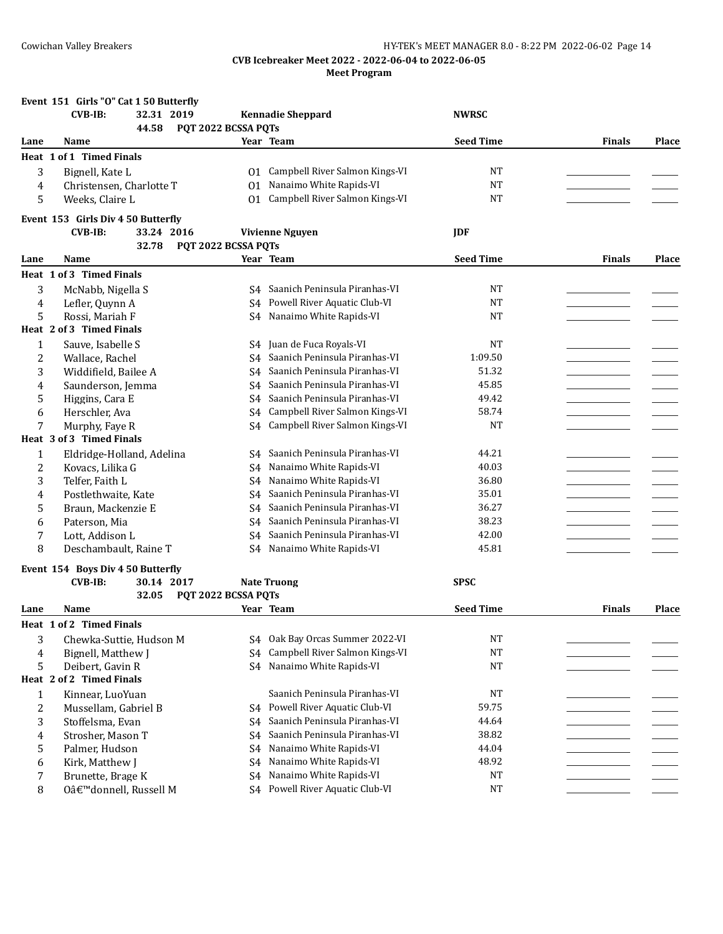## Cowichan Valley Breakers **Exercise 2018** HY-TEK's MEET MANAGER 8.0 - 8:22 PM 2022-06-02 Page 14

|              | Event 151 Girls "O" Cat 1 50 Butterfly |                     |                                  |                  |               |       |
|--------------|----------------------------------------|---------------------|----------------------------------|------------------|---------------|-------|
|              | <b>CVB-IB:</b><br>32.31 2019           |                     | <b>Kennadie Sheppard</b>         | <b>NWRSC</b>     |               |       |
|              | 44.58                                  | PQT 2022 BCSSA PQTs |                                  |                  |               |       |
| Lane         | Name                                   |                     | Year Team                        | <b>Seed Time</b> | <b>Finals</b> | Place |
|              | Heat 1 of 1 Timed Finals               |                     |                                  |                  |               |       |
| 3            | Bignell, Kate L                        | 01.                 | Campbell River Salmon Kings-VI   | <b>NT</b>        |               |       |
| 4            | Christensen, Charlotte T               |                     | 01 Nanaimo White Rapids-VI       | <b>NT</b>        |               |       |
| 5            | Weeks, Claire L                        | 01                  | Campbell River Salmon Kings-VI   | <b>NT</b>        |               |       |
|              | Event 153 Girls Div 4 50 Butterfly     |                     |                                  |                  |               |       |
|              | <b>CVB-IB:</b><br>33.24 2016           |                     | <b>Vivienne Nguyen</b>           | <b>JDF</b>       |               |       |
|              | 32.78                                  | PQT 2022 BCSSA PQTs |                                  |                  |               |       |
| Lane         | Name                                   |                     | Year Team                        | <b>Seed Time</b> | <b>Finals</b> | Place |
|              | Heat 1 of 3 Timed Finals               |                     |                                  |                  |               |       |
| 3            | McNabb, Nigella S                      |                     | S4 Saanich Peninsula Piranhas-VI | NT               |               |       |
| 4            | Lefler, Quynn A                        | S4                  | Powell River Aquatic Club-VI     | <b>NT</b>        |               |       |
| 5            | Rossi, Mariah F                        |                     | S4 Nanaimo White Rapids-VI       | <b>NT</b>        |               |       |
|              | Heat 2 of 3 Timed Finals               |                     |                                  |                  |               |       |
| 1            | Sauve, Isabelle S                      |                     | S4 Juan de Fuca Royals-VI        | NT               |               |       |
| 2            | Wallace, Rachel                        | S4                  | Saanich Peninsula Piranhas-VI    | 1:09.50          |               |       |
| 3            | Widdifield, Bailee A                   | S4                  | Saanich Peninsula Piranhas-VI    | 51.32            |               |       |
| 4            | Saunderson, Jemma                      | S <sub>4</sub>      | Saanich Peninsula Piranhas-VI    | 45.85            |               |       |
| 5            | Higgins, Cara E                        | S <sub>4</sub>      | Saanich Peninsula Piranhas-VI    | 49.42            |               |       |
| 6            | Herschler, Ava                         | S <sub>4</sub>      | Campbell River Salmon Kings-VI   | 58.74            |               |       |
| 7            | Murphy, Faye R                         | S4                  | Campbell River Salmon Kings-VI   | <b>NT</b>        |               |       |
|              | Heat 3 of 3 Timed Finals               |                     |                                  |                  |               |       |
| $\mathbf{1}$ | Eldridge-Holland, Adelina              | S4                  | Saanich Peninsula Piranhas-VI    | 44.21            |               |       |
| 2            | Kovacs, Lilika G                       | S4                  | Nanaimo White Rapids-VI          | 40.03            |               |       |
| 3            | Telfer, Faith L                        | S <sub>4</sub>      | Nanaimo White Rapids-VI          | 36.80            |               |       |
| 4            | Postlethwaite, Kate                    | S4                  | Saanich Peninsula Piranhas-VI    | 35.01            |               |       |
| 5            | Braun, Mackenzie E                     | S4                  | Saanich Peninsula Piranhas-VI    | 36.27            |               |       |
| 6            | Paterson, Mia                          | S <sub>4</sub>      | Saanich Peninsula Piranhas-VI    | 38.23            |               |       |
| 7            | Lott, Addison L                        | S <sub>4</sub>      | Saanich Peninsula Piranhas-VI    | 42.00            |               |       |
| 8            | Deschambault, Raine T                  |                     | S4 Nanaimo White Rapids-VI       | 45.81            |               |       |
|              | Event 154 Boys Div 4 50 Butterfly      |                     |                                  |                  |               |       |
|              | <b>CVB-IB:</b><br>30.14 2017           |                     | <b>Nate Truong</b>               | <b>SPSC</b>      |               |       |
|              | 32.05                                  | PQT 2022 BCSSA PQTs |                                  |                  |               |       |
| Lane         | Name                                   |                     | Year Team                        | <b>Seed Time</b> | <b>Finals</b> | Place |
|              | Heat 1 of 2 Timed Finals               |                     |                                  |                  |               |       |
| 3            | Chewka-Suttie, Hudson M                |                     | S4 Oak Bay Orcas Summer 2022-VI  | <b>NT</b>        |               |       |
| 4            | Bignell, Matthew J                     | S4                  | Campbell River Salmon Kings-VI   | <b>NT</b>        |               |       |
| 5            | Deibert, Gavin R                       |                     | S4 Nanaimo White Rapids-VI       | <b>NT</b>        |               |       |
|              | Heat 2 of 2 Timed Finals               |                     |                                  |                  |               |       |
| $\mathbf{1}$ | Kinnear, LuoYuan                       |                     | Saanich Peninsula Piranhas-VI    | <b>NT</b>        |               |       |
| 2            | Mussellam, Gabriel B                   |                     | S4 Powell River Aquatic Club-VI  | 59.75            |               |       |
| 3            | Stoffelsma, Evan                       | S4                  | Saanich Peninsula Piranhas-VI    | 44.64            |               |       |
| 4            | Strosher, Mason T                      | S4                  | Saanich Peninsula Piranhas-VI    | 38.82            |               |       |
| 5            | Palmer, Hudson                         | S <sub>4</sub>      | Nanaimo White Rapids-VI          | 44.04            |               |       |
| 6            | Kirk, Matthew J                        | S4                  | Nanaimo White Rapids-VI          | 48.92            |               |       |
| 7            | Brunette, Brage K                      | S <sub>4</sub>      | Nanaimo White Rapids-VI          | <b>NT</b>        |               |       |
| 8            | O'donnell, Russell M                   |                     | S4 Powell River Aquatic Club-VI  | <b>NT</b>        |               |       |
|              |                                        |                     |                                  |                  |               |       |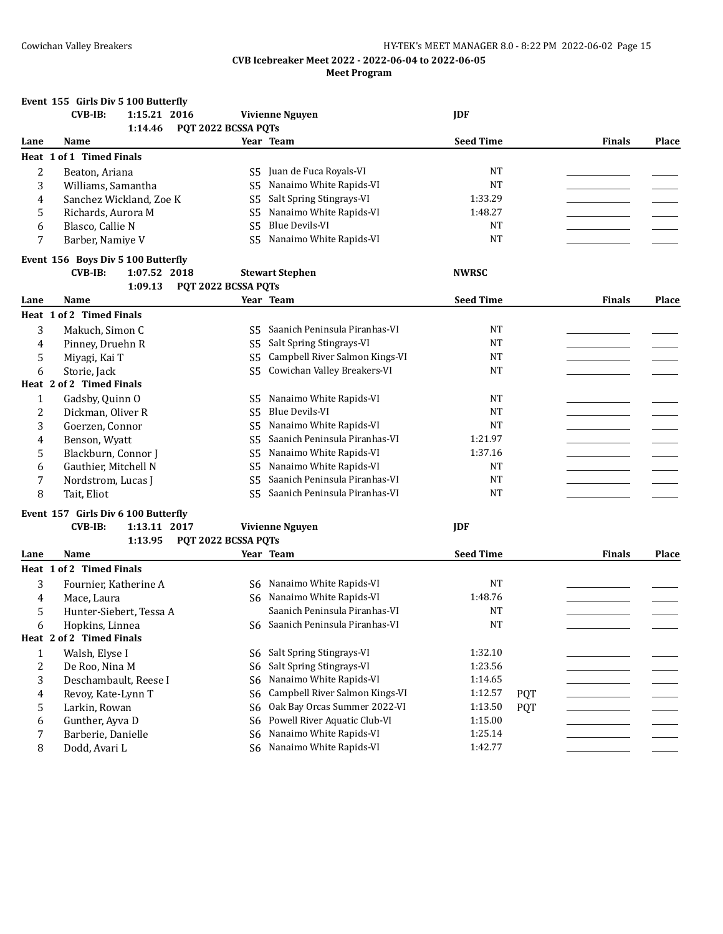|                | Event 155 Girls Div 5 100 Butterfly         |                      |                                  |                  |            |               |       |
|----------------|---------------------------------------------|----------------------|----------------------------------|------------------|------------|---------------|-------|
|                | <b>CVB-IB:</b><br>1:15.21 2016              |                      | <b>Vivienne Nguyen</b>           | <b>IDF</b>       |            |               |       |
|                | 1:14.46                                     | PQT 2022 BCSSA PQTs  |                                  |                  |            |               |       |
| Lane           | Name                                        |                      | Year Team                        | <b>Seed Time</b> |            | <b>Finals</b> | Place |
|                | Heat 1 of 1 Timed Finals                    |                      |                                  |                  |            |               |       |
| $\overline{2}$ | Beaton, Ariana                              |                      | S5 Juan de Fuca Royals-VI        | <b>NT</b>        |            |               |       |
| 3              | Williams, Samantha                          | S5                   | Nanaimo White Rapids-VI          | <b>NT</b>        |            |               |       |
| 4              | Sanchez Wickland, Zoe K                     | S5                   | Salt Spring Stingrays-VI         | 1:33.29          |            |               |       |
| 5              | Richards, Aurora M                          | S <sub>5</sub>       | Nanaimo White Rapids-VI          | 1:48.27          |            |               |       |
| 6              | Blasco, Callie N                            | S <sub>5</sub>       | <b>Blue Devils-VI</b>            | <b>NT</b>        |            |               |       |
| 7              | Barber, Namiye V                            | S <sub>5</sub>       | Nanaimo White Rapids-VI          | <b>NT</b>        |            |               |       |
|                | Event 156 Boys Div 5 100 Butterfly          |                      |                                  |                  |            |               |       |
|                | <b>CVB-IB:</b><br>1:07.52 2018              |                      | <b>Stewart Stephen</b>           | <b>NWRSC</b>     |            |               |       |
|                | 1:09.13                                     | PQT 2022 BCSSA PQTs  |                                  |                  |            |               |       |
| Lane           | Name                                        |                      | Year Team                        | <b>Seed Time</b> |            | <b>Finals</b> | Place |
|                | Heat 1 of 2 Timed Finals                    |                      |                                  |                  |            |               |       |
| 3              |                                             | S5.                  | Saanich Peninsula Piranhas-VI    | NT               |            |               |       |
| 4              | Makuch, Simon C<br>Pinney, Druehn R         | S5                   | Salt Spring Stingrays-VI         | NT               |            |               |       |
|                |                                             |                      | Campbell River Salmon Kings-VI   | <b>NT</b>        |            |               |       |
| 5<br>6         | Miyagi, Kai T<br>Storie, Jack               | S5<br>S <sub>5</sub> | Cowichan Valley Breakers-VI      | <b>NT</b>        |            |               |       |
|                | Heat 2 of 2 Timed Finals                    |                      |                                  |                  |            |               |       |
|                |                                             |                      | Nanaimo White Rapids-VI          | NT               |            |               |       |
| 1              | Gadsby, Quinn O                             | S5                   | <b>Blue Devils-VI</b>            | <b>NT</b>        |            |               |       |
| 2<br>3         | Dickman, Oliver R<br>Goerzen, Connor        | S5                   | Nanaimo White Rapids-VI          | <b>NT</b>        |            |               |       |
|                |                                             | S5<br>S <sub>5</sub> | Saanich Peninsula Piranhas-VI    | 1:21.97          |            |               |       |
| 4              | Benson, Wyatt                               | S <sub>5</sub>       | Nanaimo White Rapids-VI          | 1:37.16          |            |               |       |
| 5              | Blackburn, Connor J<br>Gauthier, Mitchell N | S <sub>5</sub>       | Nanaimo White Rapids-VI          | <b>NT</b>        |            |               |       |
| 6<br>7         |                                             | S <sub>5</sub>       | Saanich Peninsula Piranhas-VI    | <b>NT</b>        |            |               |       |
| 8              | Nordstrom, Lucas J<br>Tait, Eliot           | S5.                  | Saanich Peninsula Piranhas-VI    | <b>NT</b>        |            |               |       |
|                |                                             |                      |                                  |                  |            |               |       |
|                | Event 157 Girls Div 6 100 Butterfly         |                      |                                  |                  |            |               |       |
|                | 1:13.11 2017<br><b>CVB-IB:</b>              |                      | <b>Vivienne Nguyen</b>           | <b>JDF</b>       |            |               |       |
|                | 1:13.95 PQT 2022 BCSSA PQTs                 |                      |                                  |                  |            |               |       |
| Lane           | Name                                        |                      | Year Team                        | <b>Seed Time</b> |            | <b>Finals</b> | Place |
|                | Heat 1 of 2 Timed Finals                    |                      |                                  |                  |            |               |       |
| 3              | Fournier, Katherine A                       |                      | S6 Nanaimo White Rapids-VI       | NT               |            |               |       |
| 4              | Mace, Laura                                 | S6                   | Nanaimo White Rapids-VI          | 1:48.76          |            |               |       |
| 5              | Hunter-Siebert, Tessa A                     |                      | Saanich Peninsula Piranhas-VI    | <b>NT</b>        |            |               |       |
| 6              | Hopkins, Linnea                             |                      | S6 Saanich Peninsula Piranhas-VI | NT               |            |               |       |
|                | Heat 2 of 2 Timed Finals                    |                      |                                  |                  |            |               |       |
| $\mathbf{1}$   | Walsh, Elyse I                              | S6                   | Salt Spring Stingrays-VI         | 1:32.10          |            |               |       |
| $\overline{c}$ | De Roo, Nina M                              | S6                   | Salt Spring Stingrays-VI         | 1:23.56          |            |               |       |
| 3              | Deschambault, Reese I                       | S6                   | Nanaimo White Rapids-VI          | 1:14.65          |            |               |       |
| 4              | Revoy, Kate-Lynn T                          | S6                   | Campbell River Salmon Kings-VI   | 1:12.57          | <b>PQT</b> |               |       |
| 5              | Larkin, Rowan                               | S6                   | Oak Bay Orcas Summer 2022-VI     | 1:13.50          | <b>PQT</b> |               |       |
| 6              | Gunther, Ayva D                             | S6                   | Powell River Aquatic Club-VI     | 1:15.00          |            |               |       |
| 7              | Barberie, Danielle                          | S6                   | Nanaimo White Rapids-VI          | 1:25.14          |            |               |       |
| 8              | Dodd, Avari L                               | S6                   | Nanaimo White Rapids-VI          | 1:42.77          |            |               |       |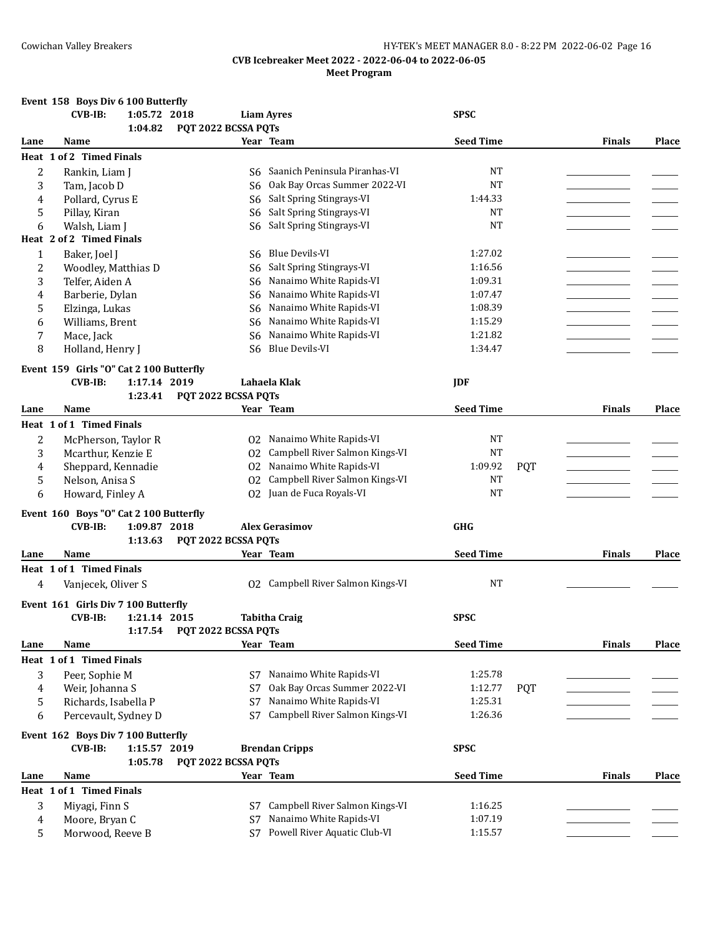## **Event 158 Boys Div 6 100 Butterfly**

| 1:04.82<br>PQT 2022 BCSSA PQTs<br><b>Seed Time</b><br>Year Team<br><b>Finals</b><br>Place<br>Name<br>Lane<br>Heat 1 of 2 Timed Finals<br>Saanich Peninsula Piranhas-VI<br><b>NT</b><br>$\overline{2}$<br>Rankin, Liam J<br>S6<br>3<br>Oak Bay Orcas Summer 2022-VI<br><b>NT</b><br>Tam, Jacob D<br>S6<br>Salt Spring Stingrays-VI<br>Pollard, Cyrus E<br>1:44.33<br>4<br>S6<br>Salt Spring Stingrays-VI<br>Pillay, Kiran<br>NT<br>5<br>S6<br>Salt Spring Stingrays-VI<br><b>NT</b><br>Walsh, Liam J<br>6<br>S6<br>Heat 2 of 2 Timed Finals<br><b>Blue Devils-VI</b><br>1:27.02<br>Baker, Joel J<br>1<br>S6<br>$\overline{2}$<br>Salt Spring Stingrays-VI<br>Woodley, Matthias D<br>1:16.56<br>S6<br>Nanaimo White Rapids-VI<br>3<br>1:09.31<br>Telfer, Aiden A<br>S6<br>Nanaimo White Rapids-VI<br>Barberie, Dylan<br>1:07.47<br>4<br>S6<br>Nanaimo White Rapids-VI<br>1:08.39<br>5<br>Elzinga, Lukas<br>S6<br>Nanaimo White Rapids-VI<br>1:15.29<br>Williams, Brent<br>6<br>S <sub>6</sub><br>Nanaimo White Rapids-VI<br>1:21.82<br>7<br>Mace, Jack<br>S <sub>6</sub><br>Blue Devils-VI<br>8<br>1:34.47<br>Holland, Henry J<br>S6<br>Event 159 Girls "O" Cat 2 100 Butterfly<br><b>CVB-IB:</b><br>1:17.14 2019<br>Lahaela Klak<br><b>JDF</b><br>PQT 2022 BCSSA PQTs<br>1:23.41<br><b>Seed Time</b><br>Year Team<br><b>Finals</b><br>Place<br>Lane<br>Name<br>Heat 1 of 1 Timed Finals<br>02 Nanaimo White Rapids-VI<br><b>NT</b><br>2<br>McPherson, Taylor R<br>Campbell River Salmon Kings-VI<br><b>NT</b><br>Mcarthur, Kenzie E<br>3<br>02<br>Nanaimo White Rapids-VI<br>1:09.92<br>Sheppard, Kennadie<br>02<br><b>PQT</b><br>4<br>Campbell River Salmon Kings-VI<br><b>NT</b><br>5<br>Nelson, Anisa S<br>02<br>Juan de Fuca Royals-VI<br><b>NT</b><br>0 <sub>2</sub><br>6<br>Howard, Finley A<br>Event 160 Boys "O" Cat 2 100 Butterfly<br><b>CVB-IB:</b><br>1:09.87 2018<br><b>Alex Gerasimov</b><br><b>GHG</b><br>PQT 2022 BCSSA PQTs<br>1:13.63<br><b>Seed Time</b><br>Year Team<br><b>Finals</b><br>Place<br>Name<br>Lane<br>Heat 1 of 1 Timed Finals<br>02 Campbell River Salmon Kings-VI<br><b>NT</b><br>Vanjecek, Oliver S<br>4<br>Event 161 Girls Div 7 100 Butterfly<br><b>CVB-IB:</b><br>1:21.14 2015<br><b>Tabitha Craig</b><br><b>SPSC</b><br>PQT 2022 BCSSA PQTs<br>1:17.54<br><b>Seed Time</b><br><b>Finals</b><br>Place<br>Year Team<br>Lane<br>Name<br>Heat 1 of 1 Timed Finals<br>Nanaimo White Rapids-VI<br>1:25.78<br>3<br>Peer, Sophie M<br>S7<br>Oak Bay Orcas Summer 2022-VI<br>1:12.77<br>Weir, Johanna S<br>S7<br><b>PQT</b><br>4<br>Nanaimo White Rapids-VI<br>Richards, Isabella P<br>1:25.31<br>5<br>S7<br>Campbell River Salmon Kings-VI<br>1:26.36<br>Percevault, Sydney D<br>S7<br>6<br>Event 162 Boys Div 7 100 Butterfly<br><b>CVB-IB:</b><br>1:15.57 2019<br><b>Brendan Cripps</b><br><b>SPSC</b><br>1:05.78<br>PQT 2022 BCSSA PQTs<br>Year Team<br><b>Seed Time</b><br>Name<br><b>Finals</b><br>Place<br>Lane<br>Heat 1 of 1 Timed Finals<br>3<br>Campbell River Salmon Kings-VI<br>1:16.25<br>Miyagi, Finn S<br>S7<br>Nanaimo White Rapids-VI<br>1:07.19<br>Moore, Bryan C<br>S7<br>4 |   | <b>CVB-IB:</b> | 1:05.72 2018 |    | <b>Liam Ayres</b>            | <b>SPSC</b> |  |  |
|------------------------------------------------------------------------------------------------------------------------------------------------------------------------------------------------------------------------------------------------------------------------------------------------------------------------------------------------------------------------------------------------------------------------------------------------------------------------------------------------------------------------------------------------------------------------------------------------------------------------------------------------------------------------------------------------------------------------------------------------------------------------------------------------------------------------------------------------------------------------------------------------------------------------------------------------------------------------------------------------------------------------------------------------------------------------------------------------------------------------------------------------------------------------------------------------------------------------------------------------------------------------------------------------------------------------------------------------------------------------------------------------------------------------------------------------------------------------------------------------------------------------------------------------------------------------------------------------------------------------------------------------------------------------------------------------------------------------------------------------------------------------------------------------------------------------------------------------------------------------------------------------------------------------------------------------------------------------------------------------------------------------------------------------------------------------------------------------------------------------------------------------------------------------------------------------------------------------------------------------------------------------------------------------------------------------------------------------------------------------------------------------------------------------------------------------------------------------------------------------------------------------------------------------------------------------------------------------------------------------------------------------------------------------------------------------------------------------------------------------------------------------------------------------------------------------------------------------------------------------------------------------------------------------------------------------------------------------------------------------------------------------------------------------------------------------------------------------------------------------------|---|----------------|--------------|----|------------------------------|-------------|--|--|
|                                                                                                                                                                                                                                                                                                                                                                                                                                                                                                                                                                                                                                                                                                                                                                                                                                                                                                                                                                                                                                                                                                                                                                                                                                                                                                                                                                                                                                                                                                                                                                                                                                                                                                                                                                                                                                                                                                                                                                                                                                                                                                                                                                                                                                                                                                                                                                                                                                                                                                                                                                                                                                                                                                                                                                                                                                                                                                                                                                                                                                                                                                                              |   |                |              |    |                              |             |  |  |
|                                                                                                                                                                                                                                                                                                                                                                                                                                                                                                                                                                                                                                                                                                                                                                                                                                                                                                                                                                                                                                                                                                                                                                                                                                                                                                                                                                                                                                                                                                                                                                                                                                                                                                                                                                                                                                                                                                                                                                                                                                                                                                                                                                                                                                                                                                                                                                                                                                                                                                                                                                                                                                                                                                                                                                                                                                                                                                                                                                                                                                                                                                                              |   |                |              |    |                              |             |  |  |
|                                                                                                                                                                                                                                                                                                                                                                                                                                                                                                                                                                                                                                                                                                                                                                                                                                                                                                                                                                                                                                                                                                                                                                                                                                                                                                                                                                                                                                                                                                                                                                                                                                                                                                                                                                                                                                                                                                                                                                                                                                                                                                                                                                                                                                                                                                                                                                                                                                                                                                                                                                                                                                                                                                                                                                                                                                                                                                                                                                                                                                                                                                                              |   |                |              |    |                              |             |  |  |
|                                                                                                                                                                                                                                                                                                                                                                                                                                                                                                                                                                                                                                                                                                                                                                                                                                                                                                                                                                                                                                                                                                                                                                                                                                                                                                                                                                                                                                                                                                                                                                                                                                                                                                                                                                                                                                                                                                                                                                                                                                                                                                                                                                                                                                                                                                                                                                                                                                                                                                                                                                                                                                                                                                                                                                                                                                                                                                                                                                                                                                                                                                                              |   |                |              |    |                              |             |  |  |
|                                                                                                                                                                                                                                                                                                                                                                                                                                                                                                                                                                                                                                                                                                                                                                                                                                                                                                                                                                                                                                                                                                                                                                                                                                                                                                                                                                                                                                                                                                                                                                                                                                                                                                                                                                                                                                                                                                                                                                                                                                                                                                                                                                                                                                                                                                                                                                                                                                                                                                                                                                                                                                                                                                                                                                                                                                                                                                                                                                                                                                                                                                                              |   |                |              |    |                              |             |  |  |
|                                                                                                                                                                                                                                                                                                                                                                                                                                                                                                                                                                                                                                                                                                                                                                                                                                                                                                                                                                                                                                                                                                                                                                                                                                                                                                                                                                                                                                                                                                                                                                                                                                                                                                                                                                                                                                                                                                                                                                                                                                                                                                                                                                                                                                                                                                                                                                                                                                                                                                                                                                                                                                                                                                                                                                                                                                                                                                                                                                                                                                                                                                                              |   |                |              |    |                              |             |  |  |
|                                                                                                                                                                                                                                                                                                                                                                                                                                                                                                                                                                                                                                                                                                                                                                                                                                                                                                                                                                                                                                                                                                                                                                                                                                                                                                                                                                                                                                                                                                                                                                                                                                                                                                                                                                                                                                                                                                                                                                                                                                                                                                                                                                                                                                                                                                                                                                                                                                                                                                                                                                                                                                                                                                                                                                                                                                                                                                                                                                                                                                                                                                                              |   |                |              |    |                              |             |  |  |
|                                                                                                                                                                                                                                                                                                                                                                                                                                                                                                                                                                                                                                                                                                                                                                                                                                                                                                                                                                                                                                                                                                                                                                                                                                                                                                                                                                                                                                                                                                                                                                                                                                                                                                                                                                                                                                                                                                                                                                                                                                                                                                                                                                                                                                                                                                                                                                                                                                                                                                                                                                                                                                                                                                                                                                                                                                                                                                                                                                                                                                                                                                                              |   |                |              |    |                              |             |  |  |
|                                                                                                                                                                                                                                                                                                                                                                                                                                                                                                                                                                                                                                                                                                                                                                                                                                                                                                                                                                                                                                                                                                                                                                                                                                                                                                                                                                                                                                                                                                                                                                                                                                                                                                                                                                                                                                                                                                                                                                                                                                                                                                                                                                                                                                                                                                                                                                                                                                                                                                                                                                                                                                                                                                                                                                                                                                                                                                                                                                                                                                                                                                                              |   |                |              |    |                              |             |  |  |
|                                                                                                                                                                                                                                                                                                                                                                                                                                                                                                                                                                                                                                                                                                                                                                                                                                                                                                                                                                                                                                                                                                                                                                                                                                                                                                                                                                                                                                                                                                                                                                                                                                                                                                                                                                                                                                                                                                                                                                                                                                                                                                                                                                                                                                                                                                                                                                                                                                                                                                                                                                                                                                                                                                                                                                                                                                                                                                                                                                                                                                                                                                                              |   |                |              |    |                              |             |  |  |
|                                                                                                                                                                                                                                                                                                                                                                                                                                                                                                                                                                                                                                                                                                                                                                                                                                                                                                                                                                                                                                                                                                                                                                                                                                                                                                                                                                                                                                                                                                                                                                                                                                                                                                                                                                                                                                                                                                                                                                                                                                                                                                                                                                                                                                                                                                                                                                                                                                                                                                                                                                                                                                                                                                                                                                                                                                                                                                                                                                                                                                                                                                                              |   |                |              |    |                              |             |  |  |
|                                                                                                                                                                                                                                                                                                                                                                                                                                                                                                                                                                                                                                                                                                                                                                                                                                                                                                                                                                                                                                                                                                                                                                                                                                                                                                                                                                                                                                                                                                                                                                                                                                                                                                                                                                                                                                                                                                                                                                                                                                                                                                                                                                                                                                                                                                                                                                                                                                                                                                                                                                                                                                                                                                                                                                                                                                                                                                                                                                                                                                                                                                                              |   |                |              |    |                              |             |  |  |
|                                                                                                                                                                                                                                                                                                                                                                                                                                                                                                                                                                                                                                                                                                                                                                                                                                                                                                                                                                                                                                                                                                                                                                                                                                                                                                                                                                                                                                                                                                                                                                                                                                                                                                                                                                                                                                                                                                                                                                                                                                                                                                                                                                                                                                                                                                                                                                                                                                                                                                                                                                                                                                                                                                                                                                                                                                                                                                                                                                                                                                                                                                                              |   |                |              |    |                              |             |  |  |
|                                                                                                                                                                                                                                                                                                                                                                                                                                                                                                                                                                                                                                                                                                                                                                                                                                                                                                                                                                                                                                                                                                                                                                                                                                                                                                                                                                                                                                                                                                                                                                                                                                                                                                                                                                                                                                                                                                                                                                                                                                                                                                                                                                                                                                                                                                                                                                                                                                                                                                                                                                                                                                                                                                                                                                                                                                                                                                                                                                                                                                                                                                                              |   |                |              |    |                              |             |  |  |
|                                                                                                                                                                                                                                                                                                                                                                                                                                                                                                                                                                                                                                                                                                                                                                                                                                                                                                                                                                                                                                                                                                                                                                                                                                                                                                                                                                                                                                                                                                                                                                                                                                                                                                                                                                                                                                                                                                                                                                                                                                                                                                                                                                                                                                                                                                                                                                                                                                                                                                                                                                                                                                                                                                                                                                                                                                                                                                                                                                                                                                                                                                                              |   |                |              |    |                              |             |  |  |
|                                                                                                                                                                                                                                                                                                                                                                                                                                                                                                                                                                                                                                                                                                                                                                                                                                                                                                                                                                                                                                                                                                                                                                                                                                                                                                                                                                                                                                                                                                                                                                                                                                                                                                                                                                                                                                                                                                                                                                                                                                                                                                                                                                                                                                                                                                                                                                                                                                                                                                                                                                                                                                                                                                                                                                                                                                                                                                                                                                                                                                                                                                                              |   |                |              |    |                              |             |  |  |
|                                                                                                                                                                                                                                                                                                                                                                                                                                                                                                                                                                                                                                                                                                                                                                                                                                                                                                                                                                                                                                                                                                                                                                                                                                                                                                                                                                                                                                                                                                                                                                                                                                                                                                                                                                                                                                                                                                                                                                                                                                                                                                                                                                                                                                                                                                                                                                                                                                                                                                                                                                                                                                                                                                                                                                                                                                                                                                                                                                                                                                                                                                                              |   |                |              |    |                              |             |  |  |
|                                                                                                                                                                                                                                                                                                                                                                                                                                                                                                                                                                                                                                                                                                                                                                                                                                                                                                                                                                                                                                                                                                                                                                                                                                                                                                                                                                                                                                                                                                                                                                                                                                                                                                                                                                                                                                                                                                                                                                                                                                                                                                                                                                                                                                                                                                                                                                                                                                                                                                                                                                                                                                                                                                                                                                                                                                                                                                                                                                                                                                                                                                                              |   |                |              |    |                              |             |  |  |
|                                                                                                                                                                                                                                                                                                                                                                                                                                                                                                                                                                                                                                                                                                                                                                                                                                                                                                                                                                                                                                                                                                                                                                                                                                                                                                                                                                                                                                                                                                                                                                                                                                                                                                                                                                                                                                                                                                                                                                                                                                                                                                                                                                                                                                                                                                                                                                                                                                                                                                                                                                                                                                                                                                                                                                                                                                                                                                                                                                                                                                                                                                                              |   |                |              |    |                              |             |  |  |
|                                                                                                                                                                                                                                                                                                                                                                                                                                                                                                                                                                                                                                                                                                                                                                                                                                                                                                                                                                                                                                                                                                                                                                                                                                                                                                                                                                                                                                                                                                                                                                                                                                                                                                                                                                                                                                                                                                                                                                                                                                                                                                                                                                                                                                                                                                                                                                                                                                                                                                                                                                                                                                                                                                                                                                                                                                                                                                                                                                                                                                                                                                                              |   |                |              |    |                              |             |  |  |
|                                                                                                                                                                                                                                                                                                                                                                                                                                                                                                                                                                                                                                                                                                                                                                                                                                                                                                                                                                                                                                                                                                                                                                                                                                                                                                                                                                                                                                                                                                                                                                                                                                                                                                                                                                                                                                                                                                                                                                                                                                                                                                                                                                                                                                                                                                                                                                                                                                                                                                                                                                                                                                                                                                                                                                                                                                                                                                                                                                                                                                                                                                                              |   |                |              |    |                              |             |  |  |
|                                                                                                                                                                                                                                                                                                                                                                                                                                                                                                                                                                                                                                                                                                                                                                                                                                                                                                                                                                                                                                                                                                                                                                                                                                                                                                                                                                                                                                                                                                                                                                                                                                                                                                                                                                                                                                                                                                                                                                                                                                                                                                                                                                                                                                                                                                                                                                                                                                                                                                                                                                                                                                                                                                                                                                                                                                                                                                                                                                                                                                                                                                                              |   |                |              |    |                              |             |  |  |
|                                                                                                                                                                                                                                                                                                                                                                                                                                                                                                                                                                                                                                                                                                                                                                                                                                                                                                                                                                                                                                                                                                                                                                                                                                                                                                                                                                                                                                                                                                                                                                                                                                                                                                                                                                                                                                                                                                                                                                                                                                                                                                                                                                                                                                                                                                                                                                                                                                                                                                                                                                                                                                                                                                                                                                                                                                                                                                                                                                                                                                                                                                                              |   |                |              |    |                              |             |  |  |
|                                                                                                                                                                                                                                                                                                                                                                                                                                                                                                                                                                                                                                                                                                                                                                                                                                                                                                                                                                                                                                                                                                                                                                                                                                                                                                                                                                                                                                                                                                                                                                                                                                                                                                                                                                                                                                                                                                                                                                                                                                                                                                                                                                                                                                                                                                                                                                                                                                                                                                                                                                                                                                                                                                                                                                                                                                                                                                                                                                                                                                                                                                                              |   |                |              |    |                              |             |  |  |
|                                                                                                                                                                                                                                                                                                                                                                                                                                                                                                                                                                                                                                                                                                                                                                                                                                                                                                                                                                                                                                                                                                                                                                                                                                                                                                                                                                                                                                                                                                                                                                                                                                                                                                                                                                                                                                                                                                                                                                                                                                                                                                                                                                                                                                                                                                                                                                                                                                                                                                                                                                                                                                                                                                                                                                                                                                                                                                                                                                                                                                                                                                                              |   |                |              |    |                              |             |  |  |
|                                                                                                                                                                                                                                                                                                                                                                                                                                                                                                                                                                                                                                                                                                                                                                                                                                                                                                                                                                                                                                                                                                                                                                                                                                                                                                                                                                                                                                                                                                                                                                                                                                                                                                                                                                                                                                                                                                                                                                                                                                                                                                                                                                                                                                                                                                                                                                                                                                                                                                                                                                                                                                                                                                                                                                                                                                                                                                                                                                                                                                                                                                                              |   |                |              |    |                              |             |  |  |
|                                                                                                                                                                                                                                                                                                                                                                                                                                                                                                                                                                                                                                                                                                                                                                                                                                                                                                                                                                                                                                                                                                                                                                                                                                                                                                                                                                                                                                                                                                                                                                                                                                                                                                                                                                                                                                                                                                                                                                                                                                                                                                                                                                                                                                                                                                                                                                                                                                                                                                                                                                                                                                                                                                                                                                                                                                                                                                                                                                                                                                                                                                                              |   |                |              |    |                              |             |  |  |
|                                                                                                                                                                                                                                                                                                                                                                                                                                                                                                                                                                                                                                                                                                                                                                                                                                                                                                                                                                                                                                                                                                                                                                                                                                                                                                                                                                                                                                                                                                                                                                                                                                                                                                                                                                                                                                                                                                                                                                                                                                                                                                                                                                                                                                                                                                                                                                                                                                                                                                                                                                                                                                                                                                                                                                                                                                                                                                                                                                                                                                                                                                                              |   |                |              |    |                              |             |  |  |
|                                                                                                                                                                                                                                                                                                                                                                                                                                                                                                                                                                                                                                                                                                                                                                                                                                                                                                                                                                                                                                                                                                                                                                                                                                                                                                                                                                                                                                                                                                                                                                                                                                                                                                                                                                                                                                                                                                                                                                                                                                                                                                                                                                                                                                                                                                                                                                                                                                                                                                                                                                                                                                                                                                                                                                                                                                                                                                                                                                                                                                                                                                                              |   |                |              |    |                              |             |  |  |
|                                                                                                                                                                                                                                                                                                                                                                                                                                                                                                                                                                                                                                                                                                                                                                                                                                                                                                                                                                                                                                                                                                                                                                                                                                                                                                                                                                                                                                                                                                                                                                                                                                                                                                                                                                                                                                                                                                                                                                                                                                                                                                                                                                                                                                                                                                                                                                                                                                                                                                                                                                                                                                                                                                                                                                                                                                                                                                                                                                                                                                                                                                                              |   |                |              |    |                              |             |  |  |
|                                                                                                                                                                                                                                                                                                                                                                                                                                                                                                                                                                                                                                                                                                                                                                                                                                                                                                                                                                                                                                                                                                                                                                                                                                                                                                                                                                                                                                                                                                                                                                                                                                                                                                                                                                                                                                                                                                                                                                                                                                                                                                                                                                                                                                                                                                                                                                                                                                                                                                                                                                                                                                                                                                                                                                                                                                                                                                                                                                                                                                                                                                                              |   |                |              |    |                              |             |  |  |
|                                                                                                                                                                                                                                                                                                                                                                                                                                                                                                                                                                                                                                                                                                                                                                                                                                                                                                                                                                                                                                                                                                                                                                                                                                                                                                                                                                                                                                                                                                                                                                                                                                                                                                                                                                                                                                                                                                                                                                                                                                                                                                                                                                                                                                                                                                                                                                                                                                                                                                                                                                                                                                                                                                                                                                                                                                                                                                                                                                                                                                                                                                                              |   |                |              |    |                              |             |  |  |
|                                                                                                                                                                                                                                                                                                                                                                                                                                                                                                                                                                                                                                                                                                                                                                                                                                                                                                                                                                                                                                                                                                                                                                                                                                                                                                                                                                                                                                                                                                                                                                                                                                                                                                                                                                                                                                                                                                                                                                                                                                                                                                                                                                                                                                                                                                                                                                                                                                                                                                                                                                                                                                                                                                                                                                                                                                                                                                                                                                                                                                                                                                                              |   |                |              |    |                              |             |  |  |
|                                                                                                                                                                                                                                                                                                                                                                                                                                                                                                                                                                                                                                                                                                                                                                                                                                                                                                                                                                                                                                                                                                                                                                                                                                                                                                                                                                                                                                                                                                                                                                                                                                                                                                                                                                                                                                                                                                                                                                                                                                                                                                                                                                                                                                                                                                                                                                                                                                                                                                                                                                                                                                                                                                                                                                                                                                                                                                                                                                                                                                                                                                                              |   |                |              |    |                              |             |  |  |
|                                                                                                                                                                                                                                                                                                                                                                                                                                                                                                                                                                                                                                                                                                                                                                                                                                                                                                                                                                                                                                                                                                                                                                                                                                                                                                                                                                                                                                                                                                                                                                                                                                                                                                                                                                                                                                                                                                                                                                                                                                                                                                                                                                                                                                                                                                                                                                                                                                                                                                                                                                                                                                                                                                                                                                                                                                                                                                                                                                                                                                                                                                                              |   |                |              |    |                              |             |  |  |
|                                                                                                                                                                                                                                                                                                                                                                                                                                                                                                                                                                                                                                                                                                                                                                                                                                                                                                                                                                                                                                                                                                                                                                                                                                                                                                                                                                                                                                                                                                                                                                                                                                                                                                                                                                                                                                                                                                                                                                                                                                                                                                                                                                                                                                                                                                                                                                                                                                                                                                                                                                                                                                                                                                                                                                                                                                                                                                                                                                                                                                                                                                                              |   |                |              |    |                              |             |  |  |
|                                                                                                                                                                                                                                                                                                                                                                                                                                                                                                                                                                                                                                                                                                                                                                                                                                                                                                                                                                                                                                                                                                                                                                                                                                                                                                                                                                                                                                                                                                                                                                                                                                                                                                                                                                                                                                                                                                                                                                                                                                                                                                                                                                                                                                                                                                                                                                                                                                                                                                                                                                                                                                                                                                                                                                                                                                                                                                                                                                                                                                                                                                                              |   |                |              |    |                              |             |  |  |
|                                                                                                                                                                                                                                                                                                                                                                                                                                                                                                                                                                                                                                                                                                                                                                                                                                                                                                                                                                                                                                                                                                                                                                                                                                                                                                                                                                                                                                                                                                                                                                                                                                                                                                                                                                                                                                                                                                                                                                                                                                                                                                                                                                                                                                                                                                                                                                                                                                                                                                                                                                                                                                                                                                                                                                                                                                                                                                                                                                                                                                                                                                                              |   |                |              |    |                              |             |  |  |
|                                                                                                                                                                                                                                                                                                                                                                                                                                                                                                                                                                                                                                                                                                                                                                                                                                                                                                                                                                                                                                                                                                                                                                                                                                                                                                                                                                                                                                                                                                                                                                                                                                                                                                                                                                                                                                                                                                                                                                                                                                                                                                                                                                                                                                                                                                                                                                                                                                                                                                                                                                                                                                                                                                                                                                                                                                                                                                                                                                                                                                                                                                                              |   |                |              |    |                              |             |  |  |
|                                                                                                                                                                                                                                                                                                                                                                                                                                                                                                                                                                                                                                                                                                                                                                                                                                                                                                                                                                                                                                                                                                                                                                                                                                                                                                                                                                                                                                                                                                                                                                                                                                                                                                                                                                                                                                                                                                                                                                                                                                                                                                                                                                                                                                                                                                                                                                                                                                                                                                                                                                                                                                                                                                                                                                                                                                                                                                                                                                                                                                                                                                                              |   |                |              |    |                              |             |  |  |
|                                                                                                                                                                                                                                                                                                                                                                                                                                                                                                                                                                                                                                                                                                                                                                                                                                                                                                                                                                                                                                                                                                                                                                                                                                                                                                                                                                                                                                                                                                                                                                                                                                                                                                                                                                                                                                                                                                                                                                                                                                                                                                                                                                                                                                                                                                                                                                                                                                                                                                                                                                                                                                                                                                                                                                                                                                                                                                                                                                                                                                                                                                                              |   |                |              |    |                              |             |  |  |
|                                                                                                                                                                                                                                                                                                                                                                                                                                                                                                                                                                                                                                                                                                                                                                                                                                                                                                                                                                                                                                                                                                                                                                                                                                                                                                                                                                                                                                                                                                                                                                                                                                                                                                                                                                                                                                                                                                                                                                                                                                                                                                                                                                                                                                                                                                                                                                                                                                                                                                                                                                                                                                                                                                                                                                                                                                                                                                                                                                                                                                                                                                                              |   |                |              |    |                              |             |  |  |
|                                                                                                                                                                                                                                                                                                                                                                                                                                                                                                                                                                                                                                                                                                                                                                                                                                                                                                                                                                                                                                                                                                                                                                                                                                                                                                                                                                                                                                                                                                                                                                                                                                                                                                                                                                                                                                                                                                                                                                                                                                                                                                                                                                                                                                                                                                                                                                                                                                                                                                                                                                                                                                                                                                                                                                                                                                                                                                                                                                                                                                                                                                                              |   |                |              |    |                              |             |  |  |
|                                                                                                                                                                                                                                                                                                                                                                                                                                                                                                                                                                                                                                                                                                                                                                                                                                                                                                                                                                                                                                                                                                                                                                                                                                                                                                                                                                                                                                                                                                                                                                                                                                                                                                                                                                                                                                                                                                                                                                                                                                                                                                                                                                                                                                                                                                                                                                                                                                                                                                                                                                                                                                                                                                                                                                                                                                                                                                                                                                                                                                                                                                                              |   |                |              |    |                              |             |  |  |
|                                                                                                                                                                                                                                                                                                                                                                                                                                                                                                                                                                                                                                                                                                                                                                                                                                                                                                                                                                                                                                                                                                                                                                                                                                                                                                                                                                                                                                                                                                                                                                                                                                                                                                                                                                                                                                                                                                                                                                                                                                                                                                                                                                                                                                                                                                                                                                                                                                                                                                                                                                                                                                                                                                                                                                                                                                                                                                                                                                                                                                                                                                                              |   |                |              |    |                              |             |  |  |
|                                                                                                                                                                                                                                                                                                                                                                                                                                                                                                                                                                                                                                                                                                                                                                                                                                                                                                                                                                                                                                                                                                                                                                                                                                                                                                                                                                                                                                                                                                                                                                                                                                                                                                                                                                                                                                                                                                                                                                                                                                                                                                                                                                                                                                                                                                                                                                                                                                                                                                                                                                                                                                                                                                                                                                                                                                                                                                                                                                                                                                                                                                                              |   |                |              |    |                              |             |  |  |
|                                                                                                                                                                                                                                                                                                                                                                                                                                                                                                                                                                                                                                                                                                                                                                                                                                                                                                                                                                                                                                                                                                                                                                                                                                                                                                                                                                                                                                                                                                                                                                                                                                                                                                                                                                                                                                                                                                                                                                                                                                                                                                                                                                                                                                                                                                                                                                                                                                                                                                                                                                                                                                                                                                                                                                                                                                                                                                                                                                                                                                                                                                                              |   |                |              |    |                              |             |  |  |
|                                                                                                                                                                                                                                                                                                                                                                                                                                                                                                                                                                                                                                                                                                                                                                                                                                                                                                                                                                                                                                                                                                                                                                                                                                                                                                                                                                                                                                                                                                                                                                                                                                                                                                                                                                                                                                                                                                                                                                                                                                                                                                                                                                                                                                                                                                                                                                                                                                                                                                                                                                                                                                                                                                                                                                                                                                                                                                                                                                                                                                                                                                                              |   |                |              |    |                              |             |  |  |
|                                                                                                                                                                                                                                                                                                                                                                                                                                                                                                                                                                                                                                                                                                                                                                                                                                                                                                                                                                                                                                                                                                                                                                                                                                                                                                                                                                                                                                                                                                                                                                                                                                                                                                                                                                                                                                                                                                                                                                                                                                                                                                                                                                                                                                                                                                                                                                                                                                                                                                                                                                                                                                                                                                                                                                                                                                                                                                                                                                                                                                                                                                                              |   |                |              |    |                              |             |  |  |
|                                                                                                                                                                                                                                                                                                                                                                                                                                                                                                                                                                                                                                                                                                                                                                                                                                                                                                                                                                                                                                                                                                                                                                                                                                                                                                                                                                                                                                                                                                                                                                                                                                                                                                                                                                                                                                                                                                                                                                                                                                                                                                                                                                                                                                                                                                                                                                                                                                                                                                                                                                                                                                                                                                                                                                                                                                                                                                                                                                                                                                                                                                                              |   |                |              |    |                              |             |  |  |
|                                                                                                                                                                                                                                                                                                                                                                                                                                                                                                                                                                                                                                                                                                                                                                                                                                                                                                                                                                                                                                                                                                                                                                                                                                                                                                                                                                                                                                                                                                                                                                                                                                                                                                                                                                                                                                                                                                                                                                                                                                                                                                                                                                                                                                                                                                                                                                                                                                                                                                                                                                                                                                                                                                                                                                                                                                                                                                                                                                                                                                                                                                                              |   |                |              |    |                              |             |  |  |
| Morwood, Reeve B                                                                                                                                                                                                                                                                                                                                                                                                                                                                                                                                                                                                                                                                                                                                                                                                                                                                                                                                                                                                                                                                                                                                                                                                                                                                                                                                                                                                                                                                                                                                                                                                                                                                                                                                                                                                                                                                                                                                                                                                                                                                                                                                                                                                                                                                                                                                                                                                                                                                                                                                                                                                                                                                                                                                                                                                                                                                                                                                                                                                                                                                                                             | 5 |                |              | S7 | Powell River Aquatic Club-VI | 1:15.57     |  |  |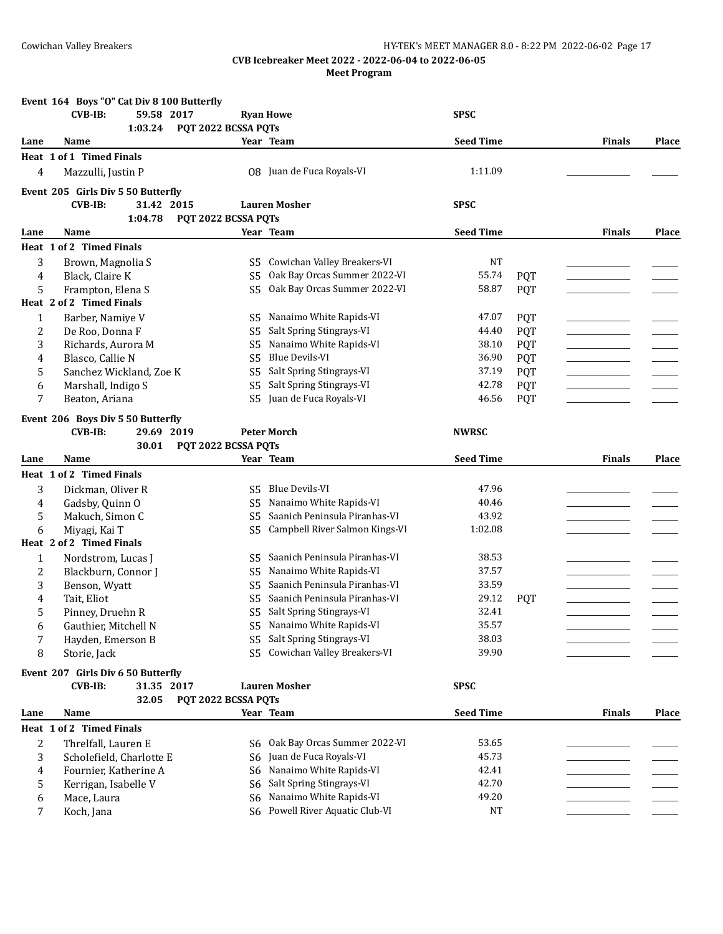|                | Event 164 Boys "O" Cat Div 8 100 Butterfly |                     |                                                         |                  |            |               |              |
|----------------|--------------------------------------------|---------------------|---------------------------------------------------------|------------------|------------|---------------|--------------|
|                | <b>CVB-IB:</b><br>59.58 2017<br>1:03.24    | PQT 2022 BCSSA PQTs | <b>Ryan Howe</b>                                        | <b>SPSC</b>      |            |               |              |
| Lane           | Name                                       |                     | Year Team                                               | <b>Seed Time</b> |            | <b>Finals</b> | <b>Place</b> |
|                | Heat 1 of 1 Timed Finals                   |                     |                                                         |                  |            |               |              |
| 4              | Mazzulli, Justin P                         |                     | 08 Juan de Fuca Royals-VI                               | 1:11.09          |            |               |              |
|                | Event 205 Girls Div 5 50 Butterfly         |                     |                                                         |                  |            |               |              |
|                | <b>CVB-IB:</b><br>31.42 2015               |                     | <b>Lauren Mosher</b>                                    | <b>SPSC</b>      |            |               |              |
|                | 1:04.78                                    | PQT 2022 BCSSA PQTs |                                                         |                  |            |               |              |
| Lane           | Name                                       |                     | Year Team                                               | <b>Seed Time</b> |            | Finals        | <b>Place</b> |
|                | Heat 1 of 2 Timed Finals                   |                     |                                                         |                  |            |               |              |
| 3              | Brown, Magnolia S                          | S5                  | Cowichan Valley Breakers-VI                             | NT               |            |               |              |
| 4              | Black, Claire K                            | S5                  | Oak Bay Orcas Summer 2022-VI                            | 55.74            | <b>PQT</b> |               |              |
| 5              | Frampton, Elena S                          | S <sub>5</sub>      | Oak Bay Orcas Summer 2022-VI                            | 58.87            | <b>PQT</b> |               |              |
|                | Heat 2 of 2 Timed Finals                   |                     |                                                         |                  |            |               |              |
| $\mathbf{1}$   | Barber, Namiye V                           | S <sub>5</sub>      | Nanaimo White Rapids-VI                                 | 47.07            | <b>PQT</b> |               |              |
| 2              | De Roo, Donna F                            | S5                  | Salt Spring Stingrays-VI                                | 44.40            | <b>PQT</b> |               |              |
| 3              | Richards, Aurora M                         | S5                  | Nanaimo White Rapids-VI                                 | 38.10            | <b>PQT</b> |               |              |
| 4              | Blasco, Callie N                           | S <sub>5</sub>      | <b>Blue Devils-VI</b>                                   | 36.90            | <b>PQT</b> |               |              |
| 5              | Sanchez Wickland, Zoe K                    | S5                  | Salt Spring Stingrays-VI                                | 37.19            | <b>PQT</b> |               |              |
| 6              | Marshall, Indigo S                         | S5                  | Salt Spring Stingrays-VI                                | 42.78            | <b>PQT</b> |               |              |
| 7              | Beaton, Ariana                             | S5                  | Juan de Fuca Royals-VI                                  | 46.56            | <b>PQT</b> |               |              |
|                | Event 206 Boys Div 5 50 Butterfly          |                     |                                                         |                  |            |               |              |
|                | <b>CVB-IB:</b><br>29.69 2019               |                     | <b>Peter Morch</b>                                      | <b>NWRSC</b>     |            |               |              |
|                | 30.01                                      | PQT 2022 BCSSA PQTs |                                                         |                  |            |               |              |
| Lane           | Name                                       |                     | Year Team                                               | <b>Seed Time</b> |            | <b>Finals</b> | Place        |
|                | Heat 1 of 2 Timed Finals                   |                     |                                                         |                  |            |               |              |
| 3              | Dickman, Oliver R                          | S5                  | <b>Blue Devils-VI</b>                                   | 47.96            |            |               |              |
| 4              | Gadsby, Quinn O                            | S5                  | Nanaimo White Rapids-VI                                 | 40.46            |            |               |              |
| 5              | Makuch, Simon C                            | S5                  | Saanich Peninsula Piranhas-VI                           | 43.92            |            |               |              |
| 6              | Miyagi, Kai T                              | S <sub>5</sub>      | Campbell River Salmon Kings-VI                          | 1:02.08          |            |               |              |
|                | Heat 2 of 2 Timed Finals                   |                     |                                                         |                  |            |               |              |
| $\mathbf{1}$   | Nordstrom, Lucas J                         | S <sub>5</sub>      | Saanich Peninsula Piranhas-VI                           | 38.53            |            |               |              |
| 2              | Blackburn, Connor J                        | S5                  | Nanaimo White Rapids-VI                                 | 37.57            |            |               |              |
| 3              | Benson, Wyatt                              | S5                  | Saanich Peninsula Piranhas-VI                           | 33.59            |            |               |              |
| 4              | Tait, Eliot                                | S5                  | Saanich Peninsula Piranhas-VI                           | 29.12            | <b>PQT</b> |               |              |
| 5              | Pinney, Druehn R                           |                     | S5 Salt Spring Stingrays-VI                             | 32.41            |            |               |              |
| 6              | Gauthier, Mitchell N                       |                     | S5 Nanaimo White Rapids-VI                              | 35.57            |            |               |              |
| 7              | Hayden, Emerson B                          | S <sub>5</sub>      | Salt Spring Stingrays-VI<br>Cowichan Valley Breakers-VI | 38.03            |            |               |              |
| 8              | Storie, Jack                               | S <sub>5</sub>      |                                                         | 39.90            |            |               |              |
|                | Event 207 Girls Div 6 50 Butterfly         |                     |                                                         |                  |            |               |              |
|                | <b>CVB-IB:</b><br>31.35 2017               |                     | <b>Lauren Mosher</b>                                    | <b>SPSC</b>      |            |               |              |
|                | 32.05                                      | PQT 2022 BCSSA PQTs |                                                         |                  |            |               |              |
| Lane           | Name                                       |                     | Year Team                                               | <b>Seed Time</b> |            | <b>Finals</b> | Place        |
|                | Heat 1 of 2 Timed Finals                   |                     |                                                         |                  |            |               |              |
| $\overline{c}$ | Threlfall, Lauren E                        | S6                  | Oak Bay Orcas Summer 2022-VI                            | 53.65            |            |               |              |
| 3              | Scholefield, Charlotte E                   | S6                  | Juan de Fuca Royals-VI                                  | 45.73            |            |               |              |
| 4              | Fournier, Katherine A                      | S6                  | Nanaimo White Rapids-VI                                 | 42.41            |            |               |              |
| 5              | Kerrigan, Isabelle V                       | S6                  | Salt Spring Stingrays-VI                                | 42.70            |            |               |              |
| 6              | Mace, Laura                                | S6                  | Nanaimo White Rapids-VI                                 | 49.20            |            |               |              |
| 7              | Koch, Jana                                 |                     | S6 Powell River Aquatic Club-VI                         | NT               |            |               |              |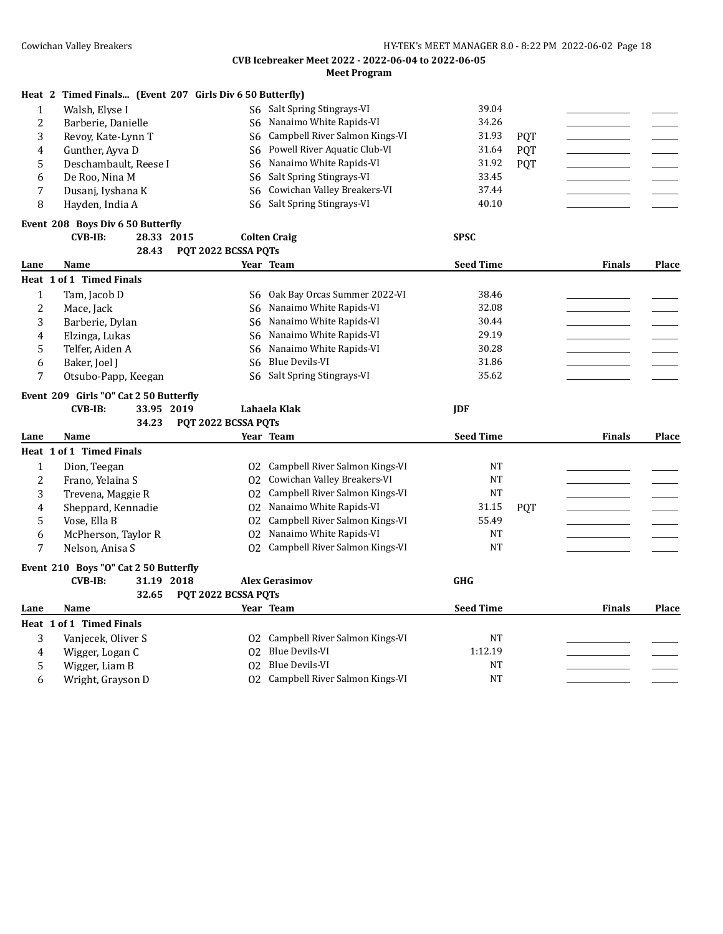| Heat 2 | Timed Finals (Event 207 Girls Div 6 50 Butterfly) |                     |                                |                  |            |               |       |
|--------|---------------------------------------------------|---------------------|--------------------------------|------------------|------------|---------------|-------|
|        | Walsh, Elyse I                                    | S6                  | Salt Spring Stingrays-VI       | 39.04            |            |               |       |
| 2      | Barberie, Danielle                                | S6                  | Nanaimo White Rapids-VI        | 34.26            |            |               |       |
| 3      | Revoy, Kate-Lynn T                                | S6                  | Campbell River Salmon Kings-VI | 31.93            | <b>POT</b> |               |       |
| 4      | Gunther, Ayva D                                   | S6                  | Powell River Aquatic Club-VI   | 31.64            | <b>PQT</b> |               |       |
| 5      | Deschambault, Reese I                             | S6                  | Nanaimo White Rapids-VI        | 31.92            | <b>POT</b> |               |       |
| 6      | De Roo, Nina M                                    | S6                  | Salt Spring Stingrays-VI       | 33.45            |            |               |       |
|        | Dusanj, Iyshana K                                 | S6                  | Cowichan Valley Breakers-VI    | 37.44            |            |               |       |
| 8      | Hayden, India A                                   | S6.                 | Salt Spring Stingrays-VI       | 40.10            |            |               |       |
|        | Event 208 Boys Div 6 50 Butterfly                 |                     |                                |                  |            |               |       |
|        | $CVB-IB:$<br>28.33                                | 2015                | <b>Colten Craig</b>            | <b>SPSC</b>      |            |               |       |
|        | 28.43                                             | PQT 2022 BCSSA PQTs |                                |                  |            |               |       |
| Lane   | Name                                              |                     | Year Team                      | <b>Seed Time</b> |            | <b>Finals</b> | Place |
|        | Heat 1 of 1 Timed Finals                          |                     |                                |                  |            |               |       |
|        | Tam, Jacob D                                      | S6                  | Oak Bay Orcas Summer 2022-VI   | 38.46            |            |               |       |
| 2      | Mace, Jack                                        | S6                  | Nanaimo White Rapids-VI        | 32.08            |            |               |       |
| 3      | Barberie, Dylan                                   | S6                  | Nanaimo White Rapids-VI        | 30.44            |            |               |       |
| 4      | Elzinga, Lukas                                    | S6                  | Nanaimo White Rapids-VI        | 29.19            |            |               |       |
| 5      | Telfer, Aiden A                                   |                     | S6 Nanaimo White Rapids-VI     | 30.28            |            |               |       |

#### **Event 209 Girls "O" Cat 2 50 Butterfly**

#### **CVB-IB: 33.95 2019 Lahaela Klak JDF 34.23 PQT 2022 BCSSA PQTs**

6 Baker, Joel J S6 Blue Devils-VI 31.86 7 Otsubo-Papp, Keegan S6 Salt Spring Stingrays-VI 35.62

6 Wright, Grayson D 02 Campbell River Salmon Kings-VI NT

**Lane Name Year Team Seed Time Finals Place Heat 1 of 1 Timed Finals** 1 Dion, Teegan O2 Campbell River Salmon Kings-VI NT \_\_\_\_\_\_\_\_\_\_\_\_\_\_\_\_\_ \_\_\_\_\_\_\_ 2 Frano, Yelaina S  $_{O2}$  Cowichan Valley Breakers-VI NT 3 Trevena, Maggie R  $02$  Campbell River Salmon Kings-VI NT 4 Sheppard, Kennadie O2 Nanaimo White Rapids-VI 31.15 PQT \_\_\_\_\_\_\_\_\_\_\_\_\_\_\_\_\_ \_\_\_\_\_\_\_ 5 Vose, Ella B  $02$  Campbell River Salmon Kings-VI 55.49 6 McPherson, Taylor R O2 Nanaimo White Rapids-VI NT \_\_\_\_\_\_\_\_\_\_\_\_\_\_\_\_\_ \_\_\_\_\_\_\_ 7 Nelson, Anisa S O2 Campbell River Salmon Kings-VI NT **Event 210 Boys "O" Cat 2 50 Butterfly CVB-IB: 31.19 2018 Alex Gerasimov GHG 32.65 PQT 2022 BCSSA PQTs Lane Name Year Team Seed Time Finals Place Heat 1 of 1 Timed Finals** 3 Vanjecek, Oliver S O2 Campbell River Salmon Kings-VI NT<br>
4 Wigger: Logan C O2 Blue Devils-VI 1:12.19 4 Wigger, Logan C 02 Blue Devils-VI 1:12.19 5 Wigger, Liam B 02 Blue Devils-VI NT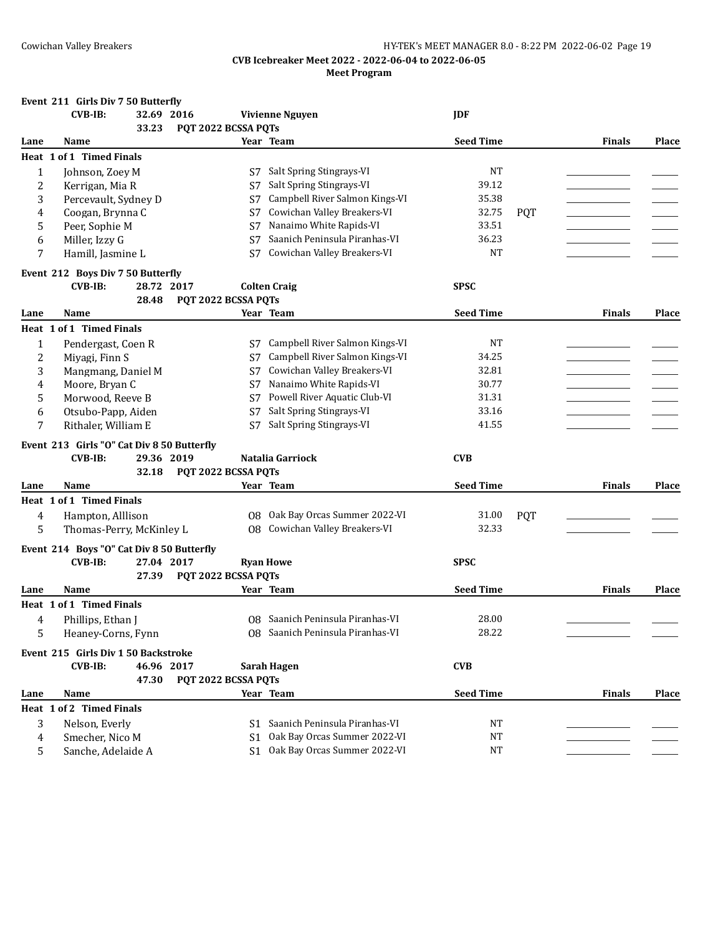|      | Event 211 Girls Div 7 50 Butterfly         |                     |                                  |                  |            |               |              |
|------|--------------------------------------------|---------------------|----------------------------------|------------------|------------|---------------|--------------|
|      | $CVB-IB:$<br>32.69 2016                    |                     | <b>Vivienne Nguyen</b>           | <b>JDF</b>       |            |               |              |
|      | 33.23                                      | PQT 2022 BCSSA PQTs |                                  |                  |            |               |              |
| Lane | Name                                       |                     | Year Team                        | <b>Seed Time</b> |            | <b>Finals</b> | Place        |
|      | Heat 1 of 1 Timed Finals                   |                     |                                  |                  |            |               |              |
| 1    | Johnson, Zoey M                            | S7                  | Salt Spring Stingrays-VI         | <b>NT</b>        |            |               |              |
| 2    | Kerrigan, Mia R                            | S7                  | Salt Spring Stingrays-VI         | 39.12            |            |               |              |
| 3    | Percevault, Sydney D                       | S7                  | Campbell River Salmon Kings-VI   | 35.38            |            |               |              |
| 4    | Coogan, Brynna C                           | S7                  | Cowichan Valley Breakers-VI      | 32.75            | <b>POT</b> |               |              |
| 5    | Peer, Sophie M                             | S7                  | Nanaimo White Rapids-VI          | 33.51            |            |               |              |
| 6    | Miller, Izzy G                             | S7                  | Saanich Peninsula Piranhas-VI    | 36.23            |            |               |              |
|      |                                            |                     | Cowichan Valley Breakers-VI      | <b>NT</b>        |            |               |              |
| 7    | Hamill, Jasmine L                          | S7                  |                                  |                  |            |               |              |
|      | Event 212 Boys Div 7 50 Butterfly          |                     |                                  |                  |            |               |              |
|      | $CVB-IB:$<br>28.72 2017                    |                     | <b>Colten Craig</b>              | <b>SPSC</b>      |            |               |              |
|      | 28.48                                      | PQT 2022 BCSSA PQTs |                                  |                  |            |               |              |
| Lane | Name                                       |                     | Year Team                        | <b>Seed Time</b> |            | <b>Finals</b> | <b>Place</b> |
|      | Heat 1 of 1 Timed Finals                   |                     |                                  |                  |            |               |              |
| 1    | Pendergast, Coen R                         | S7                  | Campbell River Salmon Kings-VI   | <b>NT</b>        |            |               |              |
| 2    | Miyagi, Finn S                             | S7                  | Campbell River Salmon Kings-VI   | 34.25            |            |               |              |
| 3    | Mangmang, Daniel M                         | S7                  | Cowichan Valley Breakers-VI      | 32.81            |            |               |              |
| 4    | Moore, Bryan C                             | S7                  | Nanaimo White Rapids-VI          | 30.77            |            |               |              |
| 5    | Morwood, Reeve B                           | S7                  | Powell River Aquatic Club-VI     | 31.31            |            |               |              |
| 6    | Otsubo-Papp, Aiden                         | S7                  | Salt Spring Stingrays-VI         | 33.16            |            |               |              |
| 7    | Rithaler, William E                        | S7                  | Salt Spring Stingrays-VI         | 41.55            |            |               |              |
|      |                                            |                     |                                  |                  |            |               |              |
|      | Event 213 Girls "O" Cat Div 8 50 Butterfly |                     |                                  |                  |            |               |              |
|      | <b>CVB-IB:</b><br>29.36 2019               |                     | Natalia Garriock                 | <b>CVB</b>       |            |               |              |
|      | 32.18                                      | PQT 2022 BCSSA PQTs |                                  |                  |            |               |              |
| Lane | Name                                       |                     | Year Team                        | <b>Seed Time</b> |            | <b>Finals</b> | <b>Place</b> |
|      | Heat 1 of 1 Timed Finals                   |                     |                                  |                  |            |               |              |
| 4    | Hampton, Alllison                          | 08                  | Oak Bay Orcas Summer 2022-VI     | 31.00            | <b>PQT</b> |               |              |
| 5    | Thomas-Perry, McKinley L                   |                     | 08 Cowichan Valley Breakers-VI   | 32.33            |            |               |              |
|      |                                            |                     |                                  |                  |            |               |              |
|      | Event 214 Boys "O" Cat Div 8 50 Butterfly  |                     |                                  |                  |            |               |              |
|      | <b>CVB-IB:</b><br>27.04 2017               |                     | <b>Ryan Howe</b>                 | <b>SPSC</b>      |            |               |              |
|      | 27.39                                      | PQT 2022 BCSSA PQTs |                                  |                  |            |               |              |
| Lane | <b>Name</b>                                |                     | Year Team                        | <b>Seed Time</b> |            | <b>Finals</b> | <b>Place</b> |
|      | Heat 1 of 1 Timed Finals                   |                     |                                  |                  |            |               |              |
| 4    | Phillips, Ethan J                          |                     | 08 Saanich Peninsula Piranhas-VI | 28.00            |            |               |              |
| 5    | Heaney-Corns, Fynn                         |                     | 08 Saanich Peninsula Piranhas-VI | 28.22            |            |               |              |
|      |                                            |                     |                                  |                  |            |               |              |
|      | Event 215 Girls Div 1 50 Backstroke        |                     |                                  |                  |            |               |              |
|      | <b>CVB-IB:</b><br>46.96 2017               |                     | <b>Sarah Hagen</b>               | <b>CVB</b>       |            |               |              |
|      | 47.30                                      | PQT 2022 BCSSA PQTs |                                  |                  |            |               |              |
| Lane | Name                                       |                     | Year Team                        | <b>Seed Time</b> |            | <b>Finals</b> | Place        |
|      | Heat 1 of 2 Timed Finals                   |                     |                                  |                  |            |               |              |
| 3    | Nelson, Everly                             |                     | S1 Saanich Peninsula Piranhas-VI | NT               |            |               |              |
| 4    | Smecher, Nico M                            | S1                  | Oak Bay Orcas Summer 2022-VI     | <b>NT</b>        |            |               |              |
| 5    | Sanche, Adelaide A                         |                     | S1 Oak Bay Orcas Summer 2022-VI  | <b>NT</b>        |            |               |              |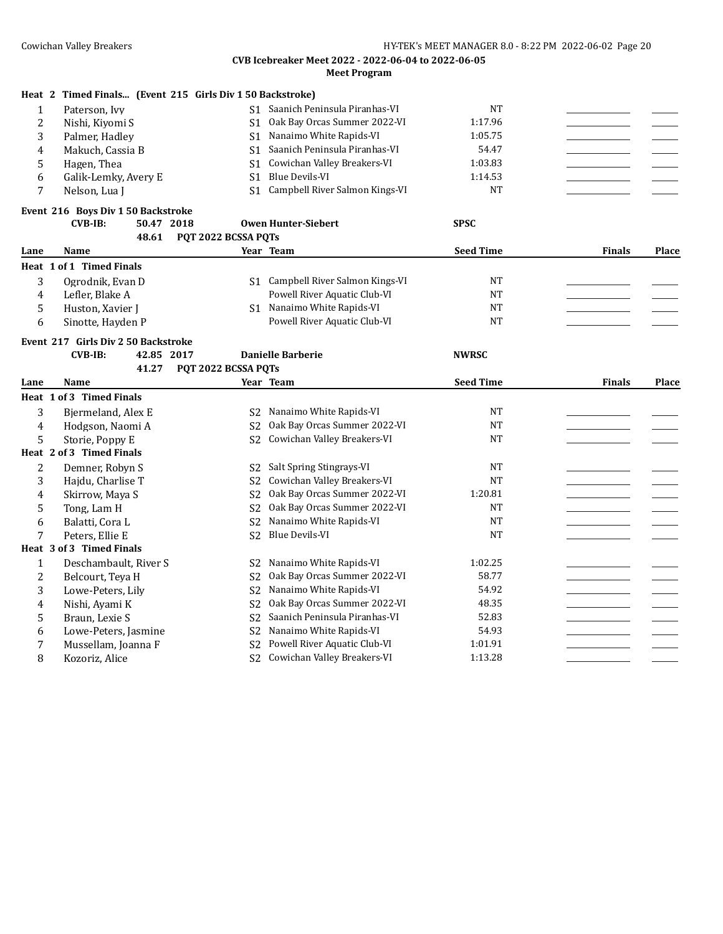|                | Heat 2 Timed Finals (Event 215 Girls Div 1 50 Backstroke) |                     |                                                         |                  |               |       |
|----------------|-----------------------------------------------------------|---------------------|---------------------------------------------------------|------------------|---------------|-------|
| $\mathbf{1}$   | Paterson, Ivy                                             |                     | S1 Saanich Peninsula Piranhas-VI                        | <b>NT</b>        |               |       |
| $\overline{2}$ | Nishi, Kiyomi S                                           | S <sub>1</sub>      | Oak Bay Orcas Summer 2022-VI                            | 1:17.96          |               |       |
| 3              | Palmer, Hadley                                            |                     | S1 Nanaimo White Rapids-VI                              | 1:05.75          |               |       |
| 4              | Makuch, Cassia B                                          | S1                  | Saanich Peninsula Piranhas-VI                           | 54.47            |               |       |
| 5              | Hagen, Thea                                               |                     | S1 Cowichan Valley Breakers-VI                          | 1:03.83          |               |       |
| 6              | Galik-Lemky, Avery E                                      | S <sub>1</sub>      | <b>Blue Devils-VI</b>                                   | 1:14.53          |               |       |
| 7              | Nelson, Lua J                                             |                     | S1 Campbell River Salmon Kings-VI                       | <b>NT</b>        |               |       |
|                | Event 216 Boys Div 1 50 Backstroke                        |                     |                                                         |                  |               |       |
|                | <b>CVB-IB:</b><br>50.47 2018                              |                     | <b>Owen Hunter-Siebert</b>                              | <b>SPSC</b>      |               |       |
|                | 48.61                                                     | PQT 2022 BCSSA PQTs |                                                         |                  |               |       |
| Lane           | Name                                                      |                     | Year Team                                               | <b>Seed Time</b> | <b>Finals</b> | Place |
|                | Heat 1 of 1 Timed Finals                                  |                     |                                                         |                  |               |       |
| 3              | Ogrodnik, Evan D                                          |                     | S1 Campbell River Salmon Kings-VI                       | NT               |               |       |
| $\overline{4}$ | Lefler, Blake A                                           |                     | Powell River Aquatic Club-VI                            | NT               |               |       |
| 5              | Huston, Xavier J                                          |                     | S1 Nanaimo White Rapids-VI                              | <b>NT</b>        |               |       |
| 6              | Sinotte, Hayden P                                         |                     | Powell River Aquatic Club-VI                            | <b>NT</b>        |               |       |
|                | Event 217 Girls Div 2 50 Backstroke                       |                     |                                                         |                  |               |       |
|                | <b>CVB-IB:</b><br>42.85 2017                              |                     | <b>Danielle Barberie</b>                                | <b>NWRSC</b>     |               |       |
|                | 41.27                                                     | PQT 2022 BCSSA PQTs |                                                         |                  |               |       |
|                |                                                           |                     |                                                         |                  |               |       |
| Lane           | Name                                                      |                     | Year Team                                               | <b>Seed Time</b> | <b>Finals</b> | Place |
|                | Heat 1 of 3 Timed Finals                                  |                     |                                                         |                  |               |       |
|                |                                                           | S <sub>2</sub>      | Nanaimo White Rapids-VI                                 | <b>NT</b>        |               |       |
| 3<br>4         | Bjermeland, Alex E                                        | S <sub>2</sub>      | Oak Bay Orcas Summer 2022-VI                            | <b>NT</b>        |               |       |
| 5              | Hodgson, Naomi A                                          | S <sub>2</sub>      | Cowichan Valley Breakers-VI                             | <b>NT</b>        |               |       |
|                | Storie, Poppy E<br>Heat 2 of 3 Timed Finals               |                     |                                                         |                  |               |       |
| $\overline{2}$ |                                                           | S <sub>2</sub>      |                                                         | NT               |               |       |
|                | Demner, Robyn S                                           | S <sub>2</sub>      | Salt Spring Stingrays-VI<br>Cowichan Valley Breakers-VI | <b>NT</b>        |               |       |
| 3<br>4         | Hajdu, Charlise T                                         | S <sub>2</sub>      | Oak Bay Orcas Summer 2022-VI                            | 1:20.81          |               |       |
| 5              | Skirrow, Maya S                                           | S <sub>2</sub>      | Oak Bay Orcas Summer 2022-VI                            | <b>NT</b>        |               |       |
|                | Tong, Lam H                                               | S <sub>2</sub>      | Nanaimo White Rapids-VI                                 | <b>NT</b>        |               |       |
| 6<br>7         | Balatti, Cora L<br>Peters, Ellie E                        | S <sub>2</sub>      | <b>Blue Devils-VI</b>                                   | <b>NT</b>        |               |       |
|                | Heat 3 of 3 Timed Finals                                  |                     |                                                         |                  |               |       |
| $\mathbf{1}$   |                                                           | S <sub>2</sub>      | Nanaimo White Rapids-VI                                 | 1:02.25          |               |       |
| $\overline{c}$ | Deschambault, River S                                     | S <sub>2</sub>      | Oak Bay Orcas Summer 2022-VI                            | 58.77            |               |       |
| 3              | Belcourt, Teya H<br>Lowe-Peters, Lily                     | S <sub>2</sub>      | Nanaimo White Rapids-VI                                 | 54.92            |               |       |
| $\overline{4}$ | Nishi, Ayami K                                            | S <sub>2</sub>      | Oak Bay Orcas Summer 2022-VI                            | 48.35            |               |       |
| 5              | Braun, Lexie S                                            | S <sub>2</sub>      | Saanich Peninsula Piranhas-VI                           | 52.83            |               |       |
| 6              | Lowe-Peters, Jasmine                                      | S <sub>2</sub>      | Nanaimo White Rapids-VI                                 | 54.93            |               |       |
| 7              | Mussellam, Joanna F                                       | S <sub>2</sub>      | Powell River Aquatic Club-VI                            | 1:01.91          |               |       |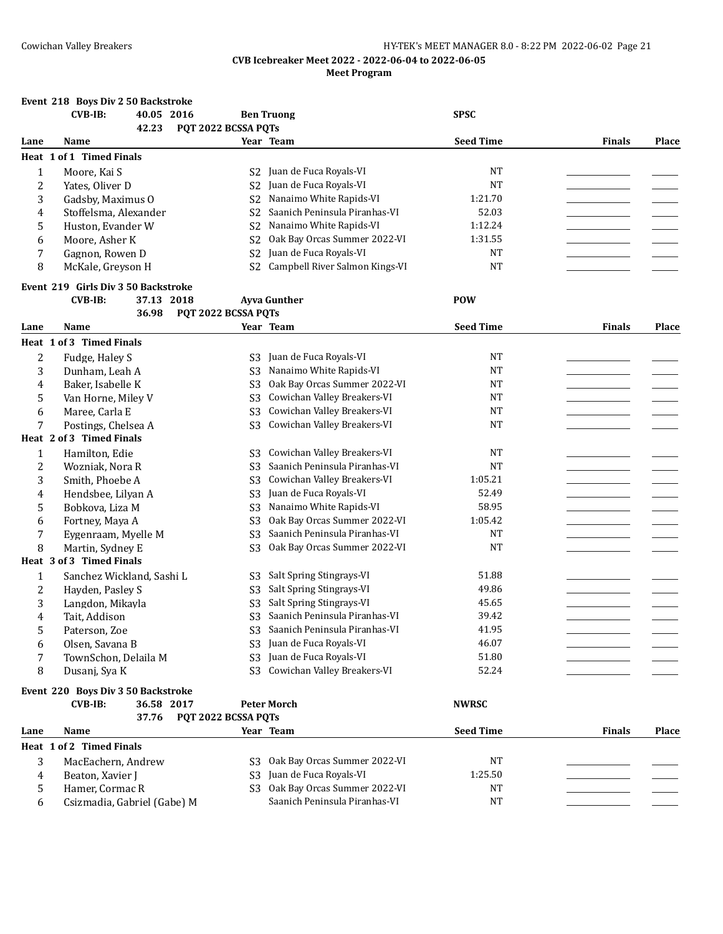#### **Event 218 Boys Div 2 50 Backstroke**

|                         | <b>CVB-IB:</b><br>40.05 2016        |                     | <b>Ben Truong</b>              | <b>SPSC</b>      |               |       |
|-------------------------|-------------------------------------|---------------------|--------------------------------|------------------|---------------|-------|
|                         | 42.23                               | PQT 2022 BCSSA PQTs |                                |                  |               |       |
| Lane                    | Name                                |                     | Year Team                      | <b>Seed Time</b> | <b>Finals</b> | Place |
|                         | Heat 1 of 1 Timed Finals            |                     |                                |                  |               |       |
| $\mathbf{1}$            | Moore, Kai S                        | S <sub>2</sub>      | Juan de Fuca Royals-VI         | <b>NT</b>        |               |       |
| $\overline{\mathbf{c}}$ | Yates, Oliver D                     | S <sub>2</sub>      | Juan de Fuca Royals-VI         | <b>NT</b>        |               |       |
| 3                       | Gadsby, Maximus O                   | S <sub>2</sub>      | Nanaimo White Rapids-VI        | 1:21.70          |               |       |
| 4                       | Stoffelsma, Alexander               | S <sub>2</sub>      | Saanich Peninsula Piranhas-VI  | 52.03            |               |       |
| 5                       | Huston, Evander W                   | S <sub>2</sub>      | Nanaimo White Rapids-VI        | 1:12.24          |               |       |
| 6                       | Moore, Asher K                      | S <sub>2</sub>      | Oak Bay Orcas Summer 2022-VI   | 1:31.55          |               |       |
| 7                       | Gagnon, Rowen D                     | S <sub>2</sub>      | Juan de Fuca Royals-VI         | <b>NT</b>        |               |       |
| 8                       | McKale, Greyson H                   | S <sub>2</sub>      | Campbell River Salmon Kings-VI | NT               |               |       |
|                         |                                     |                     |                                |                  |               |       |
|                         | Event 219 Girls Div 3 50 Backstroke |                     |                                |                  |               |       |
|                         | $CVB-IB:$<br>37.13 2018             |                     | <b>Ayva Gunther</b>            | <b>POW</b>       |               |       |
|                         | 36.98                               | PQT 2022 BCSSA PQTs |                                |                  |               |       |
| Lane                    | Name                                |                     | Year Team                      | <b>Seed Time</b> | <b>Finals</b> | Place |
|                         | Heat 1 of 3 Timed Finals            |                     |                                |                  |               |       |
| 2                       | Fudge, Haley S                      | S3                  | Juan de Fuca Royals-VI         | <b>NT</b>        |               |       |
| 3                       | Dunham, Leah A                      | S <sub>3</sub>      | Nanaimo White Rapids-VI        | $\rm{NT}$        |               |       |
| 4                       | Baker, Isabelle K                   | S <sub>3</sub>      | Oak Bay Orcas Summer 2022-VI   | <b>NT</b>        |               |       |
| 5                       | Van Horne, Miley V                  | S <sub>3</sub>      | Cowichan Valley Breakers-VI    | <b>NT</b>        |               |       |
| 6                       | Maree, Carla E                      | S <sub>3</sub>      | Cowichan Valley Breakers-VI    | NT               |               |       |
| 7                       | Postings, Chelsea A                 | S <sub>3</sub>      | Cowichan Valley Breakers-VI    | <b>NT</b>        |               |       |
|                         | Heat 2 of 3 Timed Finals            |                     |                                |                  |               |       |
| 1                       | Hamilton, Edie                      | S <sub>3</sub>      | Cowichan Valley Breakers-VI    | <b>NT</b>        |               |       |
| 2                       | Wozniak, Nora R                     | S <sub>3</sub>      | Saanich Peninsula Piranhas-VI  | <b>NT</b>        |               |       |
| 3                       | Smith, Phoebe A                     | S <sub>3</sub>      | Cowichan Valley Breakers-VI    | 1:05.21          |               |       |
| 4                       | Hendsbee, Lilyan A                  | S <sub>3</sub>      | Juan de Fuca Royals-VI         | 52.49            |               |       |
| 5                       | Bobkova, Liza M                     | S <sub>3</sub>      | Nanaimo White Rapids-VI        | 58.95            |               |       |
| 6                       | Fortney, Maya A                     | S <sub>3</sub>      | Oak Bay Orcas Summer 2022-VI   | 1:05.42          |               |       |
| 7                       | Eygenraam, Myelle M                 | S <sub>3</sub>      | Saanich Peninsula Piranhas-VI  | <b>NT</b>        |               |       |
| 8                       | Martin, Sydney E                    | S <sub>3</sub>      | Oak Bay Orcas Summer 2022-VI   | <b>NT</b>        |               |       |
|                         | Heat 3 of 3 Timed Finals            |                     |                                |                  |               |       |
| $\mathbf{1}$            | Sanchez Wickland, Sashi L           | S <sub>3</sub>      | Salt Spring Stingrays-VI       | 51.88            |               |       |
| 2                       | Hayden, Pasley S                    | S <sub>3</sub>      | Salt Spring Stingrays-VI       | 49.86            |               |       |
| 3                       | Langdon, Mikayla                    | S <sub>3</sub>      | Salt Spring Stingrays-VI       | 45.65            |               |       |
| 4                       | Tait, Addison                       | S <sub>3</sub>      | Saanich Peninsula Piranhas-VI  | 39.42            |               |       |
| 5                       | Paterson, Zoe                       | S <sub>3</sub>      | Saanich Peninsula Piranhas-VI  | 41.95            |               |       |
| 6                       | Olsen, Savana B                     |                     | S3 Juan de Fuca Royals-VI      | 46.07            |               |       |
| 7                       | TownSchon, Delaila M                |                     | S3 Juan de Fuca Royals-VI      | 51.80            |               |       |
| 8                       | Dusanj, Sya K                       |                     | S3 Cowichan Valley Breakers-VI | 52.24            |               |       |
|                         |                                     |                     |                                |                  |               |       |
|                         | Event 220 Boys Div 3 50 Backstroke  |                     |                                |                  |               |       |
|                         | <b>CVB-IB:</b><br>36.58 2017        |                     | <b>Peter Morch</b>             | <b>NWRSC</b>     |               |       |
|                         | 37.76                               | PQT 2022 BCSSA PQTs |                                |                  |               |       |
| Lane                    | <b>Name</b>                         |                     | Year Team                      | <b>Seed Time</b> | <b>Finals</b> | Place |
|                         | Heat 1 of 2 Timed Finals            |                     |                                |                  |               |       |
| 3                       | MacEachern, Andrew                  | S3                  | Oak Bay Orcas Summer 2022-VI   | NT               |               |       |
| 4                       | Beaton, Xavier J                    |                     | S3 Juan de Fuca Royals-VI      | 1:25.50          |               |       |
| 5                       | Hamer, Cormac R                     | S <sub>3</sub>      | Oak Bay Orcas Summer 2022-VI   | NT               |               |       |
| 6                       | Csizmadia, Gabriel (Gabe) M         |                     | Saanich Peninsula Piranhas-VI  | NT               |               |       |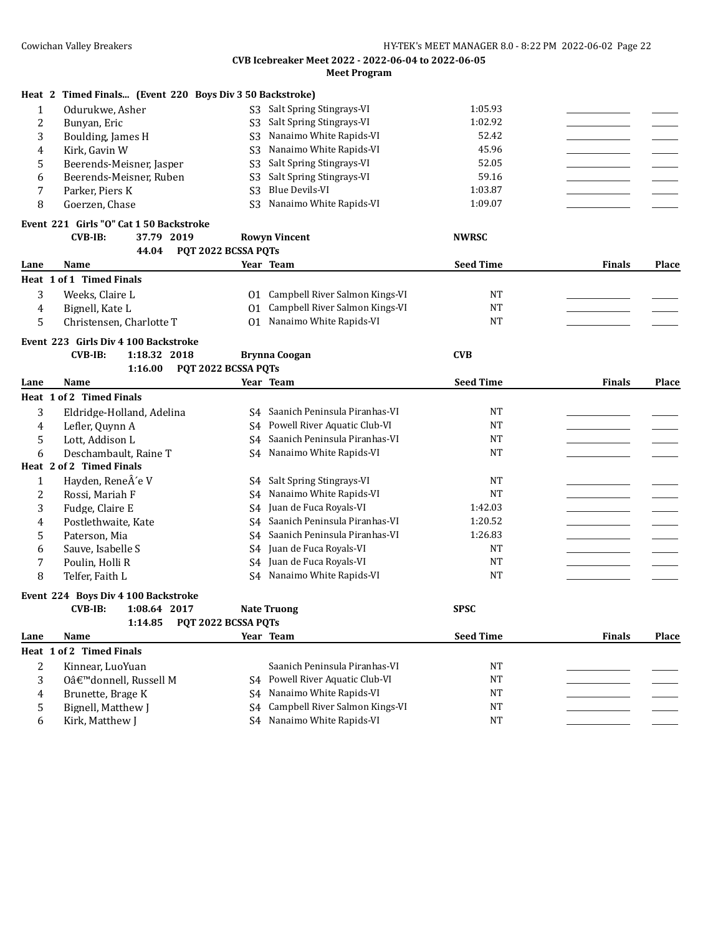|                | Heat 2 Timed Finals (Event 220 Boys Div 3 50 Backstroke) |                     |                                 |                  |               |       |
|----------------|----------------------------------------------------------|---------------------|---------------------------------|------------------|---------------|-------|
| $\mathbf{1}$   | Odurukwe, Asher                                          | S <sub>3</sub>      | Salt Spring Stingrays-VI        | 1:05.93          |               |       |
| $\overline{c}$ | Bunyan, Eric                                             | S <sub>3</sub>      | Salt Spring Stingrays-VI        | 1:02.92          |               |       |
| 3              | Boulding, James H                                        | S <sub>3</sub>      | Nanaimo White Rapids-VI         | 52.42            |               |       |
| 4              | Kirk, Gavin W                                            | S <sub>3</sub>      | Nanaimo White Rapids-VI         | 45.96            |               |       |
| 5              | Beerends-Meisner, Jasper                                 | S <sub>3</sub>      | Salt Spring Stingrays-VI        | 52.05            |               |       |
| 6              | Beerends-Meisner, Ruben                                  | S <sub>3</sub>      | Salt Spring Stingrays-VI        | 59.16            |               |       |
| 7              | Parker, Piers K                                          | S <sub>3</sub>      | <b>Blue Devils-VI</b>           | 1:03.87          |               |       |
| 8              | Goerzen, Chase                                           | S <sub>3</sub>      | Nanaimo White Rapids-VI         | 1:09.07          |               |       |
|                | Event 221 Girls "O" Cat 1 50 Backstroke                  |                     |                                 |                  |               |       |
|                | $CVB-IB:$<br>37.79 2019                                  |                     | <b>Rowyn Vincent</b>            | <b>NWRSC</b>     |               |       |
|                | 44.04                                                    | PQT 2022 BCSSA PQTs |                                 |                  |               |       |
| Lane           | Name                                                     |                     | Year Team                       | <b>Seed Time</b> | <b>Finals</b> | Place |
|                | Heat 1 of 1 Timed Finals                                 |                     |                                 |                  |               |       |
| 3              | Weeks, Claire L                                          | 01                  | Campbell River Salmon Kings-VI  | NT               |               |       |
| 4              | Bignell, Kate L                                          | 01                  | Campbell River Salmon Kings-VI  | <b>NT</b>        |               |       |
| 5              | Christensen, Charlotte T                                 |                     | 01 Nanaimo White Rapids-VI      | <b>NT</b>        |               |       |
|                | Event 223 Girls Div 4 100 Backstroke                     |                     |                                 |                  |               |       |
|                | <b>CVB-IB:</b><br>1:18.32 2018                           |                     | <b>Brynna Coogan</b>            | <b>CVB</b>       |               |       |
|                | 1:16.00                                                  | PQT 2022 BCSSA PQTs |                                 |                  |               |       |
| Lane           | Name                                                     |                     | Year Team                       | <b>Seed Time</b> | <b>Finals</b> | Place |
|                | Heat 1 of 2 Timed Finals                                 |                     |                                 |                  |               |       |
| 3              | Eldridge-Holland, Adelina                                | S4                  | Saanich Peninsula Piranhas-VI   | <b>NT</b>        |               |       |
| 4              | Lefler, Quynn A                                          | S4                  | Powell River Aquatic Club-VI    | <b>NT</b>        |               |       |
| 5              | Lott, Addison L                                          | S4                  | Saanich Peninsula Piranhas-VI   | <b>NT</b>        |               |       |
| 6              | Deschambault, Raine T                                    | S4                  | Nanaimo White Rapids-VI         | <b>NT</b>        |               |       |
|                | Heat 2 of 2 Timed Finals                                 |                     |                                 |                  |               |       |
| 1              | Hayden, ReneÂ'e V                                        |                     | S4 Salt Spring Stingrays-VI     | <b>NT</b>        |               |       |
| 2              | Rossi, Mariah F                                          | S4                  | Nanaimo White Rapids-VI         | <b>NT</b>        |               |       |
| 3              | Fudge, Claire E                                          | S4                  | Juan de Fuca Royals-VI          | 1:42.03          |               |       |
| 4              | Postlethwaite, Kate                                      | S4                  | Saanich Peninsula Piranhas-VI   | 1:20.52          |               |       |
| 5              | Paterson, Mia                                            | S4                  | Saanich Peninsula Piranhas-VI   | 1:26.83          |               |       |
| 6              | Sauve, Isabelle S                                        | S4                  | Juan de Fuca Royals-VI          | <b>NT</b>        |               |       |
| 7              | Poulin, Holli R                                          | S <sub>4</sub>      | Juan de Fuca Royals-VI          | <b>NT</b>        |               |       |
| 8              | Telfer, Faith L                                          |                     | S4 Nanaimo White Rapids-VI      | <b>NT</b>        |               |       |
|                | Event 224 Boys Div 4 100 Backstroke                      |                     |                                 |                  |               |       |
|                | <b>CVB-IB:</b><br>1:08.64 2017                           |                     | <b>Nate Truong</b>              | <b>SPSC</b>      |               |       |
|                | 1:14.85                                                  | PQT 2022 BCSSA PQTs |                                 |                  |               |       |
| Lane           | Name                                                     |                     | Year Team                       | <b>Seed Time</b> | Finals        | Place |
|                | Heat 1 of 2 Timed Finals                                 |                     |                                 |                  |               |       |
| 2              | Kinnear, LuoYuan                                         |                     | Saanich Peninsula Piranhas-VI   | <b>NT</b>        |               |       |
| 3              | O'donnell, Russell M                                     |                     | S4 Powell River Aquatic Club-VI | <b>NT</b>        |               |       |
| 4              | Brunette, Brage K                                        |                     | S4 Nanaimo White Rapids-VI      | <b>NT</b>        |               |       |
| 5              | Bignell, Matthew J                                       | S4                  | Campbell River Salmon Kings-VI  | <b>NT</b>        |               |       |
| 6              | Kirk, Matthew J                                          |                     | S4 Nanaimo White Rapids-VI      | <b>NT</b>        |               |       |
|                |                                                          |                     |                                 |                  |               |       |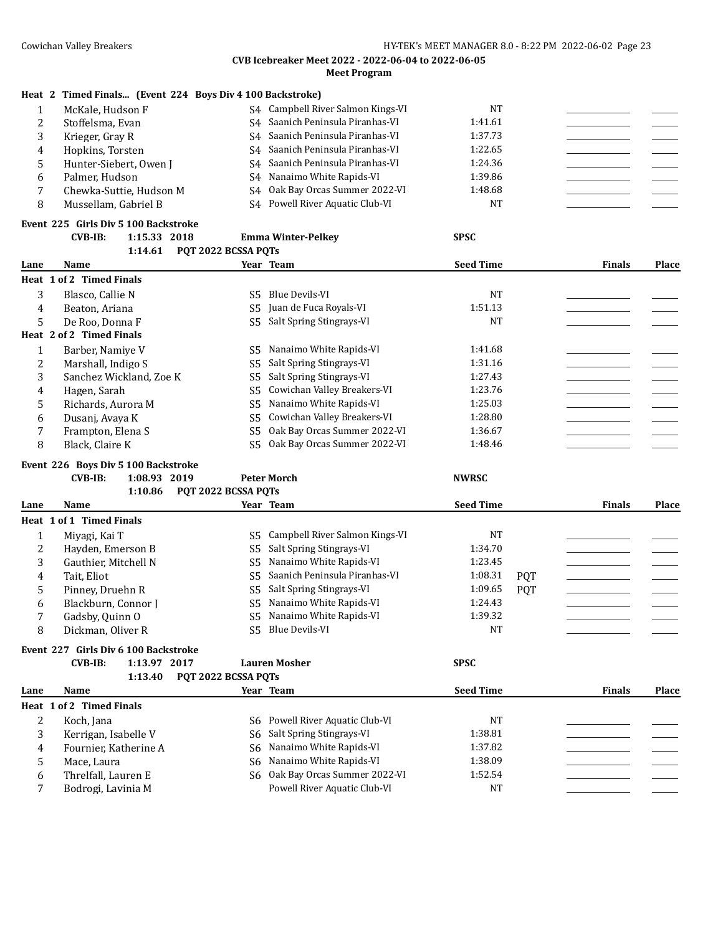|   | Heat 2 Timed Finals (Event 224 Boys Div 4 100 Backstroke) |                                      |         |  |
|---|-----------------------------------------------------------|--------------------------------------|---------|--|
|   | McKale, Hudson F                                          | Campbell River Salmon Kings-VI<br>S4 | NT      |  |
| ∠ | Stoffelsma, Evan                                          | S4 Saanich Peninsula Piranhas-VI     | 1:41.61 |  |
|   | Krieger, Gray R                                           | S4 Saanich Peninsula Piranhas-VI     | 1:37.73 |  |
| 4 | Hopkins, Torsten                                          | S4 Saanich Peninsula Piranhas-VI     | 1:22.65 |  |
|   | Hunter-Siebert, Owen J                                    | S4 Saanich Peninsula Piranhas-VI     | 1:24.36 |  |
| b | Palmer, Hudson                                            | S4 Nanaimo White Rapids-VI           | 1:39.86 |  |
|   | Chewka-Suttie, Hudson M                                   | S4 Oak Bay Orcas Summer 2022-VI      | 1:48.68 |  |
| 8 | Mussellam, Gabriel B                                      | S4 Powell River Aquatic Club-VI      | NT      |  |

| Event  225   Girls Div 5 100 Backstroke |              |                    |      |
|-----------------------------------------|--------------|--------------------|------|
| CVB-IB:                                 | 1:15.33 2018 | Emma Winter-Pelkev | SPSC |

|      | 1:14.61                  | PQT 2022 BCSSA PQTs |                              |                  |               |       |
|------|--------------------------|---------------------|------------------------------|------------------|---------------|-------|
| Lane | Name                     |                     | Year Team                    | <b>Seed Time</b> | <b>Finals</b> | Place |
|      | Heat 1 of 2 Timed Finals |                     |                              |                  |               |       |
| 3    | Blasco, Callie N         | S5                  | Blue Devils-VI               | <b>NT</b>        |               |       |
| 4    | Beaton, Ariana           | S5                  | Juan de Fuca Royals-VI       | 1:51.13          |               |       |
| 5    | De Roo, Donna F          | S5                  | Salt Spring Stingrays-VI     | <b>NT</b>        |               |       |
|      | Heat 2 of 2 Timed Finals |                     |                              |                  |               |       |
|      | Barber, Namiye V         | S5                  | Nanaimo White Rapids-VI      | 1:41.68          |               |       |
| 2    | Marshall, Indigo S       | S5                  | Salt Spring Stingrays-VI     | 1:31.16          |               |       |
| 3    | Sanchez Wickland, Zoe K  | S5                  | Salt Spring Stingrays-VI     | 1:27.43          |               |       |
| 4    | Hagen, Sarah             | S5                  | Cowichan Valley Breakers-VI  | 1:23.76          |               |       |
| 5    | Richards, Aurora M       | S5                  | Nanaimo White Rapids-VI      | 1:25.03          |               |       |
| 6    | Dusanj, Avaya K          | S5                  | Cowichan Valley Breakers-VI  | 1:28.80          |               |       |
|      | Frampton, Elena S        | S5                  | Oak Bay Orcas Summer 2022-VI | 1:36.67          |               |       |
| 8    | Black, Claire K          | S5                  | Oak Bay Orcas Summer 2022-VI | 1:48.46          |               |       |

#### **Event 226 Boys Div 5 100 Backstroke**

## **CVB-IB: 1:08.93 2019 Peter Morch NWRSC**

|      | 1:10.86                              | POT 2022 BCSSA POTS |                                |                  |            |               |              |
|------|--------------------------------------|---------------------|--------------------------------|------------------|------------|---------------|--------------|
| Lane | Name                                 |                     | Year Team                      | <b>Seed Time</b> |            | <b>Finals</b> | <b>Place</b> |
|      | Heat 1 of 1 Timed Finals             |                     |                                |                  |            |               |              |
|      | Miyagi, Kai T                        | S5.                 | Campbell River Salmon Kings-VI | NT               |            |               |              |
| 2    | Havden. Emerson B                    | S5.                 | Salt Spring Stingrays-VI       | 1:34.70          |            |               |              |
| 3    | Gauthier. Mitchell N                 | S5                  | Nanaimo White Rapids-VI        | 1:23.45          |            |               |              |
| 4    | Tait. Eliot                          | S5.                 | Saanich Peninsula Piranhas-VI  | 1:08.31          | <b>POT</b> |               |              |
| 5    | Pinney, Druehn R                     | S5                  | Salt Spring Stingrays-VI       | 1:09.65          | <b>POT</b> |               |              |
| 6    | Blackburn, Connor I                  | S5                  | Nanaimo White Rapids-VI        | 1:24.43          |            |               |              |
| 7    | Gadsby, Quinn O                      | S5                  | Nanaimo White Rapids-VI        | 1:39.32          |            |               |              |
| 8    | Dickman, Oliver R                    | S5                  | Blue Devils-VI                 | NT               |            |               |              |
|      | Event 227 Girls Div 6 100 Backstroke |                     |                                |                  |            |               |              |
|      | $CVB-IB:$<br>1:13.97 2017            |                     | <b>Lauren Mosher</b>           | <b>SPSC</b>      |            |               |              |

## **1:13.40 PQT 2022 BCSSA PQTs**

| Lane | Name                     | Year Team                       | <b>Seed Time</b> | <b>Finals</b> | <b>Place</b> |
|------|--------------------------|---------------------------------|------------------|---------------|--------------|
|      | Heat 1 of 2 Timed Finals |                                 |                  |               |              |
|      | Koch, Jana               | S6 Powell River Aquatic Club-VI | NT               |               |              |
|      | Kerrigan, Isabelle V     | S6 Salt Spring Stingrays-VI     | 1:38.81          |               |              |
|      | Fournier, Katherine A    | S6 Nanaimo White Rapids-VI      | 1:37.82          |               |              |
|      | Mace, Laura              | S6 Nanaimo White Rapids-VI      | 1:38.09          |               |              |
| h    | Threlfall, Lauren E      | S6 Oak Bay Orcas Summer 2022-VI | 1:52.54          |               |              |
|      | Bodrogi, Lavinia M       | Powell River Aquatic Club-VI    | NT               |               |              |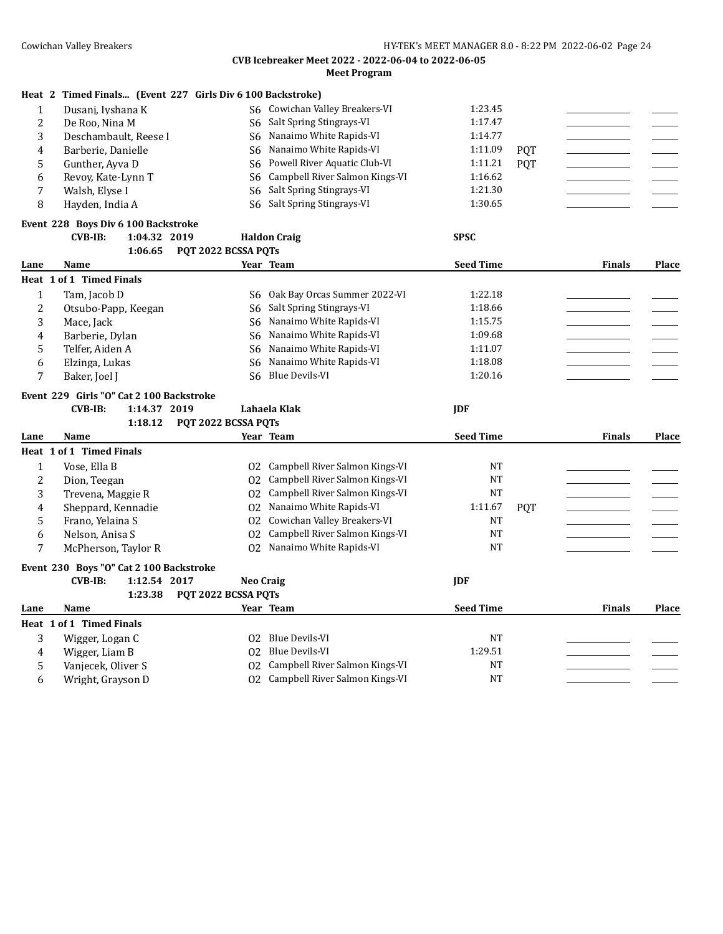|  |  |  |  | Heat 2 Timed Finals (Event 227 Girls Div 6 100 Backstroke) |
|--|--|--|--|------------------------------------------------------------|
|--|--|--|--|------------------------------------------------------------|

|   | Dusanj, Iyshana K     | S6 Cowichan Valley Breakers-VI    | 1:23.45 |            |  |
|---|-----------------------|-----------------------------------|---------|------------|--|
| ∠ | De Roo, Nina M        | S6 Salt Spring Stingrays-VI       | 1:17.47 |            |  |
|   | Deschambault, Reese I | S6 Nanaimo White Rapids-VI        | 1:14.77 |            |  |
|   | Barberie, Danielle    | S6 Nanaimo White Rapids-VI        | 1:11.09 | <b>POT</b> |  |
|   | Gunther, Ayya D       | S6 Powell River Aquatic Club-VI   | 1:11.21 | <b>POT</b> |  |
|   | Revoy, Kate-Lynn T    | S6 Campbell River Salmon Kings-VI | 1:16.62 |            |  |
|   | Walsh, Elyse I        | S6 Salt Spring Stingrays-VI       | 1:21.30 |            |  |
|   | Hayden, India A       | S6 Salt Spring Stingrays-VI       | 1:30.65 |            |  |

## **Event 228 Boys Div 6 100 Backstroke**

|      | CVB-IB:                  | 1:04.32 2019 | Haldon Craig                | <b>SPSC</b>      |               |       |
|------|--------------------------|--------------|-----------------------------|------------------|---------------|-------|
|      |                          |              | 1:06.65 POT 2022 BCSSA POTS |                  |               |       |
| Lane | Name                     |              | Year Team                   | <b>Seed Time</b> | <b>Finals</b> | Place |
|      | Heat 1 of 1 Timed Finals |              |                             |                  |               |       |

|        | Tam, Jacob D        | S6 Oak Bay Orcas Summer 2022-VI | 1:22.18 |  |
|--------|---------------------|---------------------------------|---------|--|
| C<br>∼ | Otsubo-Papp, Keegan | S6 Salt Spring Stingrays-VI     | 1:18.66 |  |
| ມ      | Mace, Jack          | Nanaimo White Rapids-VI<br>S6.  | 1:15.75 |  |
| 4      | Barberie, Dylan     | Nanaimo White Rapids-VI<br>S6.  | 1:09.68 |  |
|        | Telfer, Aiden A     | S6 Nanaimo White Rapids-VI      | 1:11.07 |  |
| b      | Elzinga, Lukas      | Nanaimo White Rapids-VI<br>S6.  | 1:18.08 |  |
|        | Baker, Joel J       | S6 Blue Devils-VI               | 1:20.16 |  |

# **Event 229 Girls "O" Cat 2 100 Backstroke**

| CVB-IB:<br>1:14.37 2019<br>Lahaela Klak<br>. | IDF |
|----------------------------------------------|-----|
|----------------------------------------------|-----|

|      | 1:18.12                                 | POT 2022 BCSSA POTS |                                |                  |            |               |       |
|------|-----------------------------------------|---------------------|--------------------------------|------------------|------------|---------------|-------|
| Lane | Name                                    |                     | Year Team                      | <b>Seed Time</b> |            | <b>Finals</b> | Place |
|      | Heat 1 of 1 Timed Finals                |                     |                                |                  |            |               |       |
|      | Vose, Ella B                            | 02                  | Campbell River Salmon Kings-VI | <b>NT</b>        |            |               |       |
| 2    | Dion, Teegan                            | 02                  | Campbell River Salmon Kings-VI | <b>NT</b>        |            |               |       |
| 3    | Trevena, Maggie R                       | 02                  | Campbell River Salmon Kings-VI | <b>NT</b>        |            |               |       |
| 4    | Sheppard, Kennadie                      | 02                  | Nanaimo White Rapids-VI        | 1:11.67          | <b>PQT</b> |               |       |
| 5    | Frano, Yelaina S                        | 02                  | Cowichan Valley Breakers-VI    | <b>NT</b>        |            |               |       |
| 6    | Nelson, Anisa S                         | 02                  | Campbell River Salmon Kings-VI | <b>NT</b>        |            |               |       |
| 7    | McPherson, Taylor R                     | 02                  | Nanaimo White Rapids-VI        | <b>NT</b>        |            |               |       |
|      | Event 230 Boys "O" Cat 2 100 Backstroke |                     |                                |                  |            |               |       |
|      | 1:12.54 2017<br>$CVB-IB$ :              |                     | Neo Craig                      | <b>IDF</b>       |            |               |       |
|      | 1:23.38                                 | POT 2022 BCSSA POTS |                                |                  |            |               |       |
| Lane | Name                                    |                     | Year Team                      | <b>Seed Time</b> |            | <b>Finals</b> | Place |
|      | Heat 1 of 1 Timed Finals                |                     |                                |                  |            |               |       |
| 3    | Wigger, Logan C                         | 02                  | Blue Devils-VI                 | <b>NT</b>        |            |               |       |
| 4    | Wigger, Liam B                          | 02                  | Blue Devils-VI                 | 1:29.51          |            |               |       |
| 5    | Vanjecek, Oliver S                      | 02                  | Campbell River Salmon Kings-VI | <b>NT</b>        |            |               |       |
| 6    | Wright, Grayson D                       | 02                  | Campbell River Salmon Kings-VI | <b>NT</b>        |            |               |       |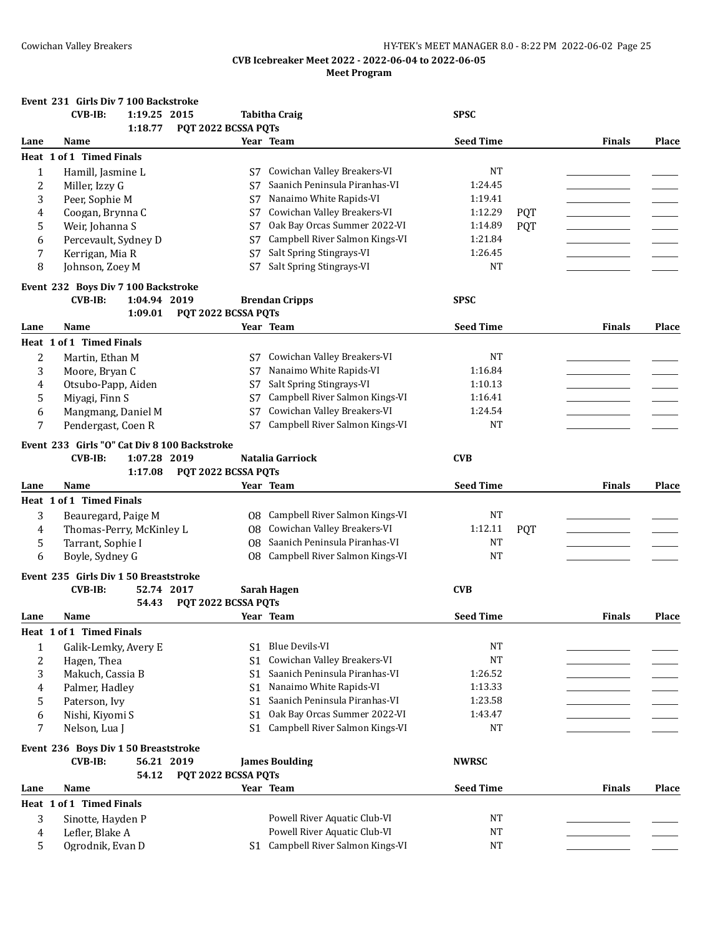|              | Event 231 Girls Div 7 100 Backstroke                  |                     |                                                                |                        |            |               |       |
|--------------|-------------------------------------------------------|---------------------|----------------------------------------------------------------|------------------------|------------|---------------|-------|
|              | $CVB-IB:$<br>1:19.25 2015                             |                     | <b>Tabitha Craig</b>                                           | <b>SPSC</b>            |            |               |       |
|              | 1:18.77                                               | PQT 2022 BCSSA PQTs |                                                                |                        |            |               |       |
| Lane         | Name                                                  |                     | Year Team                                                      | <b>Seed Time</b>       |            | <b>Finals</b> | Place |
|              | Heat 1 of 1 Timed Finals                              |                     |                                                                |                        |            |               |       |
| $\mathbf{1}$ | Hamill, Jasmine L                                     | S7                  | Cowichan Valley Breakers-VI                                    | NT                     |            |               |       |
| 2            | Miller, Izzy G                                        | S7                  | Saanich Peninsula Piranhas-VI                                  | 1:24.45                |            |               |       |
| 3            | Peer, Sophie M                                        | S7                  | Nanaimo White Rapids-VI                                        | 1:19.41                |            |               |       |
| 4            | Coogan, Brynna C                                      | S7                  | Cowichan Valley Breakers-VI                                    | 1:12.29                | <b>POT</b> |               |       |
| 5            | Weir, Johanna S                                       | S7                  | Oak Bay Orcas Summer 2022-VI                                   | 1:14.89                | <b>PQT</b> |               |       |
| 6            | Percevault, Sydney D                                  | S7                  | Campbell River Salmon Kings-VI                                 | 1:21.84                |            |               |       |
| 7            | Kerrigan, Mia R                                       | S7                  | Salt Spring Stingrays-VI                                       | 1:26.45                |            |               |       |
| 8            | Johnson, Zoey M                                       | S7                  | Salt Spring Stingrays-VI                                       | NT                     |            |               |       |
|              |                                                       |                     |                                                                |                        |            |               |       |
|              | Event 232 Boys Div 7 100 Backstroke<br><b>CVB-IB:</b> |                     |                                                                | <b>SPSC</b>            |            |               |       |
|              | 1:04.94 2019                                          |                     | <b>Brendan Cripps</b>                                          |                        |            |               |       |
|              | 1:09.01                                               | PQT 2022 BCSSA PQTs | Year Team                                                      | <b>Seed Time</b>       |            |               |       |
| Lane         | Name                                                  |                     |                                                                |                        |            | <b>Finals</b> | Place |
|              | Heat 1 of 1 Timed Finals                              |                     |                                                                |                        |            |               |       |
| 2            | Martin, Ethan M                                       | S7                  | Cowichan Valley Breakers-VI                                    | NT                     |            |               |       |
| 3            | Moore, Bryan C                                        | S7                  | Nanaimo White Rapids-VI                                        | 1:16.84                |            |               |       |
| 4            | Otsubo-Papp, Aiden                                    | S7                  | Salt Spring Stingrays-VI                                       | 1:10.13                |            |               |       |
| 5            | Miyagi, Finn S                                        | S7                  | Campbell River Salmon Kings-VI                                 | 1:16.41                |            |               |       |
| 6            | Mangmang, Daniel M                                    | S7                  | Cowichan Valley Breakers-VI                                    | 1:24.54                |            |               |       |
| 7            | Pendergast, Coen R                                    | S7                  | Campbell River Salmon Kings-VI                                 | <b>NT</b>              |            |               |       |
|              | Event 233 Girls "O" Cat Div 8 100 Backstroke          |                     |                                                                |                        |            |               |       |
|              | <b>CVB-IB:</b><br>1:07.28 2019                        |                     | Natalia Garriock                                               | <b>CVB</b>             |            |               |       |
|              | 1:17.08                                               | PQT 2022 BCSSA PQTs |                                                                |                        |            |               |       |
| Lane         | Name                                                  |                     | Year Team                                                      | <b>Seed Time</b>       |            | <b>Finals</b> | Place |
|              |                                                       |                     |                                                                |                        |            |               |       |
|              |                                                       |                     |                                                                |                        |            |               |       |
|              | <b>Heat 1 of 1 Timed Finals</b>                       |                     |                                                                |                        |            |               |       |
| 3            | Beauregard, Paige M                                   | 08                  | Campbell River Salmon Kings-VI                                 | <b>NT</b>              |            |               |       |
| 4            | Thomas-Perry, McKinley L                              | 08                  | Cowichan Valley Breakers-VI                                    | 1:12.11                | <b>PQT</b> |               |       |
| 5            | Tarrant, Sophie I                                     | 08                  | Saanich Peninsula Piranhas-VI                                  | NT                     |            |               |       |
| 6            | Boyle, Sydney G                                       | 08                  | Campbell River Salmon Kings-VI                                 | <b>NT</b>              |            |               |       |
|              |                                                       |                     |                                                                |                        |            |               |       |
|              | Event 235 Girls Div 1 50 Breaststroke<br>52.74 2017   |                     |                                                                |                        |            |               |       |
|              | <b>CVB-IB:</b><br>54.43                               |                     | Sarah Hagen                                                    | <b>CVB</b>             |            |               |       |
| Lane         | Name                                                  | PQT 2022 BCSSA PQTs | Year Team                                                      | <b>Seed Time</b>       |            | <b>Finals</b> | Place |
|              |                                                       |                     |                                                                |                        |            |               |       |
|              | Heat 1 of 1 Timed Finals                              |                     |                                                                |                        |            |               |       |
| 1            | Galik-Lemky, Avery E                                  | S1                  | Blue Devils-VI                                                 | <b>NT</b>              |            |               |       |
| 2            | Hagen, Thea                                           | S1                  | Cowichan Valley Breakers-VI                                    | $_{\rm NT}$            |            |               |       |
| 3            | Makuch, Cassia B                                      | S1                  | Saanich Peninsula Piranhas-VI                                  | 1:26.52                |            |               |       |
| 4            | Palmer, Hadley                                        | S1                  | Nanaimo White Rapids-VI                                        | 1:13.33                |            |               |       |
| 5            | Paterson, Ivy                                         | S <sub>1</sub>      | Saanich Peninsula Piranhas-VI                                  | 1:23.58                |            |               |       |
| 6            | Nishi, Kiyomi S                                       | S <sub>1</sub>      | Oak Bay Orcas Summer 2022-VI                                   | 1:43.47                |            |               |       |
| 7            | Nelson, Lua J                                         | S1                  | Campbell River Salmon Kings-VI                                 | <b>NT</b>              |            |               |       |
|              |                                                       |                     |                                                                |                        |            |               |       |
|              | Event 236 Boys Div 1 50 Breaststroke                  |                     |                                                                |                        |            |               |       |
|              | 56.21 2019<br><b>CVB-IB:</b>                          |                     | <b>James Boulding</b>                                          | <b>NWRSC</b>           |            |               |       |
|              | 54.12                                                 | PQT 2022 BCSSA PQTs |                                                                |                        |            |               |       |
| Lane         | Name                                                  |                     | Year Team                                                      | <b>Seed Time</b>       |            | <b>Finals</b> | Place |
|              | Heat 1 of 1 Timed Finals                              |                     |                                                                |                        |            |               |       |
| 3            | Sinotte, Hayden P                                     |                     | Powell River Aquatic Club-VI                                   | NT                     |            |               |       |
| 4<br>5.      | Lefler, Blake A<br>Ogrodnik, Evan D                   | S1                  | Powell River Aquatic Club-VI<br>Campbell River Salmon Kings-VI | <b>NT</b><br><b>NT</b> |            |               |       |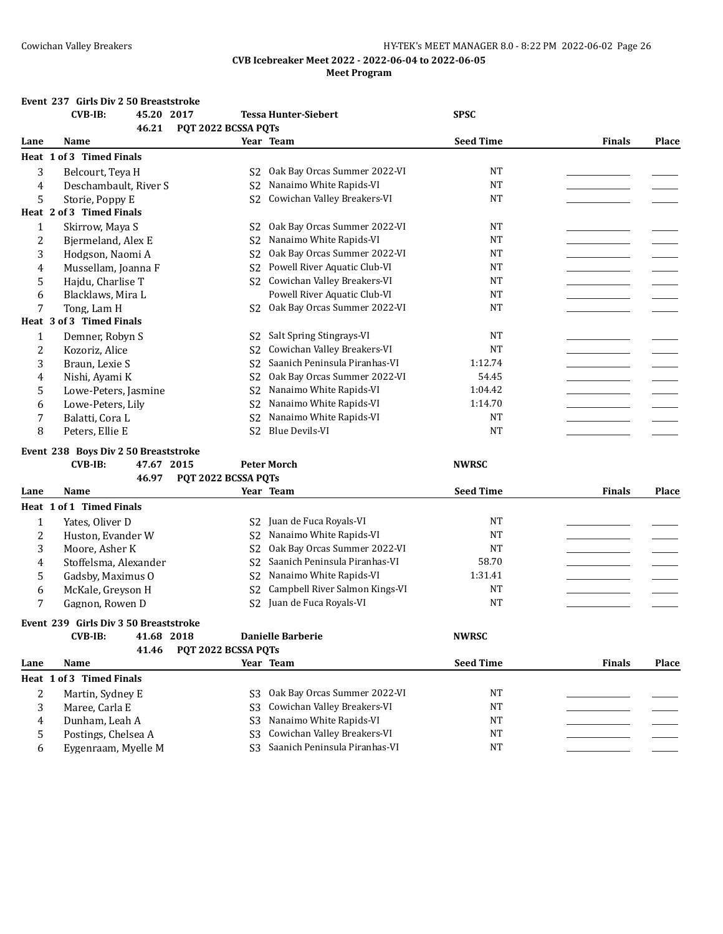## Cowichan Valley Breakers **Exercise 20 and Servers 19 and Servers HY-TEK's MEET MANAGER 8.0 - 8:22 PM 2022-06-02 Page 26**

## **CVB Icebreaker Meet 2022 - 2022-06-04 to 2022-06-05 Meet Program**

## **Event 237 Girls Div 2 50 Breaststroke**

|      | <b>CVB-IB:</b>                        | 45.20 2017<br>46.21 | PQT 2022 BCSSA PQTs |                | <b>Tessa Hunter-Siebert</b>      | <b>SPSC</b>      |               |              |
|------|---------------------------------------|---------------------|---------------------|----------------|----------------------------------|------------------|---------------|--------------|
| Lane | Name                                  |                     |                     |                | Year Team                        | <b>Seed Time</b> | <b>Finals</b> | <b>Place</b> |
|      | Heat 1 of 3 Timed Finals              |                     |                     |                |                                  |                  |               |              |
| 3    | Belcourt, Teya H                      |                     |                     | S <sub>2</sub> | Oak Bay Orcas Summer 2022-VI     | <b>NT</b>        |               |              |
| 4    | Deschambault, River S                 |                     |                     | S <sub>2</sub> | Nanaimo White Rapids-VI          | <b>NT</b>        |               |              |
| 5    | Storie, Poppy E                       |                     |                     | S <sub>2</sub> | Cowichan Valley Breakers-VI      | <b>NT</b>        |               |              |
|      | Heat 2 of 3 Timed Finals              |                     |                     |                |                                  |                  |               |              |
| 1    | Skirrow, Maya S                       |                     |                     | S <sub>2</sub> | Oak Bay Orcas Summer 2022-VI     | <b>NT</b>        |               |              |
| 2    | Bjermeland, Alex E                    |                     |                     | S2             | Nanaimo White Rapids-VI          | <b>NT</b>        |               |              |
| 3    | Hodgson, Naomi A                      |                     |                     | S <sub>2</sub> | Oak Bay Orcas Summer 2022-VI     | <b>NT</b>        |               |              |
| 4    | Mussellam, Joanna F                   |                     |                     | S <sub>2</sub> | Powell River Aquatic Club-VI     | <b>NT</b>        |               |              |
| 5    | Hajdu, Charlise T                     |                     |                     | S <sub>2</sub> | Cowichan Valley Breakers-VI      | <b>NT</b>        |               |              |
| 6    | Blacklaws, Mira L                     |                     |                     |                | Powell River Aquatic Club-VI     | <b>NT</b>        |               |              |
| 7    | Tong, Lam H                           |                     |                     | S <sub>2</sub> | Oak Bay Orcas Summer 2022-VI     | <b>NT</b>        |               |              |
|      | Heat 3 of 3 Timed Finals              |                     |                     |                |                                  |                  |               |              |
| 1    | Demner, Robyn S                       |                     |                     | S2             | Salt Spring Stingrays-VI         | <b>NT</b>        |               |              |
| 2    | Kozoriz, Alice                        |                     |                     | S2             | Cowichan Valley Breakers-VI      | <b>NT</b>        |               |              |
| 3    | Braun, Lexie S                        |                     |                     | S <sub>2</sub> | Saanich Peninsula Piranhas-VI    | 1:12.74          |               |              |
| 4    | Nishi, Ayami K                        |                     |                     | S <sub>2</sub> | Oak Bay Orcas Summer 2022-VI     | 54.45            |               |              |
| 5    | Lowe-Peters, Jasmine                  |                     |                     | S <sub>2</sub> | Nanaimo White Rapids-VI          | 1:04.42          |               |              |
| 6    | Lowe-Peters, Lily                     |                     |                     | S <sub>2</sub> | Nanaimo White Rapids-VI          | 1:14.70          |               |              |
| 7    | Balatti, Cora L                       |                     |                     | S <sub>2</sub> | Nanaimo White Rapids-VI          | <b>NT</b>        |               |              |
| 8    | Peters, Ellie E                       |                     |                     | S <sub>2</sub> | <b>Blue Devils-VI</b>            | <b>NT</b>        |               |              |
|      | Event 238 Boys Div 2 50 Breaststroke  |                     |                     |                |                                  |                  |               |              |
|      | <b>CVB-IB:</b>                        | 47.67 2015          |                     |                | <b>Peter Morch</b>               | <b>NWRSC</b>     |               |              |
|      |                                       | 46.97               | PQT 2022 BCSSA PQTs |                |                                  |                  |               |              |
| Lane | Name                                  |                     |                     |                | Year Team                        | <b>Seed Time</b> | <b>Finals</b> | <b>Place</b> |
|      | Heat 1 of 1 Timed Finals              |                     |                     |                |                                  |                  |               |              |
| 1    | Yates, Oliver D                       |                     |                     | S2             | Juan de Fuca Royals-VI           | <b>NT</b>        |               |              |
| 2    | Huston, Evander W                     |                     |                     | S <sub>2</sub> | Nanaimo White Rapids-VI          | <b>NT</b>        |               |              |
| 3    | Moore, Asher K                        |                     |                     | S <sub>2</sub> | Oak Bay Orcas Summer 2022-VI     | <b>NT</b>        |               |              |
| 4    | Stoffelsma, Alexander                 |                     |                     | S <sub>2</sub> | Saanich Peninsula Piranhas-VI    | 58.70            |               |              |
| 5    | Gadsby, Maximus O                     |                     |                     | S <sub>2</sub> | Nanaimo White Rapids-VI          | 1:31.41          |               |              |
| 6    | McKale, Greyson H                     |                     |                     | S <sub>2</sub> | Campbell River Salmon Kings-VI   | <b>NT</b>        |               |              |
| 7    | Gagnon, Rowen D                       |                     |                     | S <sub>2</sub> | Juan de Fuca Royals-VI           | <b>NT</b>        |               |              |
|      | Event 239 Girls Div 3 50 Breaststroke |                     |                     |                |                                  |                  |               |              |
|      | CVB-IB: 41.68 2018                    |                     |                     |                | <b>Danielle Barberie</b>         | <b>NWRSC</b>     |               |              |
|      |                                       | 41.46               | PQT 2022 BCSSA PQTs |                |                                  |                  |               |              |
| Lane | Name                                  |                     |                     |                | Year Team                        | <b>Seed Time</b> | <b>Finals</b> | Place        |
|      | Heat 1 of 3 Timed Finals              |                     |                     |                |                                  |                  |               |              |
| 2    | Martin, Sydney E                      |                     |                     | S3             | Oak Bay Orcas Summer 2022-VI     | $_{\rm NT}$      |               |              |
| 3    | Maree, Carla E                        |                     |                     | S3             | Cowichan Valley Breakers-VI      | NT               |               |              |
| 4    | Dunham, Leah A                        |                     |                     | S <sub>3</sub> | Nanaimo White Rapids-VI          | $_{\rm NT}$      |               |              |
| 5    | Postings, Chelsea A                   |                     |                     | S <sub>3</sub> | Cowichan Valley Breakers-VI      | $_{\rm NT}$      |               |              |
| 6    | Eygenraam, Myelle M                   |                     |                     |                | S3 Saanich Peninsula Piranhas-VI | $\rm{NT}$        |               |              |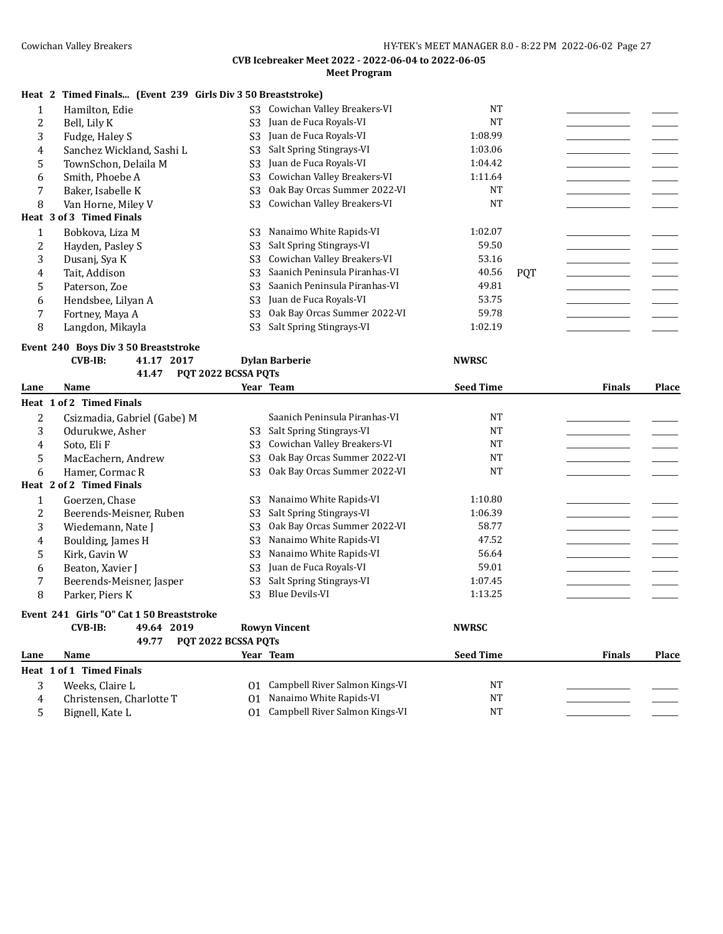|              | Heat 2 Timed Finals (Event 239 Girls Div 3 50 Breaststroke)          |                     |                                                           |                  |            |               |              |
|--------------|----------------------------------------------------------------------|---------------------|-----------------------------------------------------------|------------------|------------|---------------|--------------|
| $\mathbf{1}$ | Hamilton, Edie                                                       | S <sub>3</sub>      | Cowichan Valley Breakers-VI                               | <b>NT</b>        |            |               |              |
| 2            | Bell, Lily K                                                         | S <sub>3</sub>      | Juan de Fuca Royals-VI                                    | <b>NT</b>        |            |               |              |
| 3            | Fudge, Haley S                                                       | S <sub>3</sub>      | Juan de Fuca Royals-VI                                    | 1:08.99          |            |               |              |
| 4            | Sanchez Wickland, Sashi L                                            | S <sub>3</sub>      | Salt Spring Stingrays-VI                                  | 1:03.06          |            |               |              |
| 5            | TownSchon, Delaila M                                                 | S <sub>3</sub>      | Juan de Fuca Royals-VI                                    | 1:04.42          |            |               |              |
| 6            | Smith, Phoebe A                                                      | S <sub>3</sub>      | Cowichan Valley Breakers-VI                               | 1:11.64          |            |               |              |
| 7            | Baker, Isabelle K                                                    | S <sub>3</sub>      | Oak Bay Orcas Summer 2022-VI                              | <b>NT</b>        |            |               |              |
| 8            | Van Horne, Miley V                                                   | S <sub>3</sub>      | Cowichan Valley Breakers-VI                               | <b>NT</b>        |            |               |              |
|              | Heat 3 of 3 Timed Finals                                             |                     |                                                           |                  |            |               |              |
| 1            | Bobkova, Liza M                                                      | S <sub>3</sub>      | Nanaimo White Rapids-VI                                   | 1:02.07          |            |               |              |
| 2            | Hayden, Pasley S                                                     | S <sub>3</sub>      | Salt Spring Stingrays-VI                                  | 59.50            |            |               |              |
| 3            | Dusanj, Sya K                                                        | S <sub>3</sub>      | Cowichan Valley Breakers-VI                               | 53.16            |            |               |              |
| 4            | Tait, Addison                                                        | S <sub>3</sub>      | Saanich Peninsula Piranhas-VI                             | 40.56            | <b>PQT</b> |               |              |
| 5            | Paterson, Zoe                                                        | S <sub>3</sub>      | Saanich Peninsula Piranhas-VI                             | 49.81            |            |               |              |
| 6            | Hendsbee, Lilyan A                                                   | S <sub>3</sub>      | Juan de Fuca Royals-VI                                    | 53.75            |            |               |              |
| 7            | Fortney, Maya A                                                      | S <sub>3</sub>      | Oak Bay Orcas Summer 2022-VI                              | 59.78            |            |               |              |
| 8            | Langdon, Mikayla                                                     | S <sub>3</sub>      | Salt Spring Stingrays-VI                                  | 1:02.19          |            |               |              |
|              |                                                                      |                     |                                                           |                  |            |               |              |
|              | Event 240 Boys Div 3 50 Breaststroke<br><b>CVB-IB:</b><br>41.17 2017 |                     | <b>Dylan Barberie</b>                                     | <b>NWRSC</b>     |            |               |              |
|              | 41.47                                                                | PQT 2022 BCSSA PQTs |                                                           |                  |            |               |              |
| Lane         | Name                                                                 |                     | Year Team                                                 | <b>Seed Time</b> |            | <b>Finals</b> | <b>Place</b> |
|              | Heat 1 of 2 Timed Finals                                             |                     |                                                           |                  |            |               |              |
|              |                                                                      |                     |                                                           |                  |            |               |              |
|              |                                                                      |                     |                                                           |                  |            |               |              |
| 2            | Csizmadia, Gabriel (Gabe) M                                          |                     | Saanich Peninsula Piranhas-VI                             | <b>NT</b>        |            |               |              |
| 3            | Odurukwe, Asher                                                      | S <sub>3</sub>      | Salt Spring Stingrays-VI                                  | <b>NT</b>        |            |               |              |
| 4            | Soto, Eli F                                                          | S <sub>3</sub>      | Cowichan Valley Breakers-VI                               | <b>NT</b>        |            |               |              |
| 5            | MacEachern, Andrew                                                   | S3                  | Oak Bay Orcas Summer 2022-VI                              | <b>NT</b>        |            |               |              |
| 6            | Hamer, Cormac R                                                      | S3                  | Oak Bay Orcas Summer 2022-VI                              | <b>NT</b>        |            |               |              |
|              | Heat 2 of 2 Timed Finals                                             |                     |                                                           |                  |            |               |              |
| $\mathbf{1}$ | Goerzen, Chase                                                       | S3                  | Nanaimo White Rapids-VI                                   | 1:10.80          |            |               |              |
| 2            | Beerends-Meisner, Ruben                                              | S <sub>3</sub>      | Salt Spring Stingrays-VI                                  | 1:06.39          |            |               |              |
| 3            | Wiedemann, Nate J                                                    | S <sub>3</sub>      | Oak Bay Orcas Summer 2022-VI                              | 58.77            |            |               |              |
| 4            | Boulding, James H                                                    | S <sub>3</sub>      | Nanaimo White Rapids-VI                                   | 47.52            |            |               |              |
| 5            | Kirk, Gavin W                                                        | S <sub>3</sub>      | Nanaimo White Rapids-VI                                   | 56.64            |            |               |              |
| 6            | Beaton, Xavier J                                                     | S <sub>3</sub>      | Juan de Fuca Royals-VI                                    | 59.01            |            |               |              |
| 7            | Beerends-Meisner, Jasper                                             | S <sub>3</sub>      | Salt Spring Stingrays-VI                                  | 1:07.45          |            |               |              |
| 8            | Parker, Piers K                                                      | S <sub>3</sub>      | <b>Blue Devils-VI</b>                                     | 1:13.25          |            |               |              |
|              | Event 241 Girls "O" Cat 1 50 Breaststroke                            |                     |                                                           |                  |            |               |              |
|              | 49.64 2019<br>$CVB-IB$ :                                             |                     | <b>Rowyn Vincent</b>                                      | <b>NWRSC</b>     |            |               |              |
|              | 49.77                                                                | PQT 2022 BCSSA PQTs |                                                           |                  |            |               |              |
| Lane         | Name                                                                 |                     | Year Team                                                 | <b>Seed Time</b> |            | <b>Finals</b> | Place        |
|              | Heat 1 of 1 Timed Finals                                             |                     |                                                           |                  |            |               |              |
| 3            | Weeks, Claire L                                                      | 01                  | Campbell River Salmon Kings-VI                            | NT               |            |               |              |
| 4<br>5       | Christensen, Charlotte T<br>Bignell, Kate L                          | 01<br>01            | Nanaimo White Rapids-VI<br>Campbell River Salmon Kings-VI | NT<br>NT         |            |               |              |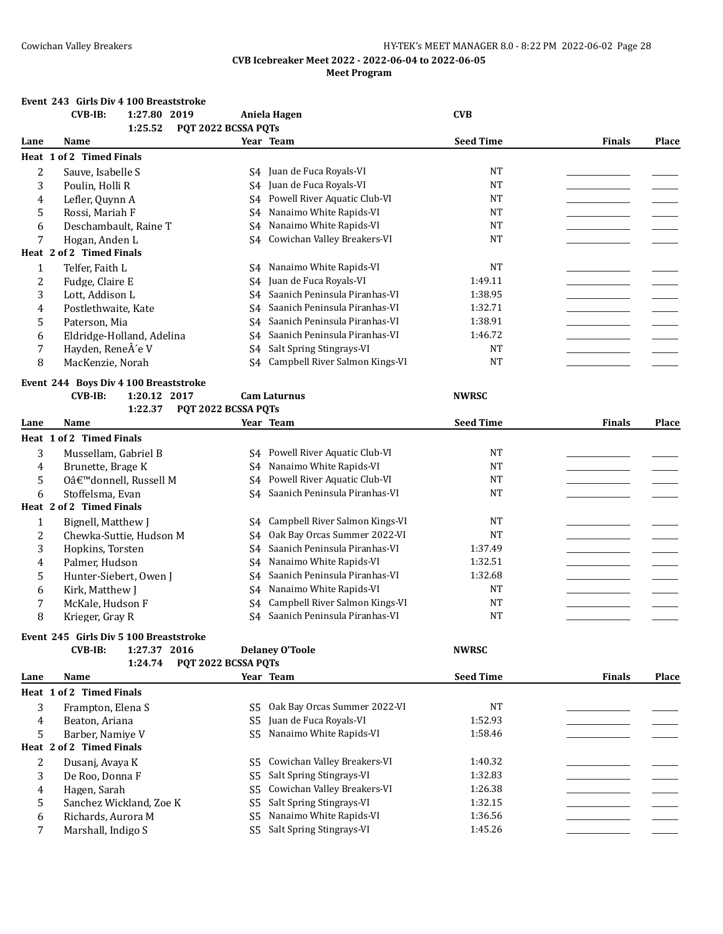#### **Event 243 Girls Div 4 100 Breaststroke**

|      | <b>CVB-IB:</b><br>1:27.80 2019                                           |                     | Aniela Hagen                    | <b>CVB</b>       |               |              |
|------|--------------------------------------------------------------------------|---------------------|---------------------------------|------------------|---------------|--------------|
|      | 1:25.52                                                                  | PQT 2022 BCSSA PQTs |                                 |                  |               |              |
| Lane | Name                                                                     |                     | Year Team                       | <b>Seed Time</b> | <b>Finals</b> | <b>Place</b> |
|      | Heat 1 of 2 Timed Finals                                                 |                     |                                 |                  |               |              |
| 2    | Sauve, Isabelle S                                                        |                     | S4 Juan de Fuca Royals-VI       | NT               |               |              |
| 3    | Poulin, Holli R                                                          | S4                  | Juan de Fuca Royals-VI          | <b>NT</b>        |               |              |
| 4    | Lefler, Quynn A                                                          | S4                  | Powell River Aquatic Club-VI    | <b>NT</b>        |               |              |
| 5    | Rossi, Mariah F                                                          | S4                  | Nanaimo White Rapids-VI         | <b>NT</b>        |               |              |
| 6    | Deschambault, Raine T                                                    | S4                  | Nanaimo White Rapids-VI         | <b>NT</b>        |               |              |
| 7    | Hogan, Anden L                                                           | S4                  | Cowichan Valley Breakers-VI     | $\rm{NT}$        |               |              |
|      | Heat 2 of 2 Timed Finals                                                 |                     |                                 |                  |               |              |
| 1    | Telfer, Faith L                                                          |                     | S4 Nanaimo White Rapids-VI      | <b>NT</b>        |               |              |
| 2    | Fudge, Claire E                                                          | S4                  | Juan de Fuca Royals-VI          | 1:49.11          |               |              |
| 3    | Lott, Addison L                                                          | S4                  | Saanich Peninsula Piranhas-VI   | 1:38.95          |               |              |
| 4    | Postlethwaite, Kate                                                      | S4                  | Saanich Peninsula Piranhas-VI   | 1:32.71          |               |              |
| 5    | Paterson, Mia                                                            | S4                  | Saanich Peninsula Piranhas-VI   | 1:38.91          |               |              |
| 6    | Eldridge-Holland, Adelina                                                | S4                  | Saanich Peninsula Piranhas-VI   | 1:46.72          |               |              |
| 7    | Hayden, ReneÂ'e V                                                        | S4                  | Salt Spring Stingrays-VI        | <b>NT</b>        |               |              |
| 8    | MacKenzie, Norah                                                         | S <sub>4</sub>      | Campbell River Salmon Kings-VI  | <b>NT</b>        |               |              |
|      |                                                                          |                     |                                 |                  |               |              |
|      | Event 244 Boys Div 4 100 Breaststroke                                    |                     |                                 |                  |               |              |
|      | <b>CVB-IB:</b><br>1:20.12 2017                                           |                     | <b>Cam Laturnus</b>             | <b>NWRSC</b>     |               |              |
|      | 1:22.37                                                                  | PQT 2022 BCSSA PQTs |                                 |                  |               |              |
| Lane | Name                                                                     |                     | Year Team                       | <b>Seed Time</b> | <b>Finals</b> | Place        |
|      | Heat 1 of 2 Timed Finals                                                 |                     |                                 |                  |               |              |
| 3    | Mussellam, Gabriel B                                                     |                     | S4 Powell River Aquatic Club-VI | NT               |               |              |
| 4    | Brunette, Brage K                                                        | S4                  | Nanaimo White Rapids-VI         | <b>NT</b>        |               |              |
| 5    | Oâ€ <sup>™</sup> donnell, Russell M                                      | S4                  | Powell River Aquatic Club-VI    | NT               |               |              |
| 6    | Stoffelsma, Evan                                                         | S4                  | Saanich Peninsula Piranhas-VI   | <b>NT</b>        |               |              |
|      | Heat 2 of 2 Timed Finals                                                 |                     |                                 |                  |               |              |
| 1    | Bignell, Matthew J                                                       | S4                  | Campbell River Salmon Kings-VI  | <b>NT</b>        |               |              |
| 2    | Chewka-Suttie, Hudson M                                                  | S4                  | Oak Bay Orcas Summer 2022-VI    | $\rm{NT}$        |               |              |
| 3    | Hopkins, Torsten                                                         | S4                  | Saanich Peninsula Piranhas-VI   | 1:37.49          |               |              |
| 4    | Palmer, Hudson                                                           | S4                  | Nanaimo White Rapids-VI         | 1:32.51          |               |              |
| 5    | Hunter-Siebert, Owen J                                                   | S4                  | Saanich Peninsula Piranhas-VI   | 1:32.68          |               |              |
| 6    | Kirk, Matthew J                                                          | S4                  | Nanaimo White Rapids-VI         | <b>NT</b>        |               |              |
| 7    | McKale, Hudson F                                                         | S4                  | Campbell River Salmon Kings-VI  | <b>NT</b>        |               |              |
| 8    | Krieger, Gray R                                                          | S4                  | Saanich Peninsula Piranhas-VI   | <b>NT</b>        |               |              |
|      |                                                                          |                     |                                 |                  |               |              |
|      | Event 245 Girls Div 5 100 Breaststroke<br>1:27.37 2016<br><b>CVB-IB:</b> |                     | <b>Delaney O'Toole</b>          | <b>NWRSC</b>     |               |              |
|      | 1:24.74                                                                  | PQT 2022 BCSSA PQTs |                                 |                  |               |              |
| Lane | Name                                                                     |                     | Year Team                       | <b>Seed Time</b> | <b>Finals</b> | Place        |
|      | Heat 1 of 2 Timed Finals                                                 |                     |                                 |                  |               |              |
|      |                                                                          |                     |                                 |                  |               |              |
| 3    | Frampton, Elena S                                                        | S5.                 | Oak Bay Orcas Summer 2022-VI    | NT               |               |              |
| 4    | Beaton, Ariana                                                           | S <sub>5</sub>      | Juan de Fuca Royals-VI          | 1:52.93          |               |              |
| 5    | Barber, Namiye V<br>Heat 2 of 2 Timed Finals                             | S5.                 | Nanaimo White Rapids-VI         | 1:58.46          |               |              |
|      |                                                                          |                     |                                 |                  |               |              |
| 2    | Dusanj, Avaya K                                                          | S <sub>5</sub>      | Cowichan Valley Breakers-VI     | 1:40.32          |               |              |
| 3    | De Roo, Donna F                                                          | S5                  | Salt Spring Stingrays-VI        | 1:32.83          |               |              |
| 4    | Hagen, Sarah                                                             | S <sub>5</sub>      | Cowichan Valley Breakers-VI     | 1:26.38          |               |              |
| 5    | Sanchez Wickland, Zoe K                                                  |                     | S5 Salt Spring Stingrays-VI     | 1:32.15          |               |              |

- 6 Richards, Aurora M S5 Nanaimo White Rapids-VI 1:36.56 2011 1:36.56 Annual Matter and Tennes 2012
- 7 Marshall, Indigo S S5 Salt Spring Stingrays-VI 1:45.26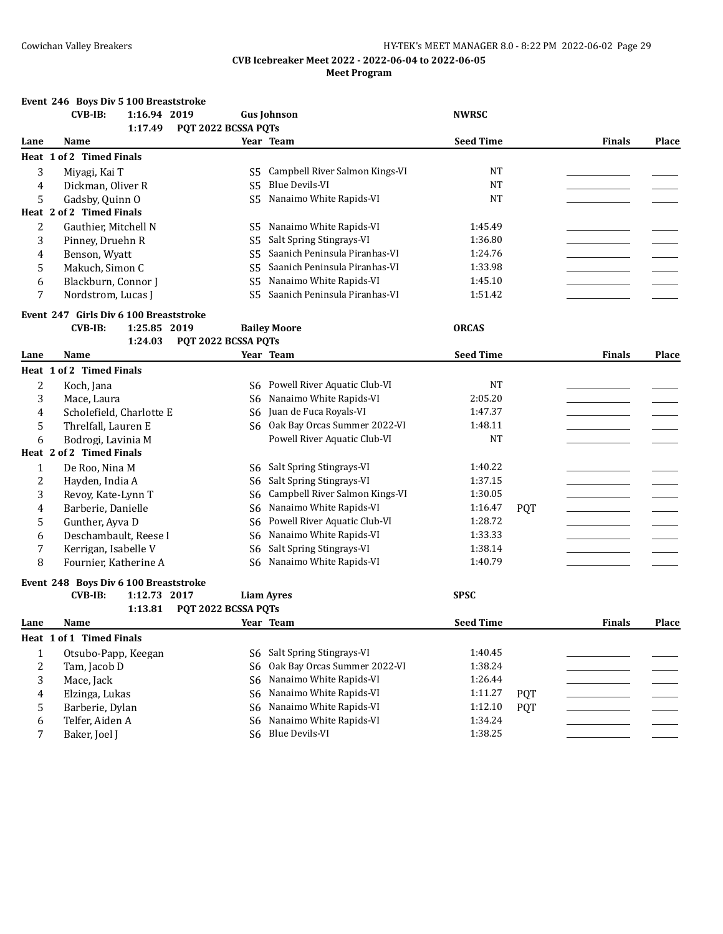## **Event 246 Boys Div 5 100 Breaststroke CVB-IB: 1:16.94 2019 Gus Johnson NWRSC 1:17.49 PQT 2022 BCSSA PQTs Lane Name Year Team Seed Time Finals Place Heat 1 of 2 Timed Finals** 3 Miyagi, Kai T<br>
4 Dickman. Oliver R<br>
3 Dickman. Oliver R<br>
3 S5 Blue Devils-VI NT 4 Dickman, Oliver R S5 Blue Devils-VI NT 5 Gadsby, Quinn O S5 Nanaimo White Rapids-VI Cadsby, Quinn O **Heat 2 of 2 Timed Finals** 2 Gauthier, Mitchell N S5 Nanaimo White Rapids-VI 1:45.49 3 Pinney, Druehn R S5 Salt Spring Stingrays-VI 1:36.80 4 Benson, Wyatt S5 Saanich Peninsula Piranhas-VI 1:24.76 5 Makuch, Simon C S5 Saanich Peninsula Piranhas-VI 1:33.98 6 Blackburn, Connor I S5 Nanaimo White Rapids-VI 1:45.10 7 Nordstrom, Lucas J S5 Saanich Peninsula Piranhas-VI 1:51.42 **Event 247 Girls Div 6 100 Breaststroke CVB-IB: 1:25.85 2019 Bailey Moore ORCAS 1:24.03 PQT 2022 BCSSA PQTs Lane Name Year Team Seed Time Finals Place Heat 1 of 2 Timed Finals** 2 Koch, Jana S6 Powell River Aquatic Club-VI NT 3 Mace, Laura S6 Nanaimo White Rapids-VI 2:05.20 \_\_\_\_\_\_\_\_\_\_\_\_\_\_\_\_\_ \_\_\_\_\_\_\_ 4 Scholefield, Charlotte E S6 Juan de Fuca Royals-VI 1:47.37 5 Threlfall, Lauren E S6 Oak Bay Orcas Summer 2022-VI 1:48.11 6 Bodrogi, Lavinia M Powell River Aquatic Club-VI **NT Heat 2 of 2 Timed Finals** 1 De Roo, Nina M S6 Salt Spring Stingrays-VI 1:40.22 2 Hayden, India A S6 Salt Spring Stingrays-VI 1:37.15 3 Revoy, Kate-Lynn T S6 Campbell River Salmon Kings-VI 1:30.05 4 Barberie, Danielle S6 Nanaimo White Rapids-VI 1:16.47 POT 5 Gunther, Ayva D S6 Powell River Aquatic Club-VI 1:28.72 6 Deschambault, Reese I S6 Nanaimo White Rapids-VI 1:33.33 7 Kerrigan, Isabelle V S6 Salt Spring Stingrays-VI 1:38.14 8 Fournier, Katherine A S6 Nanaimo White Rapids-VI 1:40.79 **Event 248 Boys Div 6 100 Breaststroke CVB-IB: 1:12.73 2017 Liam Ayres SPSC 1:13.81 PQT 2022 BCSSA PQTs Lane Name Year Team Seed Time Finals Place Heat 1 of 1 Timed Finals** 1 Otsubo-Papp, Keegan S6 Salt Spring Stingrays-VI 1:40.45 2 Tam, Jacob D S6 Oak Bay Orcas Summer 2022-VI 1:38.24 3 Mace, Jack S6 Nanaimo White Rapids-VI 1:26.44 4 Elzinga, Lukas S6 Nanaimo White Rapids-VI 1:11.27 PQT 5 Barberie, Dylan S6 Nanaimo White Rapids-VI 1:12.10 POT 6 Telfer, Aiden A S6 Nanaimo White Rapids-VI 1:34.24 7 Baker, Joel J S6 Blue Devils-VI 1:38.25 \_\_\_\_\_\_\_\_\_\_\_\_\_\_\_\_\_\_\_\_\_\_\_\_\_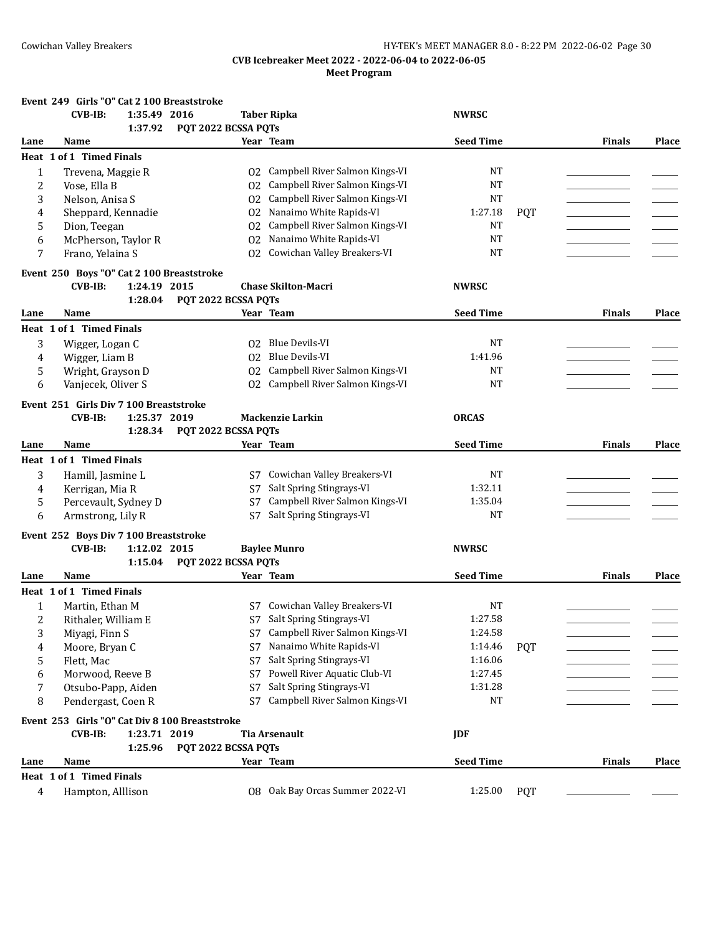|              | Event 249 Girls "O" Cat 2 100 Breaststroke     |                     |                                                            |                      |            |               |              |
|--------------|------------------------------------------------|---------------------|------------------------------------------------------------|----------------------|------------|---------------|--------------|
|              | CVB-IB:<br>1:35.49 2016                        |                     | <b>Taber Ripka</b>                                         | <b>NWRSC</b>         |            |               |              |
|              | 1:37.92                                        | PQT 2022 BCSSA PQTs |                                                            |                      |            |               |              |
| Lane         | Name                                           |                     | Year Team                                                  | <b>Seed Time</b>     |            | <b>Finals</b> | Place        |
|              | Heat 1 of 1 Timed Finals                       |                     |                                                            |                      |            |               |              |
| $\mathbf{1}$ | Trevena, Maggie R                              | 02                  | Campbell River Salmon Kings-VI                             | NT                   |            |               |              |
| 2            | Vose, Ella B                                   | 02                  | Campbell River Salmon Kings-VI                             | <b>NT</b>            |            |               |              |
| 3            | Nelson, Anisa S                                | 02                  | Campbell River Salmon Kings-VI                             | <b>NT</b>            |            |               |              |
| 4            | Sheppard, Kennadie                             | 02                  | Nanaimo White Rapids-VI                                    | 1:27.18              | <b>PQT</b> |               |              |
| 5            | Dion, Teegan                                   | 02                  | Campbell River Salmon Kings-VI                             | NT                   |            |               |              |
| 6            | McPherson, Taylor R                            | 02                  | Nanaimo White Rapids-VI                                    | <b>NT</b>            |            |               |              |
| 7            | Frano, Yelaina S                               | 02                  | Cowichan Valley Breakers-VI                                | NT                   |            |               |              |
|              | Event 250 Boys "O" Cat 2 100 Breaststroke      |                     |                                                            |                      |            |               |              |
|              | 1:24.19 2015<br><b>CVB-IB:</b>                 |                     | <b>Chase Skilton-Macri</b>                                 | <b>NWRSC</b>         |            |               |              |
|              | 1:28.04                                        | PQT 2022 BCSSA PQTs |                                                            |                      |            |               |              |
| Lane         | Name                                           |                     | Year Team                                                  | <b>Seed Time</b>     |            | <b>Finals</b> | Place        |
|              | Heat 1 of 1 Timed Finals                       |                     |                                                            |                      |            |               |              |
| 3            | Wigger, Logan C                                |                     | 02 Blue Devils-VI                                          | NT                   |            |               |              |
| 4            | Wigger, Liam B                                 |                     | O2 Blue Devils-VI                                          | 1:41.96              |            |               |              |
| 5            | Wright, Grayson D                              | 02                  | Campbell River Salmon Kings-VI                             | NT                   |            |               |              |
| 6            | Vanjecek, Oliver S                             |                     | 02 Campbell River Salmon Kings-VI                          | <b>NT</b>            |            |               |              |
|              | Event 251 Girls Div 7 100 Breaststroke         |                     |                                                            |                      |            |               |              |
|              | <b>CVB-IB:</b><br>1:25.37 2019                 |                     | <b>Mackenzie Larkin</b>                                    | <b>ORCAS</b>         |            |               |              |
|              | 1:28.34                                        | PQT 2022 BCSSA PQTs |                                                            |                      |            |               |              |
| Lane         | Name                                           |                     | Year Team                                                  | <b>Seed Time</b>     |            | <b>Finals</b> | <b>Place</b> |
|              | Heat 1 of 1 Timed Finals                       |                     |                                                            |                      |            |               |              |
|              |                                                |                     |                                                            |                      |            |               |              |
| 3            | Hamill, Jasmine L                              | S7                  | Cowichan Valley Breakers-VI                                | <b>NT</b><br>1:32.11 |            |               |              |
| 4            | Kerrigan, Mia R                                | S7                  | Salt Spring Stingrays-VI                                   |                      |            |               |              |
| 5<br>6       | Percevault, Sydney D<br>Armstrong, Lily R      | S7<br>S7            | Campbell River Salmon Kings-VI<br>Salt Spring Stingrays-VI | 1:35.04<br>NT        |            |               |              |
|              |                                                |                     |                                                            |                      |            |               |              |
|              | Event 252 Boys Div 7 100 Breaststroke          |                     |                                                            |                      |            |               |              |
|              | $CVB-IB:$<br>1:12.02 2015                      |                     | <b>Baylee Munro</b>                                        | <b>NWRSC</b>         |            |               |              |
|              | 1:15.04                                        | PQT 2022 BCSSA PQTs |                                                            |                      |            |               |              |
| Lane         | Name                                           |                     | Year Team                                                  | <b>Seed Time</b>     |            | <b>Finals</b> | <b>Place</b> |
|              | Heat 1 of 1 Timed Finals                       |                     |                                                            |                      |            |               |              |
| 1            | Martin, Ethan M                                |                     | S7 Cowichan Valley Breakers-VI                             | NT                   |            |               |              |
|              | Rithaler, William E                            |                     | S7 Salt Spring Stingrays-VI                                | 1:27.58              |            |               |              |
| 3            | Miyagi, Finn S                                 |                     | S7 Campbell River Salmon Kings-VI                          | 1:24.58              |            |               |              |
| 4            | Moore, Bryan C                                 | S7                  | Nanaimo White Rapids-VI                                    | 1:14.46              | <b>PQT</b> |               |              |
| 5            | Flett, Mac                                     | S7                  | Salt Spring Stingrays-VI                                   | 1:16.06              |            |               |              |
| 6            | Morwood, Reeve B                               | S7                  | Powell River Aquatic Club-VI                               | 1:27.45              |            |               |              |
| 7            | Otsubo-Papp, Aiden                             | S7                  | Salt Spring Stingrays-VI                                   | 1:31.28              |            |               |              |
| 8            | Pendergast, Coen R                             | S7                  | Campbell River Salmon Kings-VI                             | NT                   |            |               |              |
|              | Event 253 Girls "O" Cat Div 8 100 Breaststroke |                     |                                                            |                      |            |               |              |
|              | 1:23.71 2019<br><b>CVB-IB:</b>                 |                     | <b>Tia Arsenault</b>                                       | JDF                  |            |               |              |
|              | 1:25.96                                        | PQT 2022 BCSSA PQTs |                                                            |                      |            |               |              |
| Lane         | Name                                           |                     | Year Team                                                  | <b>Seed Time</b>     |            | <b>Finals</b> | Place        |
|              | Heat 1 of 1 Timed Finals                       |                     |                                                            |                      |            |               |              |
| 4            | Hampton, Alllison                              |                     | 08 Oak Bay Orcas Summer 2022-VI                            | 1:25.00              | <b>PQT</b> |               |              |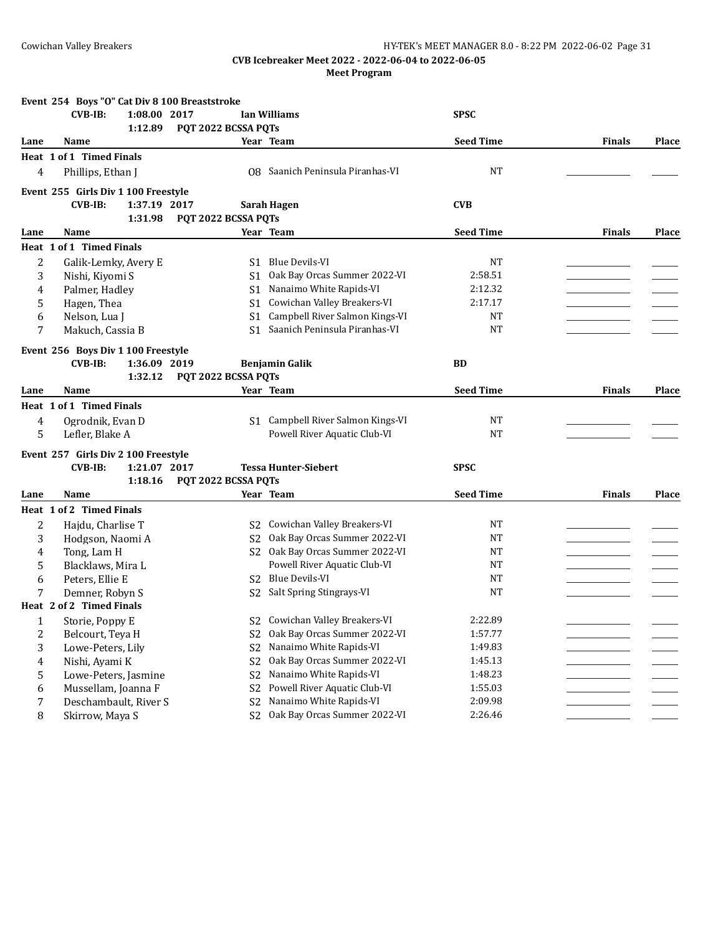|      | Event 254 Boys "O" Cat Div 8 100 Breaststroke |                     |                                   |                  |               |              |
|------|-----------------------------------------------|---------------------|-----------------------------------|------------------|---------------|--------------|
|      | <b>CVB-IB:</b><br>1:08.00 2017<br>1:12.89     | PQT 2022 BCSSA PQTs | <b>Ian Williams</b>               | <b>SPSC</b>      |               |              |
| Lane | Name                                          |                     | Year Team                         | <b>Seed Time</b> | <b>Finals</b> | Place        |
|      | Heat 1 of 1 Timed Finals                      |                     |                                   |                  |               |              |
| 4    | Phillips, Ethan J                             |                     | 08 Saanich Peninsula Piranhas-VI  | $_{\rm NT}$      |               |              |
|      | Event 255 Girls Div 1 100 Freestyle           |                     |                                   |                  |               |              |
|      | <b>CVB-IB:</b><br>1:37.19 2017                |                     | <b>Sarah Hagen</b>                | <b>CVB</b>       |               |              |
|      | 1:31.98                                       | PQT 2022 BCSSA PQTs |                                   |                  |               |              |
| Lane | Name                                          |                     | Year Team                         | <b>Seed Time</b> | <b>Finals</b> | Place        |
|      | Heat 1 of 1 Timed Finals                      |                     |                                   |                  |               |              |
| 2    | Galik-Lemky, Avery E                          |                     | S1 Blue Devils-VI                 | NT               |               |              |
| 3    | Nishi, Kiyomi S                               | S1                  | Oak Bay Orcas Summer 2022-VI      | 2:58.51          |               |              |
| 4    | Palmer, Hadley                                | S <sub>1</sub>      | Nanaimo White Rapids-VI           | 2:12.32          |               |              |
| 5    | Hagen, Thea                                   | S <sub>1</sub>      | Cowichan Valley Breakers-VI       | 2:17.17          |               |              |
| 6    | Nelson, Lua J                                 | S <sub>1</sub>      | Campbell River Salmon Kings-VI    | <b>NT</b>        |               |              |
| 7    | Makuch, Cassia B                              | S1.                 | Saanich Peninsula Piranhas-VI     | <b>NT</b>        |               |              |
|      | Event 256 Boys Div 1 100 Freestyle            |                     |                                   |                  |               |              |
|      | $CVB-IB$ :<br>1:36.09 2019                    |                     | <b>Benjamin Galik</b>             | <b>BD</b>        |               |              |
|      | 1:32.12                                       | PQT 2022 BCSSA PQTs |                                   |                  |               |              |
| Lane | Name                                          |                     | Year Team                         | <b>Seed Time</b> | <b>Finals</b> | Place        |
|      | <b>Heat 1 of 1 Timed Finals</b>               |                     |                                   |                  |               |              |
| 4    | Ogrodnik, Evan D                              |                     | S1 Campbell River Salmon Kings-VI | NT               |               |              |
| 5    | Lefler, Blake A                               |                     | Powell River Aquatic Club-VI      | NT               |               |              |
|      | Event 257 Girls Div 2 100 Freestyle           |                     |                                   |                  |               |              |
|      | $CVB-IB:$<br>1:21.07 2017                     |                     | <b>Tessa Hunter-Siebert</b>       | <b>SPSC</b>      |               |              |
|      | 1:18.16                                       | PQT 2022 BCSSA PQTs |                                   |                  |               |              |
| Lane | Name                                          |                     | Year Team                         | <b>Seed Time</b> | <b>Finals</b> | <b>Place</b> |
|      | Heat 1 of 2 Timed Finals                      |                     |                                   |                  |               |              |
| 2    | Hajdu, Charlise T                             |                     | S2 Cowichan Valley Breakers-VI    | NT               |               |              |
| 3    | Hodgson, Naomi A                              | S2                  | Oak Bay Orcas Summer 2022-VI      | <b>NT</b>        |               |              |
| 4    | Tong, Lam H                                   |                     | S2 Oak Bay Orcas Summer 2022-VI   | $_{\rm NT}$      |               |              |
| 5    | Blacklaws, Mira L                             |                     | Powell River Aquatic Club-VI      | <b>NT</b>        |               |              |
| 6    | Peters, Ellie E                               |                     | S2 Blue Devils-VI                 | $_{\rm NT}$      |               |              |
| 7    | Demner, Robyn S                               |                     | S2 Salt Spring Stingrays-VI       | NT               |               |              |
|      | Heat 2 of 2 Timed Finals                      |                     |                                   |                  |               |              |
| 1    | Storie, Poppy E                               |                     | S2 Cowichan Valley Breakers-VI    | 2:22.89          |               |              |
| 2    | Belcourt, Teya H                              | S2                  | Oak Bay Orcas Summer 2022-VI      | 1:57.77          |               |              |
| 3    | Lowe-Peters, Lily                             | S <sub>2</sub>      | Nanaimo White Rapids-VI           | 1:49.83          |               |              |
| 4    | Nishi, Ayami K                                | S <sub>2</sub>      | Oak Bay Orcas Summer 2022-VI      | 1:45.13          |               |              |
| 5    | Lowe-Peters, Jasmine                          | S <sub>2</sub>      | Nanaimo White Rapids-VI           | 1:48.23          |               |              |
| 6    | Mussellam, Joanna F                           | S <sub>2</sub>      | Powell River Aquatic Club-VI      | 1:55.03          |               |              |
| 7    | Deschambault, River S                         | S <sub>2</sub>      | Nanaimo White Rapids-VI           | 2:09.98          |               |              |
| 8    | Skirrow, Maya S                               |                     | S2 Oak Bay Orcas Summer 2022-VI   | 2:26.46          |               |              |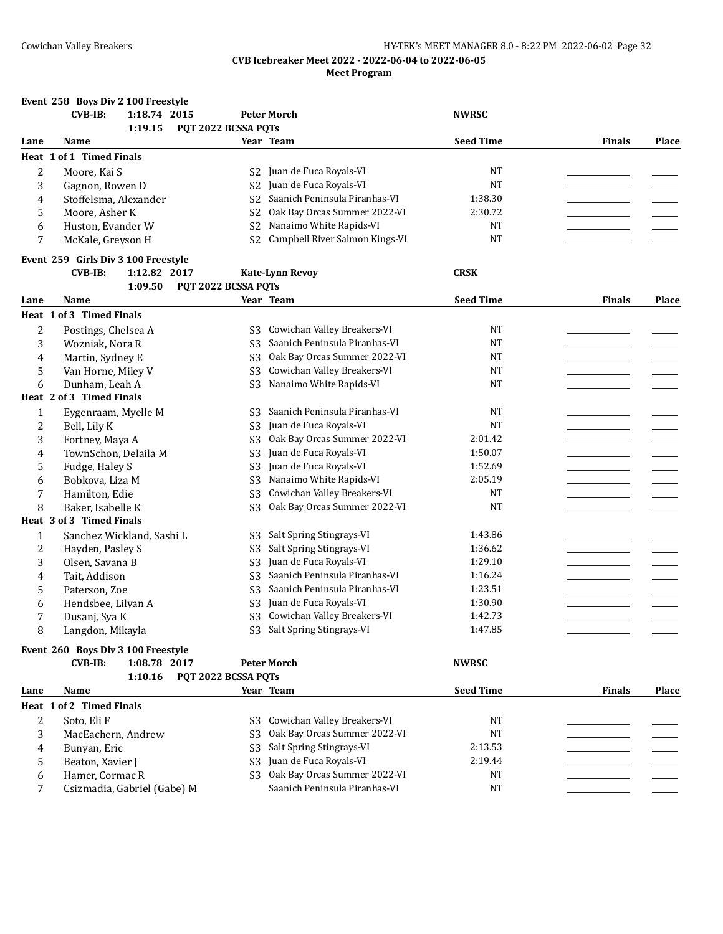|              | Event 258 Boys Div 2 100 Freestyle         |                                  |                                |                  |               |              |
|--------------|--------------------------------------------|----------------------------------|--------------------------------|------------------|---------------|--------------|
|              | <b>CVB-IB:</b><br>1:18.74 2015             |                                  | <b>Peter Morch</b>             | <b>NWRSC</b>     |               |              |
|              | 1:19.15                                    | PQT 2022 BCSSA PQTs              |                                |                  |               |              |
| Lane         | Name                                       |                                  | Year Team                      | <b>Seed Time</b> | <b>Finals</b> | <b>Place</b> |
|              | Heat 1 of 1 Timed Finals                   |                                  |                                |                  |               |              |
| 2            | Moore, Kai S                               | S2                               | Juan de Fuca Royals-VI         | <b>NT</b>        |               |              |
| 3            | Gagnon, Rowen D                            | S <sub>2</sub>                   | Juan de Fuca Royals-VI         | <b>NT</b>        |               |              |
| 4            | Stoffelsma, Alexander                      | S <sub>2</sub>                   | Saanich Peninsula Piranhas-VI  | 1:38.30          |               |              |
| 5            | Moore, Asher K                             | S <sub>2</sub>                   | Oak Bay Orcas Summer 2022-VI   | 2:30.72          |               |              |
| 6            | Huston, Evander W                          | S <sub>2</sub>                   | Nanaimo White Rapids-VI        | <b>NT</b>        |               |              |
| 7            | McKale, Greyson H                          | S <sub>2</sub>                   | Campbell River Salmon Kings-VI | <b>NT</b>        |               |              |
|              | Event 259 Girls Div 3 100 Freestyle        |                                  |                                |                  |               |              |
|              | <b>CVB-IB:</b><br>1:12.82 2017             |                                  | <b>Kate-Lynn Revoy</b>         | <b>CRSK</b>      |               |              |
|              | 1:09.50                                    | PQT 2022 BCSSA PQTs              |                                |                  |               |              |
| Lane         | Name                                       |                                  | Year Team                      | <b>Seed Time</b> | <b>Finals</b> | Place        |
|              | Heat 1 of 3 Timed Finals                   |                                  |                                |                  |               |              |
|              |                                            |                                  | Cowichan Valley Breakers-VI    | NT               |               |              |
| 2<br>3       | Postings, Chelsea A                        | S3                               | Saanich Peninsula Piranhas-VI  | <b>NT</b>        |               |              |
|              | Wozniak, Nora R<br>Martin, Sydney E        | S3<br>S <sub>3</sub>             | Oak Bay Orcas Summer 2022-VI   | <b>NT</b>        |               |              |
| 4            |                                            |                                  | Cowichan Valley Breakers-VI    | <b>NT</b>        |               |              |
| 5            | Van Horne, Miley V                         | S <sub>3</sub><br>S <sub>3</sub> | Nanaimo White Rapids-VI        | <b>NT</b>        |               |              |
| 6            | Dunham, Leah A<br>Heat 2 of 3 Timed Finals |                                  |                                |                  |               |              |
|              |                                            |                                  |                                |                  |               |              |
| 1            | Eygenraam, Myelle M                        | S3                               | Saanich Peninsula Piranhas-VI  | <b>NT</b>        |               |              |
| 2            | Bell, Lily K                               | S <sub>3</sub>                   | Juan de Fuca Royals-VI         | <b>NT</b>        |               |              |
| 3            | Fortney, Maya A                            | S <sub>3</sub>                   | Oak Bay Orcas Summer 2022-VI   | 2:01.42          |               |              |
| 4            | TownSchon, Delaila M                       | S <sub>3</sub>                   | Juan de Fuca Royals-VI         | 1:50.07          |               |              |
| 5            | Fudge, Haley S                             | S <sub>3</sub>                   | Juan de Fuca Royals-VI         | 1:52.69          |               |              |
| 6            | Bobkova, Liza M                            | S <sub>3</sub>                   | Nanaimo White Rapids-VI        | 2:05.19          |               |              |
| 7            | Hamilton, Edie                             | S <sub>3</sub>                   | Cowichan Valley Breakers-VI    | <b>NT</b>        |               |              |
| 8            | Baker, Isabelle K                          | S <sub>3</sub>                   | Oak Bay Orcas Summer 2022-VI   | <b>NT</b>        |               |              |
|              | Heat 3 of 3 Timed Finals                   |                                  |                                |                  |               |              |
| $\mathbf{1}$ | Sanchez Wickland, Sashi L                  | S <sub>3</sub>                   | Salt Spring Stingrays-VI       | 1:43.86          |               |              |
| 2            | Hayden, Pasley S                           | S <sub>3</sub>                   | Salt Spring Stingrays-VI       | 1:36.62          |               |              |
| 3            | Olsen, Savana B                            | S <sub>3</sub>                   | Juan de Fuca Royals-VI         | 1:29.10          |               |              |
| 4            | Tait, Addison                              | S <sub>3</sub>                   | Saanich Peninsula Piranhas-VI  | 1:16.24          |               |              |
| 5            | Paterson, Zoe                              | S <sub>3</sub>                   | Saanich Peninsula Piranhas-VI  | 1:23.51          |               |              |
| 6            | Hendsbee, Lilyan A                         | S <sub>3</sub>                   | Juan de Fuca Royals-VI         | 1:30.90          |               |              |
| 7            | Dusanj, Sya K                              | S <sub>3</sub>                   | Cowichan Valley Breakers-VI    | 1:42.73          |               |              |
| 8            | Langdon, Mikayla                           |                                  | S3 Salt Spring Stingrays-VI    | 1:47.85          |               |              |
|              | Event 260 Boys Div 3 100 Freestyle         |                                  |                                |                  |               |              |
|              | <b>CVB-IB:</b><br>1:08.78 2017             |                                  | <b>Peter Morch</b>             | <b>NWRSC</b>     |               |              |
|              | 1:10.16                                    | PQT 2022 BCSSA PQTs              |                                |                  |               |              |
| Lane         | Name                                       |                                  | Year Team                      | <b>Seed Time</b> | <b>Finals</b> | Place        |
|              | Heat 1 of 2 Timed Finals                   |                                  |                                |                  |               |              |
| 2            | Soto, Eli F                                | S3.                              | Cowichan Valley Breakers-VI    | NT               |               |              |
| 3            | MacEachern, Andrew                         | S <sub>3</sub>                   | Oak Bay Orcas Summer 2022-VI   | $\rm{NT}$        |               |              |

4 Bunyan, Eric S3 Salt Spring Stingrays-VI 2:13.53 2:13.53 Alt Spring Stingrays-VI 2:13.53 2:13.53 2:13.53 Alt Spring Stingrays-VI 2:19.44 2:19.44 Alt 2:19.44 Alt 2:19.44 5 Beaton, Xavier J S3 Juan de Fuca Royals-VI 2:19.44 \_\_\_\_\_\_\_\_\_\_\_\_\_\_\_\_\_ \_\_\_\_\_\_\_ 6 Hamer, Cormac R S3 Oak Bay Orcas Summer 2022-VI<br>7 Csizmadia. Gabriel (Gabe) M Saanich Peninsula Piranhas-VI 7 Csizmadia, Gabriel (Gabe) M Saanich Peninsula Piranhas-VI NT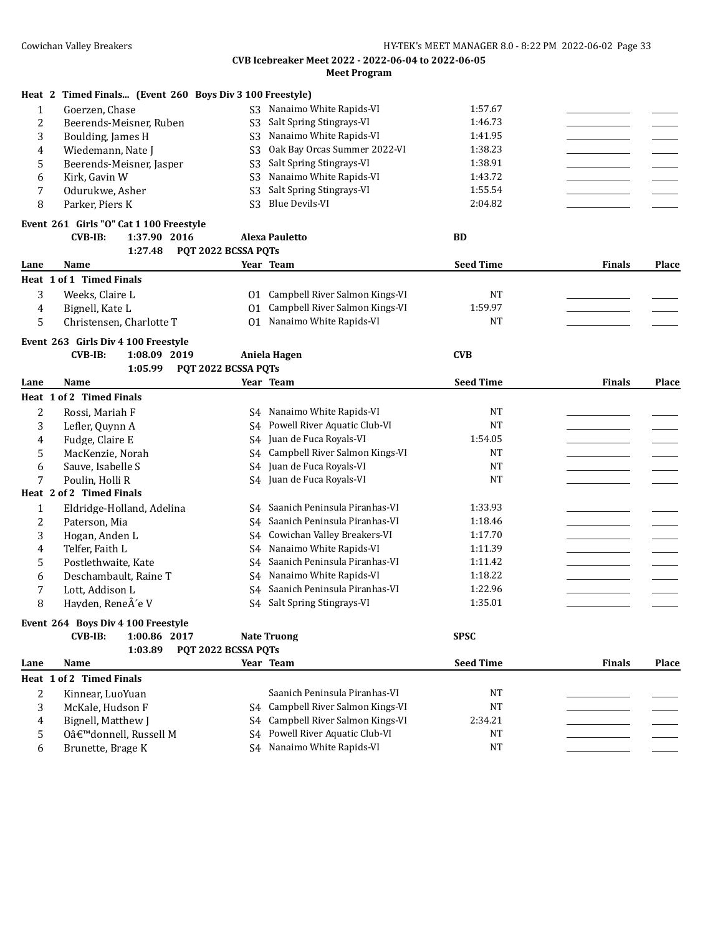|                         | Heat 2 Timed Finals (Event 260 Boys Div 3 100 Freestyle)                  |                     |                                   |                  |               |       |
|-------------------------|---------------------------------------------------------------------------|---------------------|-----------------------------------|------------------|---------------|-------|
| $\mathbf{1}$            | Goerzen, Chase                                                            |                     | S3 Nanaimo White Rapids-VI        | 1:57.67          |               |       |
| 2                       | Beerends-Meisner, Ruben                                                   | S <sub>3</sub>      | Salt Spring Stingrays-VI          | 1:46.73          |               |       |
| 3                       | Boulding, James H                                                         | S <sub>3</sub>      | Nanaimo White Rapids-VI           | 1:41.95          |               |       |
| 4                       | Wiedemann, Nate J                                                         | S <sub>3</sub>      | Oak Bay Orcas Summer 2022-VI      | 1:38.23          |               |       |
| 5                       | Beerends-Meisner, Jasper                                                  | S <sub>3</sub>      | Salt Spring Stingrays-VI          | 1:38.91          |               |       |
| 6                       | Kirk, Gavin W                                                             | S <sub>3</sub>      | Nanaimo White Rapids-VI           | 1:43.72          |               |       |
| 7                       | Odurukwe, Asher                                                           | S <sub>3</sub>      | Salt Spring Stingrays-VI          | 1:55.54          |               |       |
| 8                       | Parker, Piers K                                                           | S <sub>3</sub>      | <b>Blue Devils-VI</b>             | 2:04.82          |               |       |
|                         |                                                                           |                     |                                   |                  |               |       |
|                         | Event 261 Girls "O" Cat 1 100 Freestyle<br><b>CVB-IB:</b><br>1:37.90 2016 |                     | <b>Alexa Pauletto</b>             | <b>BD</b>        |               |       |
|                         | 1:27.48                                                                   | PQT 2022 BCSSA PQTs |                                   |                  |               |       |
| Lane                    | Name                                                                      |                     | Year Team                         | <b>Seed Time</b> | <b>Finals</b> | Place |
|                         | Heat 1 of 1 Timed Finals                                                  |                     |                                   |                  |               |       |
| 3                       | Weeks, Claire L                                                           |                     | 01 Campbell River Salmon Kings-VI | NT               |               |       |
| 4                       | Bignell, Kate L                                                           | 01                  | Campbell River Salmon Kings-VI    | 1:59.97          |               |       |
| 5                       | Christensen, Charlotte T                                                  |                     | 01 Nanaimo White Rapids-VI        | <b>NT</b>        |               |       |
|                         |                                                                           |                     |                                   |                  |               |       |
|                         | Event 263 Girls Div 4 100 Freestyle                                       |                     |                                   |                  |               |       |
|                         | $CVB-IB:$<br>1:08.09 2019                                                 |                     | Aniela Hagen                      | <b>CVB</b>       |               |       |
|                         | 1:05.99                                                                   | PQT 2022 BCSSA PQTs |                                   |                  |               |       |
| Lane                    | Name                                                                      |                     | Year Team                         | <b>Seed Time</b> | <b>Finals</b> | Place |
|                         | Heat 1 of 2 Timed Finals                                                  |                     |                                   |                  |               |       |
| $\overline{c}$          | Rossi, Mariah F                                                           | S4                  | Nanaimo White Rapids-VI           | <b>NT</b>        |               |       |
| 3                       | Lefler, Quynn A                                                           | S4                  | Powell River Aquatic Club-VI      | <b>NT</b>        |               |       |
| 4                       | Fudge, Claire E                                                           | S4                  | Juan de Fuca Royals-VI            | 1:54.05          |               |       |
| 5                       | MacKenzie, Norah                                                          | S4                  | Campbell River Salmon Kings-VI    | <b>NT</b>        |               |       |
| 6                       | Sauve, Isabelle S                                                         | S4                  | Juan de Fuca Royals-VI            | <b>NT</b>        |               |       |
| 7                       | Poulin, Holli R                                                           |                     | S4 Juan de Fuca Royals-VI         | <b>NT</b>        |               |       |
|                         | Heat 2 of 2 Timed Finals                                                  |                     |                                   |                  |               |       |
| $\mathbf{1}$            | Eldridge-Holland, Adelina                                                 | S4                  | Saanich Peninsula Piranhas-VI     | 1:33.93          |               |       |
| $\overline{\mathbf{c}}$ | Paterson, Mia                                                             | S4                  | Saanich Peninsula Piranhas-VI     | 1:18.46          |               |       |
| 3                       | Hogan, Anden L                                                            | S4                  | Cowichan Valley Breakers-VI       | 1:17.70          |               |       |
| 4                       | Telfer, Faith L                                                           | S4                  | Nanaimo White Rapids-VI           | 1:11.39          |               |       |
| 5                       | Postlethwaite, Kate                                                       | S4                  | Saanich Peninsula Piranhas-VI     | 1:11.42          |               |       |
| 6                       | Deschambault, Raine T                                                     |                     | S4 Nanaimo White Rapids-VI        | 1:18.22          |               |       |
| 7                       | Lott, Addison L                                                           | S4                  | Saanich Peninsula Piranhas-VI     | 1:22.96          |               |       |
| 8                       | Hayden, ReneÂ'e V                                                         |                     | S4 Salt Spring Stingrays-VI       | 1:35.01          |               |       |
|                         | Event 264 Boys Div 4 100 Freestyle                                        |                     |                                   |                  |               |       |
|                         | <b>CVB-IB:</b><br>1:00.86 2017                                            |                     | <b>Nate Truong</b>                | <b>SPSC</b>      |               |       |
|                         | 1:03.89                                                                   | PQT 2022 BCSSA PQTs |                                   |                  |               |       |
| Lane                    | Name                                                                      |                     | Year Team                         | <b>Seed Time</b> | <b>Finals</b> | Place |
|                         | Heat 1 of 2 Timed Finals                                                  |                     |                                   |                  |               |       |
| 2                       | Kinnear, LuoYuan                                                          |                     | Saanich Peninsula Piranhas-VI     | NT               |               |       |
| 3                       | McKale, Hudson F                                                          |                     | S4 Campbell River Salmon Kings-VI | NT               |               |       |
| 4                       | Bignell, Matthew J                                                        | S4                  | Campbell River Salmon Kings-VI    | 2:34.21          |               |       |
| 5                       | O'donnell, Russell M                                                      | S4                  | Powell River Aquatic Club-VI      | NT               |               |       |
| 6                       | Brunette, Brage K                                                         |                     | S4 Nanaimo White Rapids-VI        | NT               |               |       |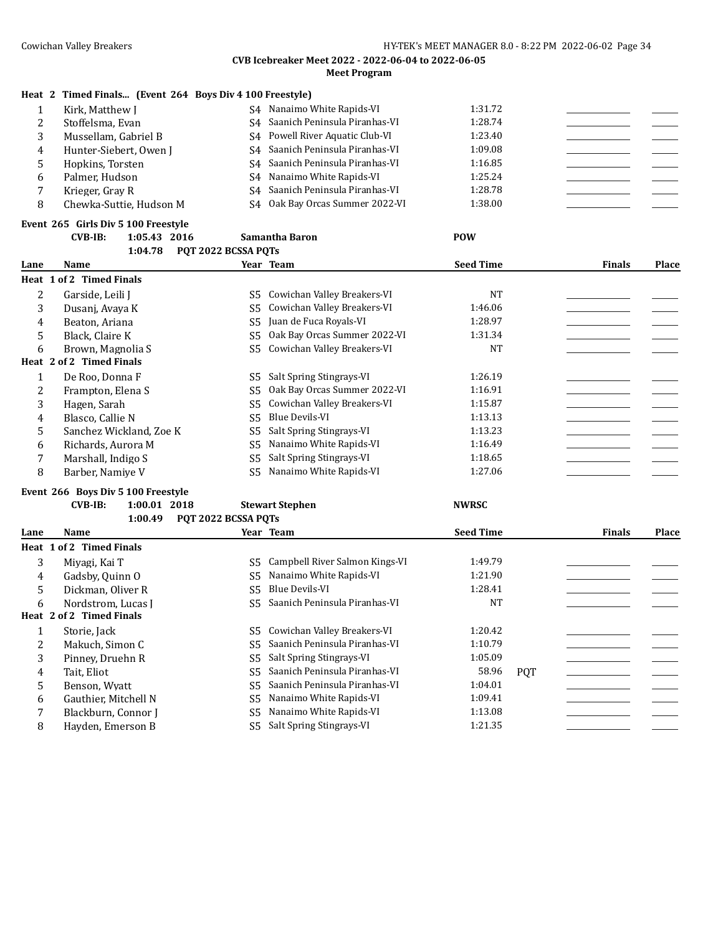## **Heat 2 Timed Finals... (Event 264 Boys Div 4 100 Freestyle)**

|   | Kirk, Matthew J         |    | S4 Nanaimo White Rapids-VI       | 1:31.72 |  |
|---|-------------------------|----|----------------------------------|---------|--|
|   | Stoffelsma, Evan        |    | S4 Saanich Peninsula Piranhas-VI | 1:28.74 |  |
|   | Mussellam, Gabriel B    |    | S4 Powell River Aquatic Club-VI  | 1:23.40 |  |
| 4 | Hunter-Siebert, Owen J  |    | S4 Saanich Peninsula Piranhas-VI | 1:09.08 |  |
|   | Hopkins, Torsten        |    | S4 Saanich Peninsula Piranhas-VI | 1:16.85 |  |
| h | Palmer, Hudson          |    | S4 Nanaimo White Rapids-VI       | 1:25.24 |  |
|   | Krieger, Gray R         | S4 | Saanich Peninsula Piranhas-VI    | 1:28.78 |  |
|   | Chewka-Suttie, Hudson M |    | S4 Oak Bay Orcas Summer 2022-VI  | 1:38.00 |  |

#### **Event 265 Girls Div 5 100 Freestyle CVB-IB: 1:05.43 2016 Samantha Baron POW**

|      | 1:04.78                  | POT 2022 BCSSA POTS |                              |                  |               |       |
|------|--------------------------|---------------------|------------------------------|------------------|---------------|-------|
| Lane | Name                     |                     | Year Team                    | <b>Seed Time</b> | <b>Finals</b> | Place |
|      | Heat 1 of 2 Timed Finals |                     |                              |                  |               |       |
| 2    | Garside, Leili J         | S5                  | Cowichan Valley Breakers-VI  | <b>NT</b>        |               |       |
| 3    | Dusanj, Avaya K          | S5                  | Cowichan Valley Breakers-VI  | 1:46.06          |               |       |
| 4    | Beaton, Ariana           | S5                  | Juan de Fuca Royals-VI       | 1:28.97          |               |       |
| 5    | Black, Claire K          | S5                  | Oak Bay Orcas Summer 2022-VI | 1:31.34          |               |       |
| 6    | Brown, Magnolia S        | S5.                 | Cowichan Valley Breakers-VI  | <b>NT</b>        |               |       |
|      | Heat 2 of 2 Timed Finals |                     |                              |                  |               |       |
|      | De Roo, Donna F          | S5                  | Salt Spring Stingrays-VI     | 1:26.19          |               |       |
| 2    | Frampton, Elena S        | S5                  | Oak Bay Orcas Summer 2022-VI | 1:16.91          |               |       |
| 3    | Hagen, Sarah             | S5                  | Cowichan Valley Breakers-VI  | 1:15.87          |               |       |
| 4    | Blasco, Callie N         | S5                  | Blue Devils-VI               | 1:13.13          |               |       |
| 5    | Sanchez Wickland, Zoe K  | S5                  | Salt Spring Stingrays-VI     | 1:13.23          |               |       |
| 6    | Richards, Aurora M       | S5                  | Nanaimo White Rapids-VI      | 1:16.49          |               |       |
| 7    | Marshall, Indigo S       | S5                  | Salt Spring Stingrays-VI     | 1:18.65          |               |       |
| 8    | Barber, Namiye V         | S5                  | Nanaimo White Rapids-VI      | 1:27.06          |               |       |

#### **Event 266 Boys Div 5 100 Freestyle**

#### **CVB-IB: 1:00.01 2018 Stewart Stephen NWRSC 1:00.49 PQT 2022 BCSSA PQTs**

| Lane | Name                     |      | Year Team                      | <b>Seed Time</b> |            | <b>Finals</b> | <b>Place</b> |
|------|--------------------------|------|--------------------------------|------------------|------------|---------------|--------------|
|      | Heat 1 of 2 Timed Finals |      |                                |                  |            |               |              |
| 3    | Miyagi. Kai T            | S5.  | Campbell River Salmon Kings-VI | 1:49.79          |            |               |              |
| 4    | Gadsby, Quinn O          | S5 - | Nanaimo White Rapids-VI        | 1:21.90          |            |               |              |
| 5.   | Dickman, Oliver R        | S5.  | Blue Devils-VI                 | 1:28.41          |            |               |              |
| 6    | Nordstrom. Lucas I       | S5.  | Saanich Peninsula Piranhas-VI  | <b>NT</b>        |            |               |              |
|      | Heat 2 of 2 Timed Finals |      |                                |                  |            |               |              |
|      | Storie, Jack             | S5.  | Cowichan Valley Breakers-VI    | 1:20.42          |            |               |              |
| 2    | Makuch, Simon C          | S5.  | Saanich Peninsula Piranhas-VI  | 1:10.79          |            |               |              |
| 3    | Pinney, Druehn R         | S5.  | Salt Spring Stingrays-VI       | 1:05.09          |            |               |              |
| 4    | Tait. Eliot              | S5.  | Saanich Peninsula Piranhas-VI  | 58.96            | <b>POT</b> |               |              |
| 5.   | Benson, Wyatt            | S5.  | Saanich Peninsula Piranhas-VI  | 1:04.01          |            |               |              |
| 6    | Gauthier, Mitchell N     | S5.  | Nanaimo White Rapids-VI        | 1:09.41          |            |               |              |
|      | Blackburn, Connor J      | S5.  | Nanaimo White Rapids-VI        | 1:13.08          |            |               |              |
| 8    | Hayden, Emerson B        | S5 - | Salt Spring Stingrays-VI       | 1:21.35          |            |               |              |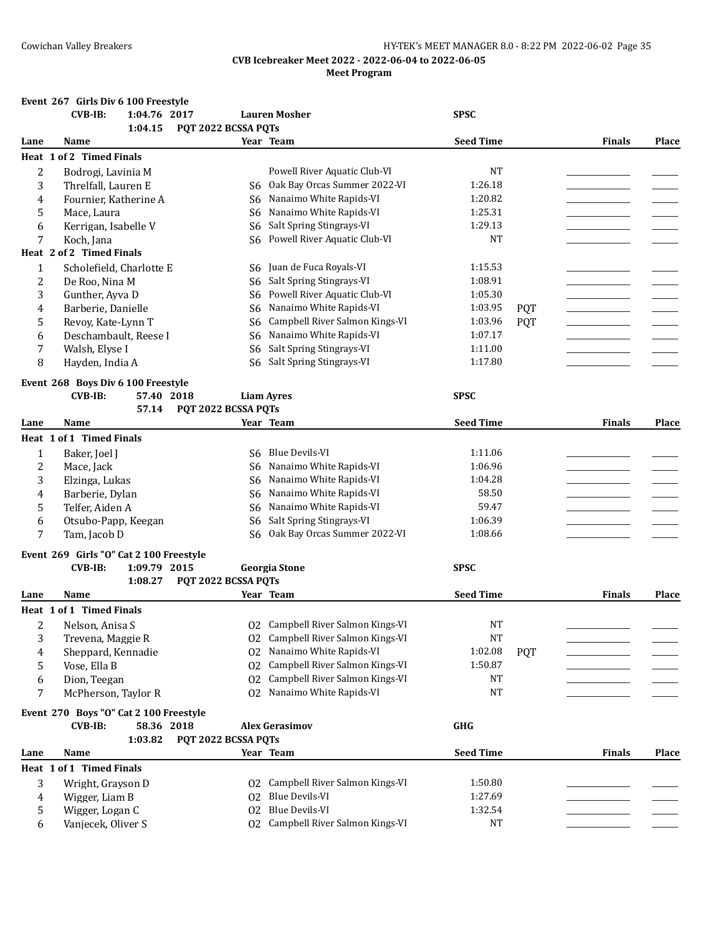## Cowichan Valley Breakers **Exercise 2018** HY-TEK's MEET MANAGER 8.0 - 8:22 PM 2022-06-02 Page 35

## **CVB Icebreaker Meet 2022 - 2022-06-04 to 2022-06-05 Meet Program**

#### **Event 267 Girls Div 6 100 Freestyle**

|      | <b>CVB-IB:</b>                          | 1:04.76 2017 |                     | <b>Lauren Mosher</b>              | <b>SPSC</b>      |            |               |              |
|------|-----------------------------------------|--------------|---------------------|-----------------------------------|------------------|------------|---------------|--------------|
|      |                                         | 1:04.15      | PQT 2022 BCSSA PQTs |                                   |                  |            |               |              |
| Lane | Name                                    |              |                     | Year Team                         | <b>Seed Time</b> |            | <b>Finals</b> | Place        |
|      | Heat 1 of 2 Timed Finals                |              |                     |                                   |                  |            |               |              |
| 2    | Bodrogi, Lavinia M                      |              |                     | Powell River Aquatic Club-VI      | NT               |            |               |              |
| 3    | Threlfall, Lauren E                     |              | S6                  | Oak Bay Orcas Summer 2022-VI      | 1:26.18          |            |               |              |
| 4    | Fournier, Katherine A                   |              | S6                  | Nanaimo White Rapids-VI           | 1:20.82          |            |               |              |
| 5    | Mace, Laura                             |              | S6                  | Nanaimo White Rapids-VI           | 1:25.31          |            |               |              |
| 6    | Kerrigan, Isabelle V                    |              | S6                  | Salt Spring Stingrays-VI          | 1:29.13          |            |               |              |
| 7    | Koch, Jana                              |              | S6                  | Powell River Aquatic Club-VI      | <b>NT</b>        |            |               |              |
|      | Heat 2 of 2 Timed Finals                |              |                     |                                   |                  |            |               |              |
| 1    | Scholefield, Charlotte E                |              | S6                  | Juan de Fuca Royals-VI            | 1:15.53          |            |               |              |
| 2    | De Roo, Nina M                          |              | S <sub>6</sub>      | Salt Spring Stingrays-VI          | 1:08.91          |            |               |              |
| 3    | Gunther, Ayva D                         |              | S <sub>6</sub>      | Powell River Aquatic Club-VI      | 1:05.30          |            |               |              |
| 4    | Barberie, Danielle                      |              | S <sub>6</sub>      | Nanaimo White Rapids-VI           | 1:03.95          | <b>PQT</b> |               |              |
| 5    | Revoy, Kate-Lynn T                      |              | S <sub>6</sub>      | Campbell River Salmon Kings-VI    | 1:03.96          | <b>PQT</b> |               |              |
| 6    | Deschambault, Reese I                   |              | S <sub>6</sub>      | Nanaimo White Rapids-VI           | 1:07.17          |            |               |              |
| 7    | Walsh, Elyse I                          |              | S6                  | Salt Spring Stingrays-VI          | 1:11.00          |            |               |              |
| 8    | Hayden, India A                         |              | S <sub>6</sub>      | Salt Spring Stingrays-VI          | 1:17.80          |            |               |              |
|      | Event 268 Boys Div 6 100 Freestyle      |              |                     |                                   |                  |            |               |              |
|      | $CVB-IB:$                               | 57.40 2018   |                     | <b>Liam Ayres</b>                 | <b>SPSC</b>      |            |               |              |
|      |                                         | 57.14        | PQT 2022 BCSSA PQTs |                                   |                  |            |               |              |
| Lane | Name                                    |              |                     | Year Team                         | <b>Seed Time</b> |            | <b>Finals</b> | Place        |
|      | Heat 1 of 1 Timed Finals                |              |                     |                                   |                  |            |               |              |
| 1    | Baker, Joel J                           |              | S6                  | <b>Blue Devils-VI</b>             | 1:11.06          |            |               |              |
| 2    | Mace, Jack                              |              | S6                  | Nanaimo White Rapids-VI           | 1:06.96          |            |               |              |
| 3    | Elzinga, Lukas                          |              | S6                  | Nanaimo White Rapids-VI           | 1:04.28          |            |               |              |
| 4    | Barberie, Dylan                         |              | S6                  | Nanaimo White Rapids-VI           | 58.50            |            |               |              |
| 5    | Telfer, Aiden A                         |              | S <sub>6</sub>      | Nanaimo White Rapids-VI           | 59.47            |            |               |              |
| 6    | Otsubo-Papp, Keegan                     |              | S <sub>6</sub>      | Salt Spring Stingrays-VI          | 1:06.39          |            |               |              |
| 7    | Tam, Jacob D                            |              | S <sub>6</sub>      | Oak Bay Orcas Summer 2022-VI      | 1:08.66          |            |               |              |
|      |                                         |              |                     |                                   |                  |            |               |              |
|      | Event 269 Girls "O" Cat 2 100 Freestyle |              |                     |                                   |                  |            |               |              |
|      | $CVB-IB:$                               | 1:09.79 2015 |                     | <b>Georgia Stone</b>              | <b>SPSC</b>      |            |               |              |
|      |                                         | 1:08.27      | PQT 2022 BCSSA PQTs |                                   |                  |            |               |              |
| Lane | Name                                    |              |                     | Year Team                         | <b>Seed Time</b> |            | <b>Finals</b> | <b>Place</b> |
|      | Heat 1 of 1 Timed Finals                |              |                     |                                   |                  |            |               |              |
| 2    | Nelson, Anisa S                         |              |                     | 02 Campbell River Salmon Kings-VI | <b>NT</b>        |            |               |              |
| 3    | Trevena, Maggie R                       |              |                     | 02 Campbell River Salmon Kings-VI | NT               |            |               |              |
| 4    | Sheppard, Kennadie                      |              |                     | 02 Nanaimo White Rapids-VI        | 1:02.08          | <b>PQT</b> |               |              |
| 5    | Vose, Ella B                            |              |                     | 02 Campbell River Salmon Kings-VI | 1:50.87          |            |               |              |
| 6    | Dion, Teegan                            |              | 02                  | Campbell River Salmon Kings-VI    | NT               |            |               |              |
| 7    | McPherson, Taylor R                     |              | 02                  | Nanaimo White Rapids-VI           | <b>NT</b>        |            |               |              |
|      | Event 270 Boys "O" Cat 2 100 Freestyle  |              |                     |                                   |                  |            |               |              |
|      | <b>CVB-IB:</b>                          | 58.36 2018   |                     | <b>Alex Gerasimov</b>             | GHG              |            |               |              |
|      |                                         | 1:03.82      | PQT 2022 BCSSA PQTs |                                   |                  |            |               |              |
| Lane | Name                                    |              |                     | Year Team                         | <b>Seed Time</b> |            | <b>Finals</b> | Place        |
|      | Heat 1 of 1 Timed Finals                |              |                     |                                   |                  |            |               |              |
| 3    | Wright, Grayson D                       |              |                     | 02 Campbell River Salmon Kings-VI | 1:50.80          |            |               |              |
| 4    | Wigger, Liam B                          |              |                     | 02 Blue Devils-VI                 | 1:27.69          |            |               |              |
| 5    | Wigger, Logan C                         |              |                     | 02 Blue Devils-VI                 | 1:32.54          |            |               |              |
| 6    | Vanjecek, Oliver S                      |              |                     | 02 Campbell River Salmon Kings-VI | NT               |            |               |              |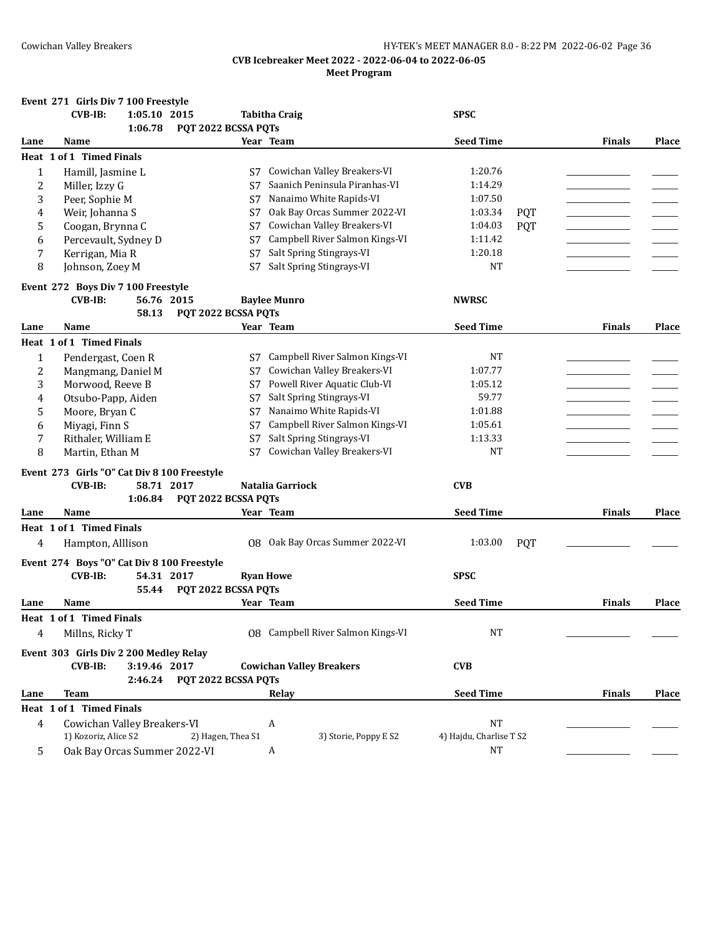|              | Event 271 Girls Div 7 100 Freestyle                                    |                     |                                   |                         |            |               |              |
|--------------|------------------------------------------------------------------------|---------------------|-----------------------------------|-------------------------|------------|---------------|--------------|
|              | <b>CVB-IB:</b><br>1:05.10 2015                                         |                     | <b>Tabitha Craig</b>              | <b>SPSC</b>             |            |               |              |
|              | 1:06.78                                                                | PQT 2022 BCSSA PQTs |                                   |                         |            |               |              |
| Lane         | Name                                                                   |                     | Year Team                         | <b>Seed Time</b>        |            | <b>Finals</b> | <b>Place</b> |
|              | Heat 1 of 1 Timed Finals                                               |                     |                                   |                         |            |               |              |
| $\mathbf{1}$ | Hamill, Jasmine L                                                      | S7                  | Cowichan Valley Breakers-VI       | 1:20.76                 |            |               |              |
| 2            | Miller, Izzy G                                                         | S7                  | Saanich Peninsula Piranhas-VI     | 1:14.29                 |            |               |              |
| 3            | Peer, Sophie M                                                         | S7                  | Nanaimo White Rapids-VI           | 1:07.50                 |            |               |              |
| 4            | Weir, Johanna S                                                        | S7                  | Oak Bay Orcas Summer 2022-VI      | 1:03.34                 | <b>PQT</b> |               |              |
| 5            | Coogan, Brynna C                                                       | S7                  | Cowichan Valley Breakers-VI       | 1:04.03                 | <b>PQT</b> |               |              |
| 6            | Percevault, Sydney D                                                   | S7                  | Campbell River Salmon Kings-VI    | 1:11.42                 |            |               |              |
| 7            | Kerrigan, Mia R                                                        | S7                  | Salt Spring Stingrays-VI          | 1:20.18                 |            |               |              |
| 8            | Johnson, Zoey M                                                        | S7                  | Salt Spring Stingrays-VI          | <b>NT</b>               |            |               |              |
|              | Event 272 Boys Div 7 100 Freestyle                                     |                     |                                   |                         |            |               |              |
|              | <b>CVB-IB:</b><br>56.76 2015                                           |                     | <b>Baylee Munro</b>               | <b>NWRSC</b>            |            |               |              |
|              | 58.13                                                                  | PQT 2022 BCSSA PQTs |                                   |                         |            |               |              |
| Lane         | Name                                                                   |                     | Year Team                         | <b>Seed Time</b>        |            | <b>Finals</b> | Place        |
|              | Heat 1 of 1 Timed Finals                                               |                     |                                   |                         |            |               |              |
| 1            | Pendergast, Coen R                                                     | S7                  | Campbell River Salmon Kings-VI    | NT                      |            |               |              |
| 2            | Mangmang, Daniel M                                                     | S7                  | Cowichan Valley Breakers-VI       | 1:07.77                 |            |               |              |
| 3            | Morwood, Reeve B                                                       | S7                  | Powell River Aquatic Club-VI      | 1:05.12                 |            |               |              |
| 4            | Otsubo-Papp, Aiden                                                     | S7                  | Salt Spring Stingrays-VI          | 59.77                   |            |               |              |
| 5            | Moore, Bryan C                                                         | S7                  | Nanaimo White Rapids-VI           | 1:01.88                 |            |               |              |
| 6            | Miyagi, Finn S                                                         | S7                  | Campbell River Salmon Kings-VI    | 1:05.61                 |            |               |              |
| 7            | Rithaler, William E                                                    | S7                  | Salt Spring Stingrays-VI          | 1:13.33                 |            |               |              |
| 8            | Martin, Ethan M                                                        | S7                  | Cowichan Valley Breakers-VI       | <b>NT</b>               |            |               |              |
|              |                                                                        |                     |                                   |                         |            |               |              |
|              | Event 273 Girls "O" Cat Div 8 100 Freestyle<br>58.71 2017<br>$CVB-IB:$ |                     | Natalia Garriock                  | <b>CVB</b>              |            |               |              |
|              | 1:06.84                                                                | PQT 2022 BCSSA PQTs |                                   |                         |            |               |              |
| Lane         | Name                                                                   |                     | Year Team                         | <b>Seed Time</b>        |            | <b>Finals</b> | Place        |
|              | Heat 1 of 1 Timed Finals                                               |                     |                                   |                         |            |               |              |
| 4            | Hampton, Alllison                                                      |                     | 08 Oak Bay Orcas Summer 2022-VI   | 1:03.00                 | <b>PQT</b> |               |              |
|              |                                                                        |                     |                                   |                         |            |               |              |
|              | Event 274 Boys "O" Cat Div 8 100 Freestyle                             |                     |                                   |                         |            |               |              |
|              | <b>CVB-IB:</b><br>54.31 2017                                           |                     | <b>Ryan Howe</b>                  | <b>SPSC</b>             |            |               |              |
| Lane         | 55.44<br>Name                                                          | PQT 2022 BCSSA PQTs | Year Team                         | <b>Seed Time</b>        |            | <b>Finals</b> | <b>Place</b> |
|              | Heat 1 of 1 Timed Finals                                               |                     |                                   |                         |            |               |              |
|              |                                                                        |                     |                                   | <b>NT</b>               |            |               |              |
| 4            | Millns, Ricky T                                                        |                     | 08 Campbell River Salmon Kings-VI |                         |            |               |              |
|              | Event 303 Girls Div 2 200 Medley Relay                                 |                     |                                   |                         |            |               |              |
|              | <b>CVB-IB:</b><br>3:19.46 2017                                         |                     | <b>Cowichan Valley Breakers</b>   | <b>CVB</b>              |            |               |              |
|              | 2:46.24                                                                | PQT 2022 BCSSA PQTs |                                   |                         |            |               |              |
| Lane         | <b>Team</b>                                                            |                     | Relay                             | <b>Seed Time</b>        |            | <b>Finals</b> | <b>Place</b> |
|              | Heat 1 of 1 Timed Finals                                               |                     |                                   |                         |            |               |              |
| 4            | Cowichan Valley Breakers-VI                                            |                     | A                                 | <b>NT</b>               |            |               |              |
|              | 1) Kozoriz, Alice S2                                                   | 2) Hagen, Thea S1   | 3) Storie, Poppy E S2             | 4) Hajdu, Charlise T S2 |            |               |              |
| 5            | Oak Bay Orcas Summer 2022-VI                                           |                     | A                                 | $\rm{NT}$               |            |               |              |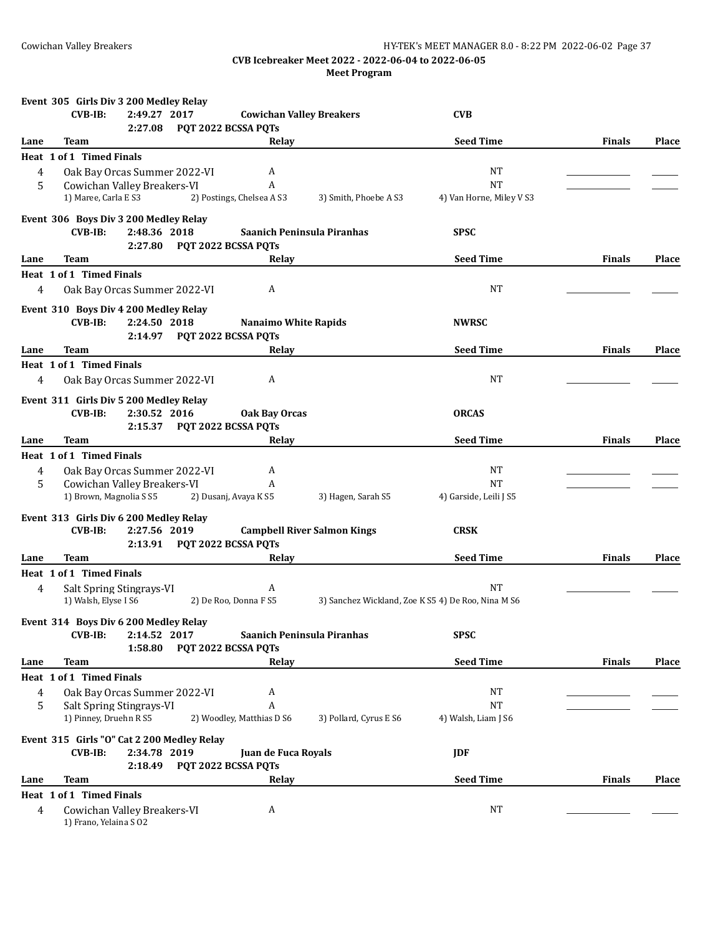|      | Event 305 Girls Div 3 200 Medley Relay                             |                             |                                    |                        |                                                    |               |              |
|------|--------------------------------------------------------------------|-----------------------------|------------------------------------|------------------------|----------------------------------------------------|---------------|--------------|
|      | $CVB-IB:$<br>2:49.27 2017<br>2:27.08                               | PQT 2022 BCSSA PQTs         | <b>Cowichan Valley Breakers</b>    |                        | <b>CVB</b>                                         |               |              |
| Lane | Team                                                               |                             | Relay                              |                        | <b>Seed Time</b>                                   | <b>Finals</b> | <b>Place</b> |
|      | Heat 1 of 1 Timed Finals                                           |                             |                                    |                        |                                                    |               |              |
| 4    | Oak Bay Orcas Summer 2022-VI                                       |                             | A                                  |                        | <b>NT</b>                                          |               |              |
| 5    | Cowichan Valley Breakers-VI                                        |                             | A                                  |                        | <b>NT</b>                                          |               |              |
|      | 1) Maree, Carla E S3                                               |                             | 2) Postings, Chelsea A S3          | 3) Smith, Phoebe A S3  | 4) Van Horne, Miley V S3                           |               |              |
|      |                                                                    |                             |                                    |                        |                                                    |               |              |
|      | Event 306 Boys Div 3 200 Medley Relay<br>$CVB-IB:$<br>2:48.36 2018 |                             | Saanich Peninsula Piranhas         |                        | <b>SPSC</b>                                        |               |              |
|      | 2:27.80                                                            | PQT 2022 BCSSA PQTs         |                                    |                        |                                                    |               |              |
| Lane | Team                                                               |                             | Relay                              |                        | <b>Seed Time</b>                                   | <b>Finals</b> | <b>Place</b> |
|      | Heat 1 of 1 Timed Finals                                           |                             |                                    |                        |                                                    |               |              |
| 4    | Oak Bay Orcas Summer 2022-VI                                       |                             | A                                  |                        | NT                                                 |               |              |
|      |                                                                    |                             |                                    |                        |                                                    |               |              |
|      | Event 310 Boys Div 4 200 Medley Relay                              |                             |                                    |                        |                                                    |               |              |
|      | $CVB-IB:$<br>2:24.50 2018                                          |                             | <b>Nanaimo White Rapids</b>        |                        | <b>NWRSC</b>                                       |               |              |
|      |                                                                    | 2:14.97 PQT 2022 BCSSA PQTs |                                    |                        |                                                    |               |              |
| Lane | Team                                                               |                             | Relay                              |                        | <b>Seed Time</b>                                   | <b>Finals</b> | <b>Place</b> |
|      | Heat 1 of 1 Timed Finals                                           |                             |                                    |                        |                                                    |               |              |
| 4    | Oak Bay Orcas Summer 2022-VI                                       |                             | A                                  |                        | <b>NT</b>                                          |               |              |
|      | Event 311 Girls Div 5 200 Medley Relay                             |                             |                                    |                        |                                                    |               |              |
|      | $CVB-IB:$<br>2:30.52 2016                                          |                             | <b>Oak Bay Orcas</b>               |                        | <b>ORCAS</b>                                       |               |              |
|      | 2:15.37                                                            | PQT 2022 BCSSA PQTs         |                                    |                        |                                                    |               |              |
| Lane | Team                                                               |                             | Relay                              |                        | <b>Seed Time</b>                                   | <b>Finals</b> | Place        |
|      | Heat 1 of 1 Timed Finals                                           |                             |                                    |                        |                                                    |               |              |
| 4    | Oak Bay Orcas Summer 2022-VI                                       |                             | A                                  |                        | NT                                                 |               |              |
| 5    | Cowichan Valley Breakers-VI                                        |                             | A                                  |                        | <b>NT</b>                                          |               |              |
|      | 1) Brown, Magnolia S S5                                            |                             | 2) Dusanj, Avaya K S5              | 3) Hagen, Sarah S5     | 4) Garside, Leili J S5                             |               |              |
|      | Event 313 Girls Div 6 200 Medley Relay                             |                             |                                    |                        |                                                    |               |              |
|      | $CVB-IB:$<br>2:27.56 2019                                          |                             | <b>Campbell River Salmon Kings</b> |                        | <b>CRSK</b>                                        |               |              |
|      |                                                                    | 2:13.91 PQT 2022 BCSSA PQTs |                                    |                        |                                                    |               |              |
| Lane | Team                                                               |                             | Relay                              |                        | <b>Seed Time</b>                                   | <b>Finals</b> | <b>Place</b> |
|      | Heat 1 of 1 Timed Finals                                           |                             |                                    |                        |                                                    |               |              |
| 4    | Salt Spring Stingrays-VI                                           |                             | A                                  |                        | NT                                                 |               |              |
|      | 1) Walsh, Elyse I S6                                               |                             | 2) De Roo, Donna F S5              |                        | 3) Sanchez Wickland, Zoe K S5 4) De Roo, Nina M S6 |               |              |
|      |                                                                    |                             |                                    |                        |                                                    |               |              |
|      | Event 314 Boys Div 6 200 Medley Relay                              |                             |                                    |                        |                                                    |               |              |
|      | <b>CVB-IB:</b><br>2:14.52 2017                                     |                             | Saanich Peninsula Piranhas         |                        | <b>SPSC</b>                                        |               |              |
|      | 1:58.80                                                            | PQT 2022 BCSSA PQTs         |                                    |                        |                                                    |               |              |
| Lane | <b>Team</b>                                                        |                             | Relay                              |                        | <b>Seed Time</b>                                   | <b>Finals</b> | Place        |
|      | Heat 1 of 1 Timed Finals                                           |                             |                                    |                        |                                                    |               |              |
| 4    | Oak Bay Orcas Summer 2022-VI                                       |                             | A                                  |                        | NT                                                 |               |              |
| 5    | Salt Spring Stingrays-VI<br>1) Pinney, Druehn R S5                 |                             | A<br>2) Woodley, Matthias D S6     |                        | <b>NT</b>                                          |               |              |
|      |                                                                    |                             |                                    | 3) Pollard, Cyrus E S6 | 4) Walsh, Liam J S6                                |               |              |
|      | Event 315 Girls "O" Cat 2 200 Medley Relay                         |                             |                                    |                        |                                                    |               |              |
|      | 2:34.78 2019<br><b>CVB-IB:</b>                                     |                             | Juan de Fuca Royals                |                        | <b>JDF</b>                                         |               |              |
|      | 2:18.49                                                            | PQT 2022 BCSSA PQTs         |                                    |                        |                                                    |               |              |
| Lane | Team                                                               |                             | Relay                              |                        | <b>Seed Time</b>                                   | <b>Finals</b> | <b>Place</b> |
|      | Heat 1 of 1 Timed Finals                                           |                             |                                    |                        |                                                    |               |              |
| 4    | Cowichan Valley Breakers-VI<br>1) Frano, Yelaina S 02              |                             | A                                  |                        | <b>NT</b>                                          |               |              |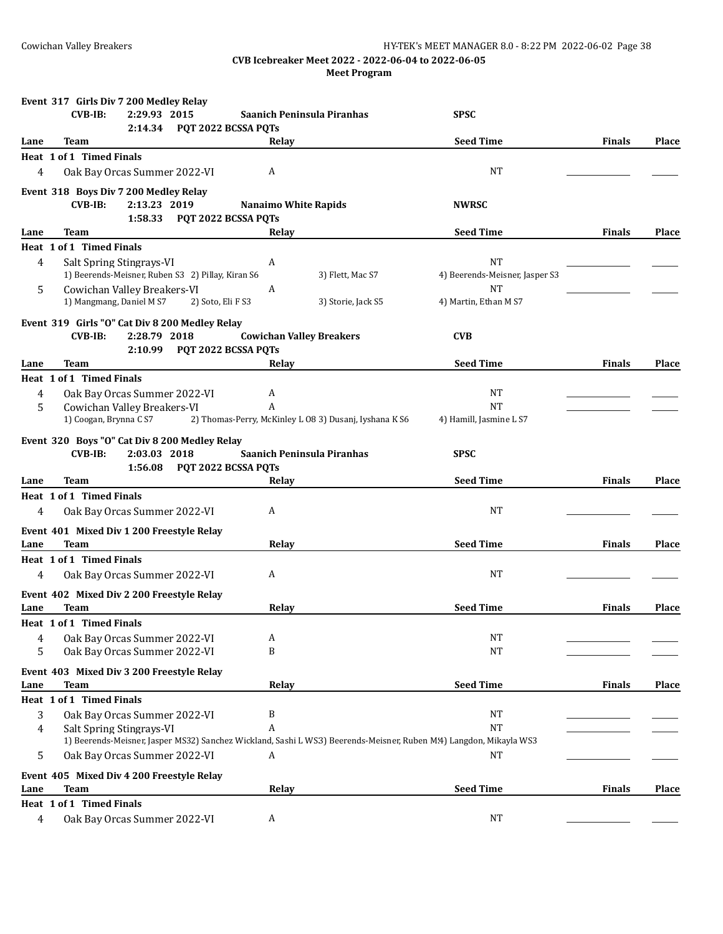|                | Event 317 Girls Div 7 200 Medley Relay                              |                                                                                                                    |                                      |               |              |
|----------------|---------------------------------------------------------------------|--------------------------------------------------------------------------------------------------------------------|--------------------------------------|---------------|--------------|
|                | $CVB-IB:$<br>2:29.93 2015                                           | Saanich Peninsula Piranhas                                                                                         | <b>SPSC</b>                          |               |              |
| Lane           | 2:14.34<br>Team                                                     | PQT 2022 BCSSA PQTs<br>Relay                                                                                       | <b>Seed Time</b>                     | <b>Finals</b> | <b>Place</b> |
|                | Heat 1 of 1 Timed Finals                                            |                                                                                                                    |                                      |               |              |
| 4              | Oak Bay Orcas Summer 2022-VI                                        | A                                                                                                                  | NT                                   |               |              |
|                |                                                                     |                                                                                                                    |                                      |               |              |
|                | Event 318 Boys Div 7 200 Medley Relay<br>$CVB-IB$ :<br>2:13.23 2019 | <b>Nanaimo White Rapids</b>                                                                                        | <b>NWRSC</b>                         |               |              |
|                | 1:58.33                                                             | PQT 2022 BCSSA PQTs                                                                                                |                                      |               |              |
| Lane           | Team                                                                | Relay                                                                                                              | <b>Seed Time</b>                     | <b>Finals</b> | Place        |
|                | Heat 1 of 1 Timed Finals                                            |                                                                                                                    |                                      |               |              |
| 4              | Salt Spring Stingrays-VI                                            | A                                                                                                                  | <b>NT</b>                            |               |              |
|                | 1) Beerends-Meisner, Ruben S3 2) Pillay, Kiran S6                   | 3) Flett, Mac S7                                                                                                   | 4) Beerends-Meisner, Jasper S3       |               |              |
| 5              | Cowichan Valley Breakers-VI                                         | A                                                                                                                  | <b>NT</b>                            |               |              |
|                | 1) Mangmang, Daniel M S7                                            | 2) Soto, Eli F S3<br>3) Storie, Jack S5                                                                            | 4) Martin, Ethan M S7                |               |              |
|                | Event 319 Girls "O" Cat Div 8 200 Medley Relay                      |                                                                                                                    |                                      |               |              |
|                | $CVB-IB$ :<br>2:28.79 2018                                          | <b>Cowichan Valley Breakers</b>                                                                                    | <b>CVB</b>                           |               |              |
|                | 2:10.99                                                             | PQT 2022 BCSSA PQTs                                                                                                |                                      |               |              |
| Lane           | Team                                                                | Relay                                                                                                              | <b>Seed Time</b>                     | <b>Finals</b> | Place        |
|                | <b>Heat 1 of 1 Timed Finals</b>                                     |                                                                                                                    |                                      |               |              |
| 4              | Oak Bay Orcas Summer 2022-VI                                        | A                                                                                                                  | <b>NT</b>                            |               |              |
| 5              | Cowichan Valley Breakers-VI<br>1) Coogan, Brynna C S7               | A<br>2) Thomas-Perry, McKinley L 08 3) Dusanj, Iyshana K S6                                                        | <b>NT</b><br>4) Hamill, Jasmine L S7 |               |              |
|                |                                                                     |                                                                                                                    |                                      |               |              |
|                | Event 320 Boys "O" Cat Div 8 200 Medley Relay                       |                                                                                                                    |                                      |               |              |
|                | $CVB-IB:$<br>2:03.03 2018                                           | Saanich Peninsula Piranhas                                                                                         | <b>SPSC</b>                          |               |              |
| Lane           | 1:56.08<br>Team                                                     | PQT 2022 BCSSA PQTs<br>Relay                                                                                       | <b>Seed Time</b>                     | <b>Finals</b> | <b>Place</b> |
|                | Heat 1 of 1 Timed Finals                                            |                                                                                                                    |                                      |               |              |
| 4              | Oak Bay Orcas Summer 2022-VI                                        | A                                                                                                                  | NT                                   |               |              |
|                |                                                                     |                                                                                                                    |                                      |               |              |
|                | Event 401 Mixed Div 1 200 Freestyle Relay                           |                                                                                                                    |                                      |               |              |
| Lane           | <b>Team</b>                                                         | Relay                                                                                                              | <b>Seed Time</b>                     | <b>Finals</b> | <b>Place</b> |
|                | <b>Heat 1 of 1 Timed Finals</b>                                     |                                                                                                                    |                                      |               |              |
| 4              | Oak Bay Orcas Summer 2022-VI                                        | A                                                                                                                  | NT                                   |               |              |
|                | Event 402 Mixed Div 2 200 Freestyle Relay                           |                                                                                                                    |                                      |               |              |
| Lane           | Team                                                                | Relay                                                                                                              | <b>Seed Time</b>                     | <b>Finals</b> | Place        |
|                | Heat 1 of 1 Timed Finals                                            |                                                                                                                    |                                      |               |              |
| 4              | Oak Bay Orcas Summer 2022-VI                                        | A                                                                                                                  | <b>NT</b>                            |               |              |
| 5              | Oak Bay Orcas Summer 2022-VI                                        | B                                                                                                                  | NT                                   |               |              |
|                | Event 403 Mixed Div 3 200 Freestyle Relay                           |                                                                                                                    |                                      |               |              |
| Lane           | Team                                                                | Relay                                                                                                              | <b>Seed Time</b>                     | <b>Finals</b> | <b>Place</b> |
|                | Heat 1 of 1 Timed Finals                                            |                                                                                                                    |                                      |               |              |
| 3              | Oak Bay Orcas Summer 2022-VI                                        | B                                                                                                                  | <b>NT</b>                            |               |              |
| 4              | Salt Spring Stingrays-VI                                            | A                                                                                                                  | <b>NT</b>                            |               |              |
|                |                                                                     | 1) Beerends-Meisner, Jasper MS32) Sanchez Wickland, Sashi L WS3) Beerends-Meisner, Ruben M:4) Langdon, Mikayla WS3 |                                      |               |              |
| 5              | Oak Bay Orcas Summer 2022-VI                                        | A                                                                                                                  | <b>NT</b>                            |               |              |
|                | Event 405 Mixed Div 4 200 Freestyle Relay                           |                                                                                                                    |                                      |               |              |
| Lane           | Team                                                                | Relay                                                                                                              | <b>Seed Time</b>                     | <b>Finals</b> | <b>Place</b> |
|                | Heat 1 of 1 Timed Finals                                            |                                                                                                                    |                                      |               |              |
| $\overline{4}$ | Oak Bay Orcas Summer 2022-VI                                        | A                                                                                                                  | <b>NT</b>                            |               |              |